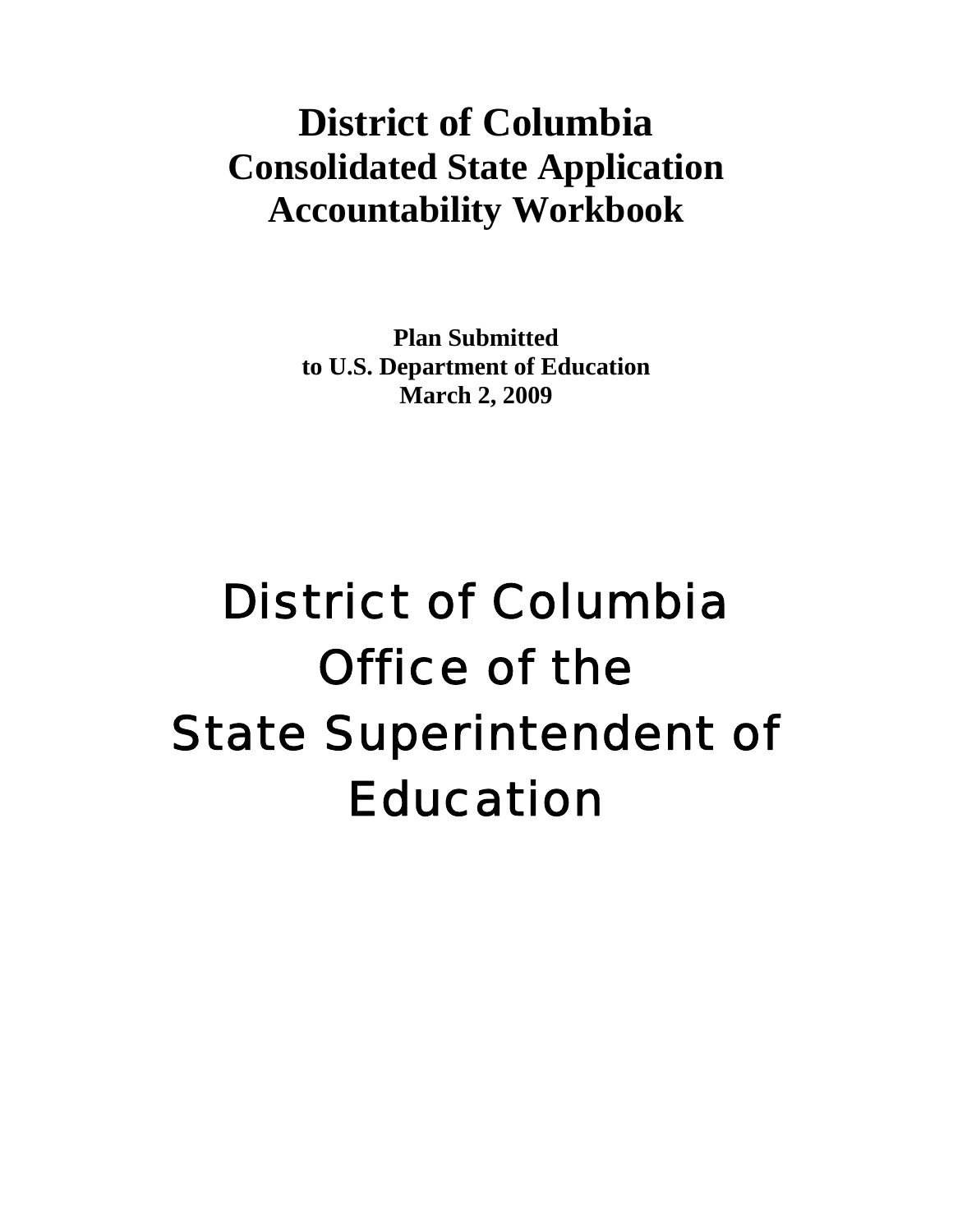# **District of Columbia Consolidated State Application Accountability Workbook**

**Plan Submitted to U.S. Department of Education March 2, 2009** 

# District of Columbia Office of the State Superintendent of Education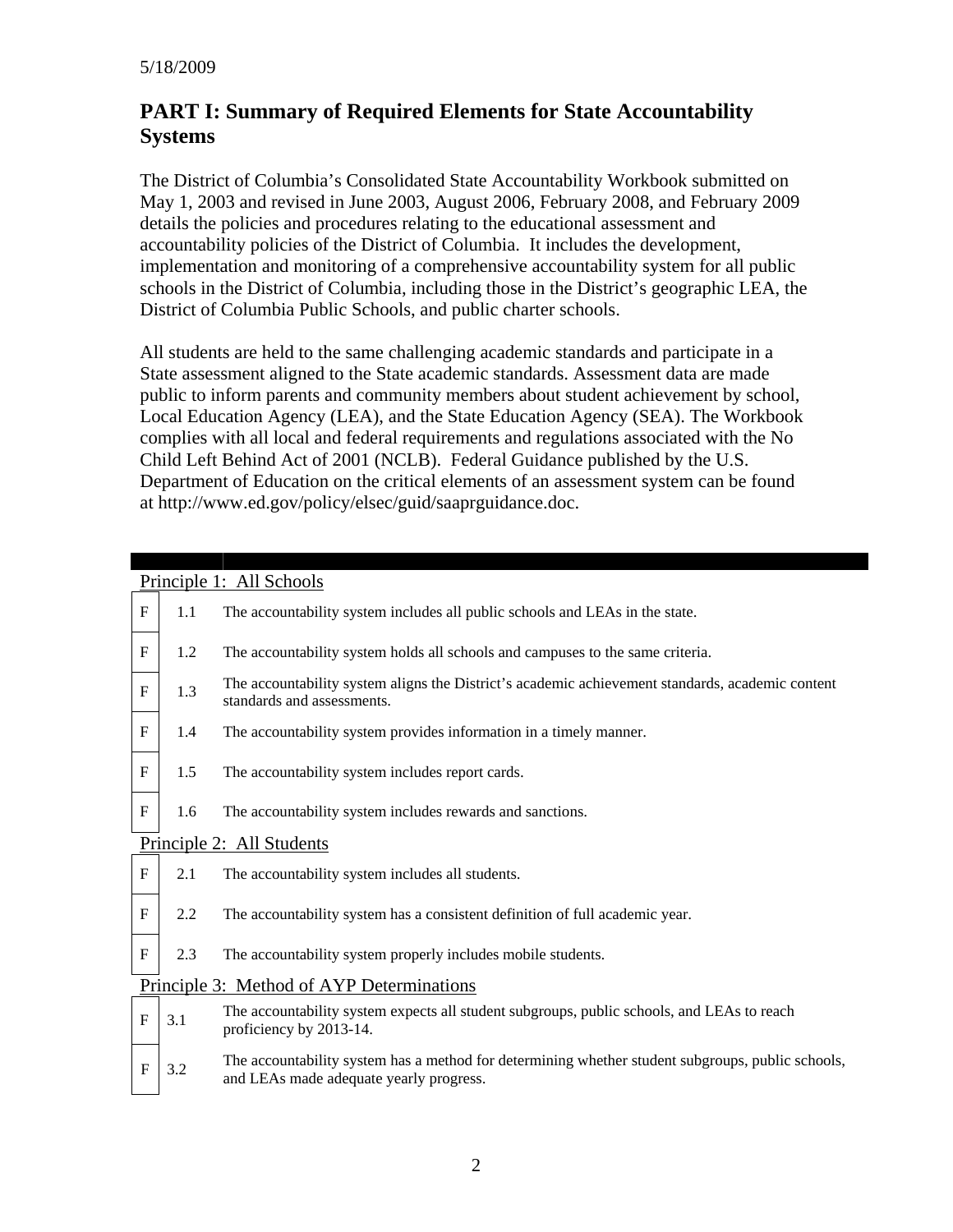# **PART I: Summary of Required Elements for State Accountability Systems**

The District of Columbia's Consolidated State Accountability Workbook submitted on May 1, 2003 and revised in June 2003, August 2006, February 2008, and February 2009 details the policies and procedures relating to the educational assessment and accountability policies of the District of Columbia. It includes the development, implementation and monitoring of a comprehensive accountability system for all public schools in the District of Columbia, including those in the District's geographic LEA, the District of Columbia Public Schools, and public charter schools.

All students are held to the same challenging academic standards and participate in a State assessment aligned to the State academic standards. Assessment data are made public to inform parents and community members about student achievement by school, Local Education Agency (LEA), and the State Education Agency (SEA). The Workbook complies with all local and federal requirements and regulations associated with the No Child Left Behind Act of 2001 (NCLB). Federal Guidance published by the U.S. Department of Education on the critical elements of an assessment system can be found at http://www.ed.gov/policy/elsec/guid/saaprguidance.doc.

|                           | Principle 1: All Schools |                                                                                                                                              |  |  |  |  |  |  |  |  |  |
|---------------------------|--------------------------|----------------------------------------------------------------------------------------------------------------------------------------------|--|--|--|--|--|--|--|--|--|
| ${\bf F}$                 | 1.1                      | The accountability system includes all public schools and LEAs in the state.                                                                 |  |  |  |  |  |  |  |  |  |
| $\mathbf F$               | 1.2                      | The accountability system holds all schools and campuses to the same criteria.                                                               |  |  |  |  |  |  |  |  |  |
| $\rm F$                   | 1.3                      | The accountability system aligns the District's academic achievement standards, academic content<br>standards and assessments.               |  |  |  |  |  |  |  |  |  |
| $\boldsymbol{\mathrm{F}}$ | 1.4                      | The accountability system provides information in a timely manner.                                                                           |  |  |  |  |  |  |  |  |  |
| $\boldsymbol{\mathrm{F}}$ | 1.5                      | The accountability system includes report cards.                                                                                             |  |  |  |  |  |  |  |  |  |
| $\boldsymbol{\mathrm{F}}$ | 1.6                      | The accountability system includes rewards and sanctions.                                                                                    |  |  |  |  |  |  |  |  |  |
|                           |                          | Principle 2: All Students                                                                                                                    |  |  |  |  |  |  |  |  |  |
| $\boldsymbol{\mathrm{F}}$ | 2.1                      | The accountability system includes all students.                                                                                             |  |  |  |  |  |  |  |  |  |
| $\mathbf{F}$              | 2.2                      | The accountability system has a consistent definition of full academic year.                                                                 |  |  |  |  |  |  |  |  |  |
| ${\bf F}$                 | 2.3                      | The accountability system properly includes mobile students.                                                                                 |  |  |  |  |  |  |  |  |  |
|                           |                          | Principle 3: Method of AYP Determinations                                                                                                    |  |  |  |  |  |  |  |  |  |
| ${\bf F}$                 | 3.1                      | The accountability system expects all student subgroups, public schools, and LEAs to reach<br>proficiency by 2013-14.                        |  |  |  |  |  |  |  |  |  |
| $\overline{F}$            | 3.2                      | The accountability system has a method for determining whether student subgroups, public schools,<br>and LEAs made adequate yearly progress. |  |  |  |  |  |  |  |  |  |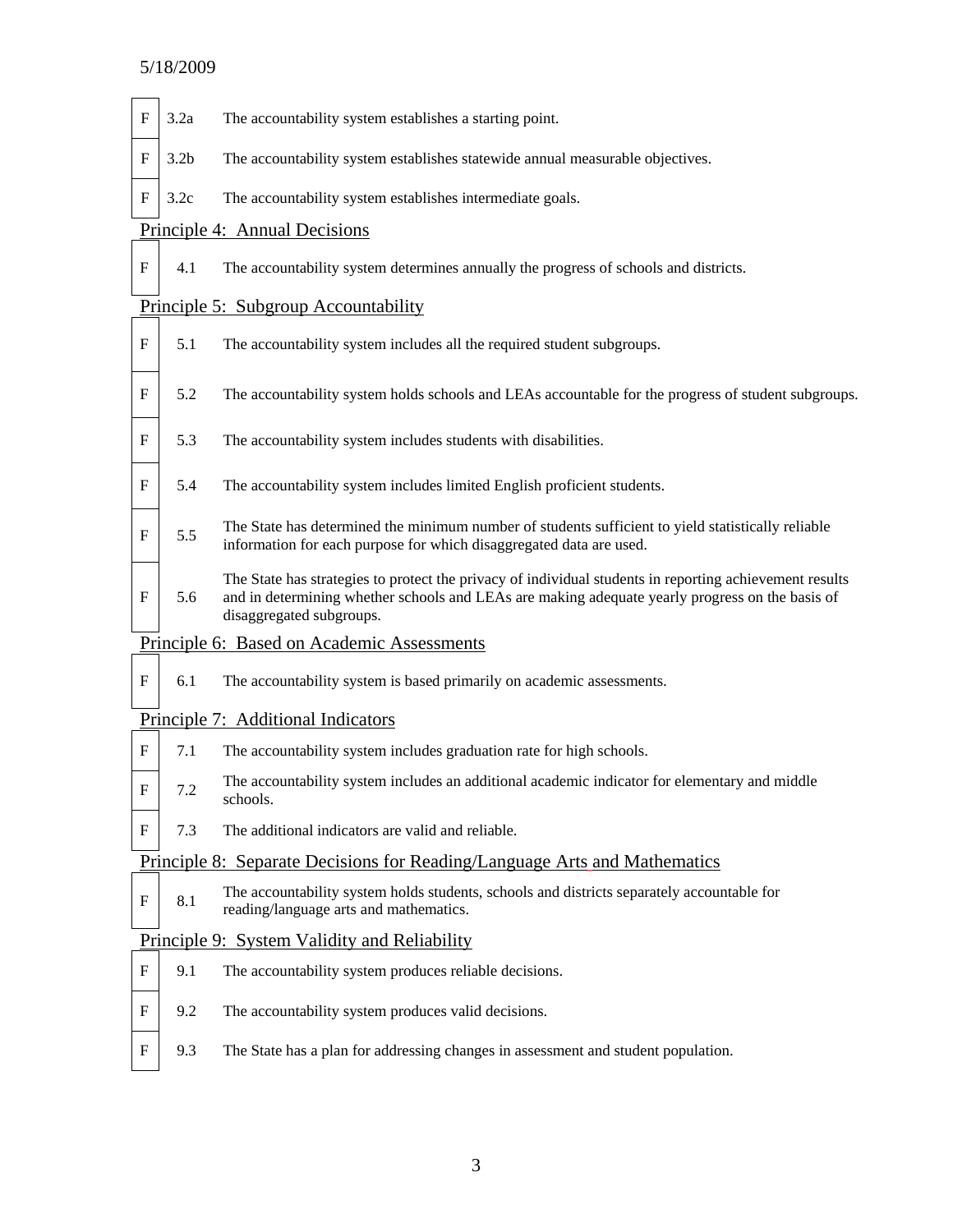#### 5/18/2009

- $F \mid 3.2a$  The accountability system establishes a starting point.
- $F \mid 3.2b$  The accountability system establishes statewide annual measurable objectives.
- $F \mid 3.2c$  The accountability system establishes intermediate goals.

#### Principle 4: Annual Decisions

F 4.1 The accountability system determines annually the progress of schools and districts.

#### Principle 5: Subgroup Accountability

- $F \mid 5.1$  The accountability system includes all the required student subgroups.
- F 5.2 The accountability system holds schools and LEAs accountable for the progress of student subgroups.
- $F \mid 5.3$  The accountability system includes students with disabilities.
- F | 5.4 The accountability system includes limited English proficient students.
- $F \mid 5.5$  The State has determined the minimum number of students sufficient to yield statistically reliable information for each purpose for which disaggregated data are used.
- F 5.6 The State has strategies to protect the privacy of individual students in reporting achievement results and in determining whether schools and LEAs are making adequate yearly progress on the basis of disaggregated subgroups.

#### Principle 6: Based on Academic Assessments

F 6.1 The accountability system is based primarily on academic assessments.

#### Principle 7: Additional Indicators

- $F \mid 7.1$  The accountability system includes graduation rate for high schools.
- $F \mid 7.2$  The accountability system includes an additional academic indicator for elementary and middle schools.
- $F \mid 7.3$  The additional indicators are valid and reliable.

#### Principle 8: Separate Decisions for Reading/Language Arts and Mathematics

 $F \begin{bmatrix} 8.1 \end{bmatrix}$  The accountability system holds students, schools and districts separately accountable for reading/language arts and mathematics.

#### Principle 9: System Validity and Reliability

- $F \mid 9.1$  The accountability system produces reliable decisions.
- $F \mid 9.2$  The accountability system produces valid decisions.
- F 9.3 The State has a plan for addressing changes in assessment and student population.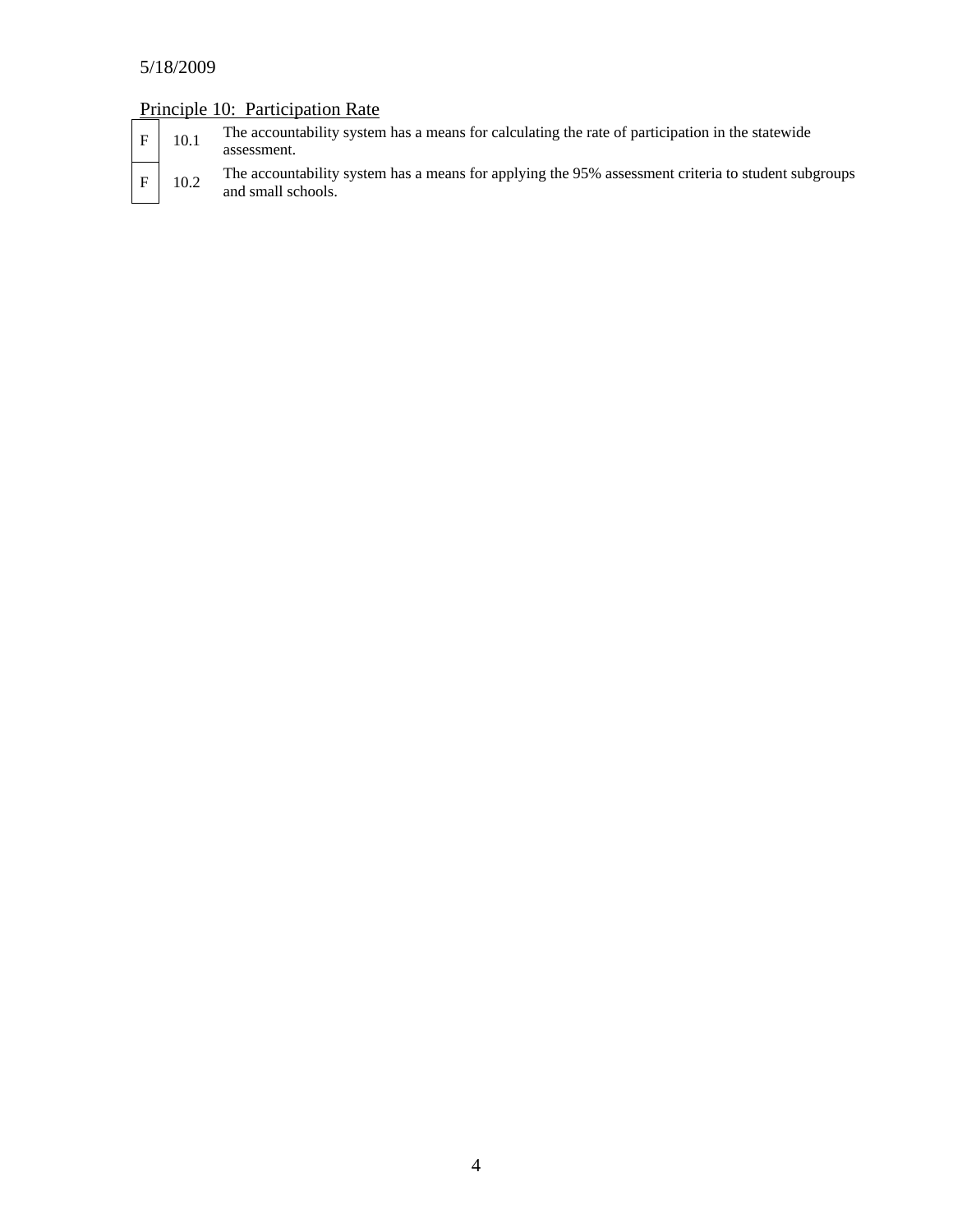# 5/18/2009

# Principle 10: Participation Rate

| ιF. | 10.1 | The accountability system has a means for calculating the rate of participation in the statewide<br>assessment.           |
|-----|------|---------------------------------------------------------------------------------------------------------------------------|
| l F | 10.2 | The accountability system has a means for applying the 95% assessment criteria to student subgroups<br>and small schools. |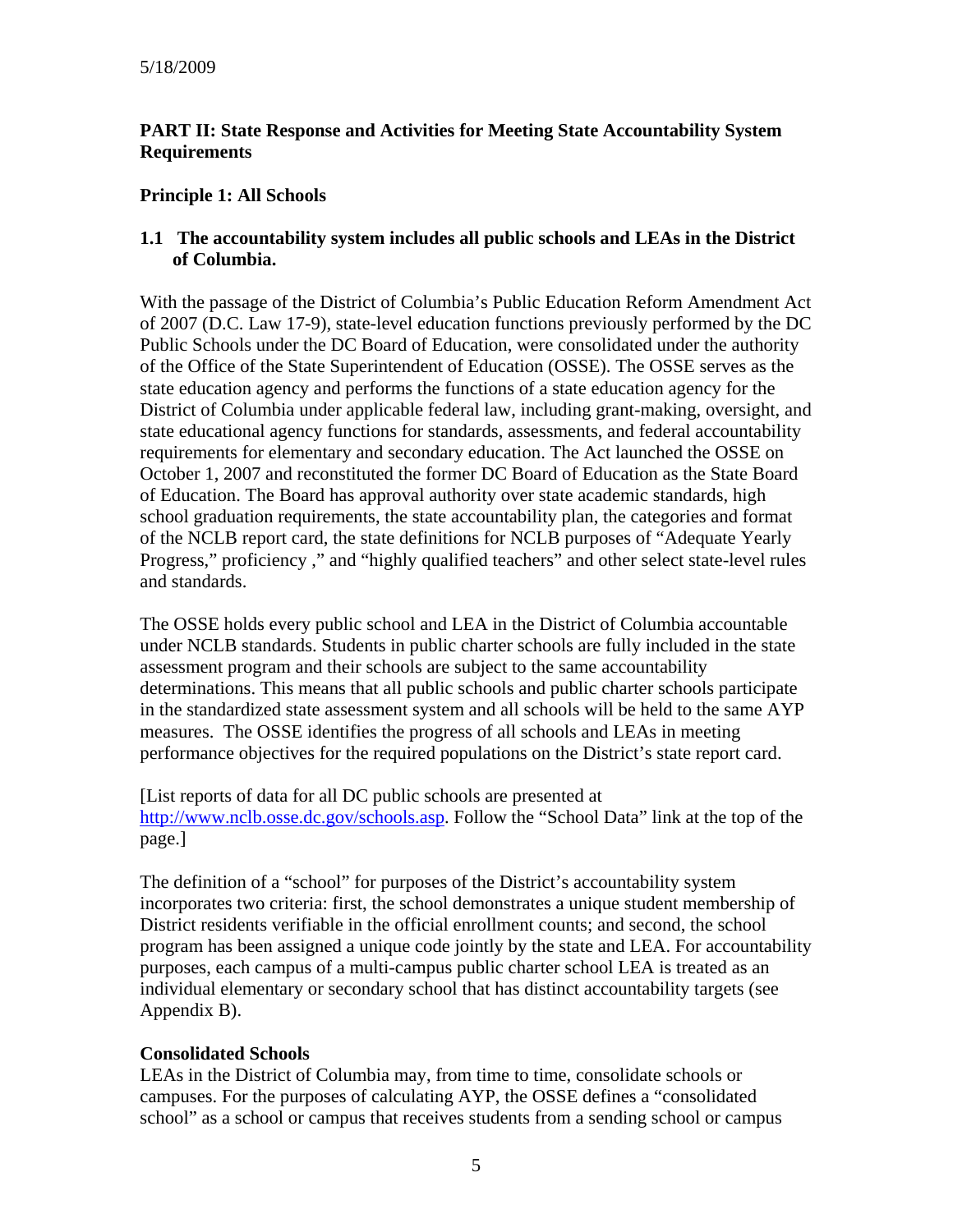# **PART II: State Response and Activities for Meeting State Accountability System Requirements**

#### **Principle 1: All Schools**

#### **1.1 The accountability system includes all public schools and LEAs in the District of Columbia.**

With the passage of the District of Columbia's Public Education Reform Amendment Act of 2007 (D.C. Law 17-9), state-level education functions previously performed by the DC Public Schools under the DC Board of Education, were consolidated under the authority of the Office of the State Superintendent of Education (OSSE). The OSSE serves as the state education agency and performs the functions of a state education agency for the District of Columbia under applicable federal law, including grant-making, oversight, and state educational agency functions for standards, assessments, and federal accountability requirements for elementary and secondary education. The Act launched the OSSE on October 1, 2007 and reconstituted the former DC Board of Education as the State Board of Education. The Board has approval authority over state academic standards, high school graduation requirements, the state accountability plan, the categories and format of the NCLB report card, the state definitions for NCLB purposes of "Adequate Yearly Progress," proficiency ," and "highly qualified teachers" and other select state-level rules and standards.

The OSSE holds every public school and LEA in the District of Columbia accountable under NCLB standards. Students in public charter schools are fully included in the state assessment program and their schools are subject to the same accountability determinations. This means that all public schools and public charter schools participate in the standardized state assessment system and all schools will be held to the same AYP measures. The OSSE identifies the progress of all schools and LEAs in meeting performance objectives for the required populations on the District's state report card.

[List reports of data for all DC public schools are presented at [http://www.nclb.osse.dc.gov/schools.asp.](http://www.nclb.osse.dc.gov/schools.asp) Follow the "School Data" link at the top of the page.]

The definition of a "school" for purposes of the District's accountability system incorporates two criteria: first, the school demonstrates a unique student membership of District residents verifiable in the official enrollment counts; and second, the school program has been assigned a unique code jointly by the state and LEA. For accountability purposes, each campus of a multi-campus public charter school LEA is treated as an individual elementary or secondary school that has distinct accountability targets (see Appendix B).

## **Consolidated Schools**

LEAs in the District of Columbia may, from time to time, consolidate schools or campuses. For the purposes of calculating AYP, the OSSE defines a "consolidated school" as a school or campus that receives students from a sending school or campus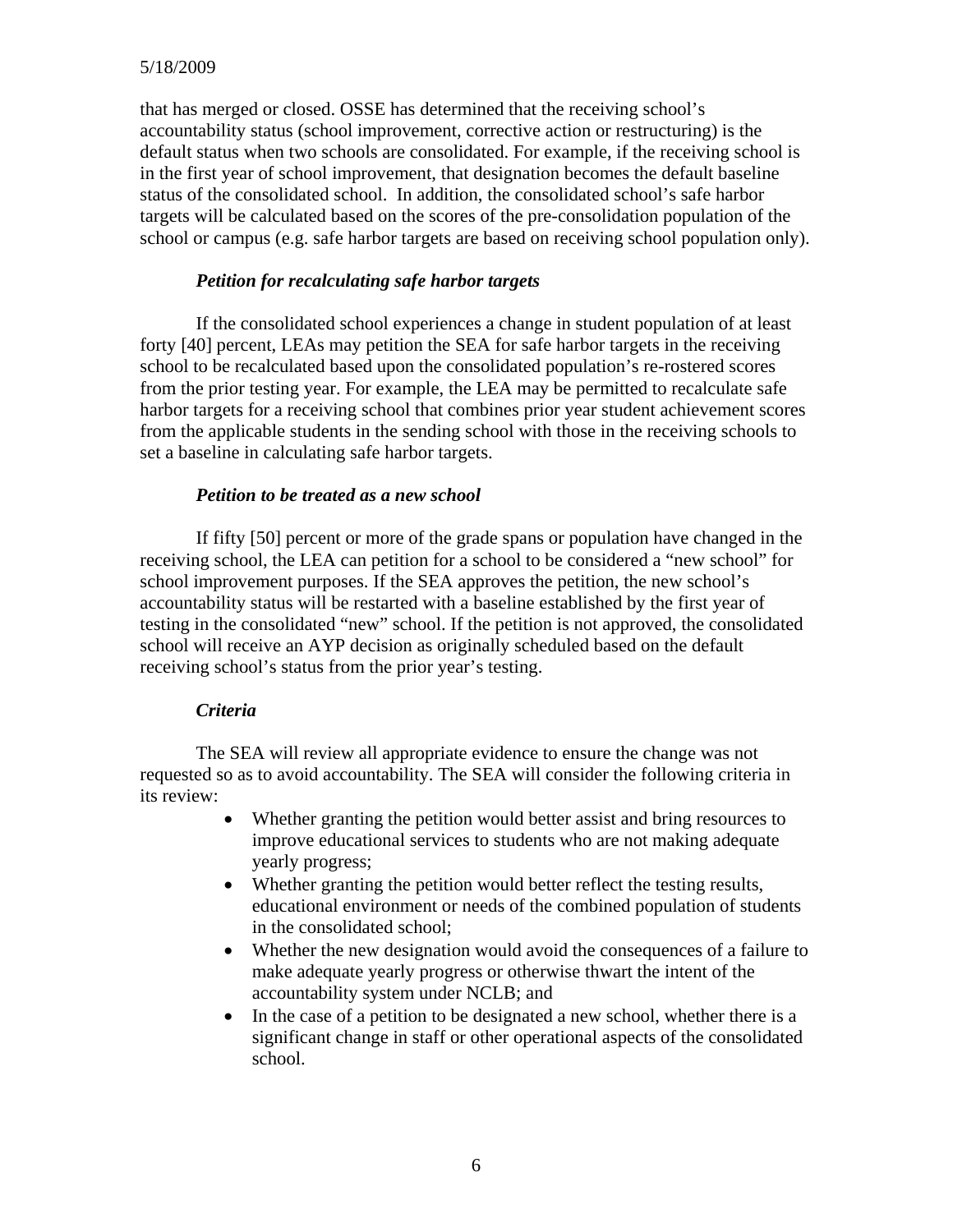#### 5/18/2009

that has merged or closed. OSSE has determined that the receiving school's accountability status (school improvement, corrective action or restructuring) is the default status when two schools are consolidated. For example, if the receiving school is in the first year of school improvement, that designation becomes the default baseline status of the consolidated school. In addition, the consolidated school's safe harbor targets will be calculated based on the scores of the pre-consolidation population of the school or campus (e.g. safe harbor targets are based on receiving school population only).

#### *Petition for recalculating safe harbor targets*

If the consolidated school experiences a change in student population of at least forty [40] percent, LEAs may petition the SEA for safe harbor targets in the receiving school to be recalculated based upon the consolidated population's re-rostered scores from the prior testing year. For example, the LEA may be permitted to recalculate safe harbor targets for a receiving school that combines prior year student achievement scores from the applicable students in the sending school with those in the receiving schools to set a baseline in calculating safe harbor targets.

#### *Petition to be treated as a new school*

If fifty [50] percent or more of the grade spans or population have changed in the receiving school, the LEA can petition for a school to be considered a "new school" for school improvement purposes. If the SEA approves the petition, the new school's accountability status will be restarted with a baseline established by the first year of testing in the consolidated "new" school. If the petition is not approved, the consolidated school will receive an AYP decision as originally scheduled based on the default receiving school's status from the prior year's testing.

#### *Criteria*

The SEA will review all appropriate evidence to ensure the change was not requested so as to avoid accountability. The SEA will consider the following criteria in its review:

- Whether granting the petition would better assist and bring resources to improve educational services to students who are not making adequate yearly progress;
- Whether granting the petition would better reflect the testing results, educational environment or needs of the combined population of students in the consolidated school;
- Whether the new designation would avoid the consequences of a failure to make adequate yearly progress or otherwise thwart the intent of the accountability system under NCLB; and
- In the case of a petition to be designated a new school, whether there is a significant change in staff or other operational aspects of the consolidated school.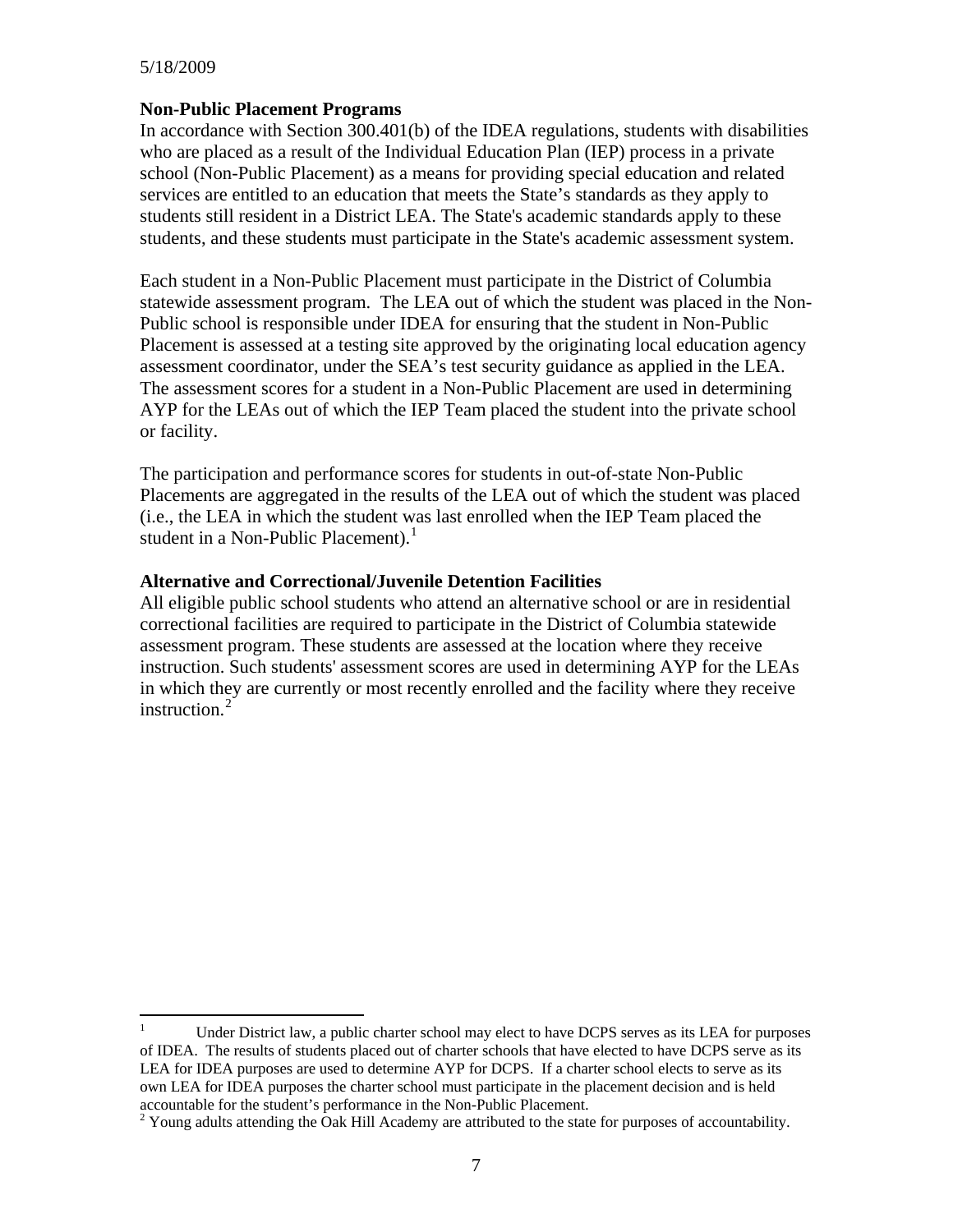#### 5/18/2009

#### **Non-Public Placement Programs**

In accordance with Section 300.401(b) of the IDEA regulations, students with disabilities who are placed as a result of the Individual Education Plan (IEP) process in a private school (Non-Public Placement) as a means for providing special education and related services are entitled to an education that meets the State's standards as they apply to students still resident in a District LEA. The State's academic standards apply to these students, and these students must participate in the State's academic assessment system.

Each student in a Non-Public Placement must participate in the District of Columbia statewide assessment program. The LEA out of which the student was placed in the Non-Public school is responsible under IDEA for ensuring that the student in Non-Public Placement is assessed at a testing site approved by the originating local education agency assessment coordinator, under the SEA's test security guidance as applied in the LEA. The assessment scores for a student in a Non-Public Placement are used in determining AYP for the LEAs out of which the IEP Team placed the student into the private school or facility.

The participation and performance scores for students in out-of-state Non-Public Placements are aggregated in the results of the LEA out of which the student was placed (i.e., the LEA in which the student was last enrolled when the IEP Team placed the student in a Non-Public Placement). $<sup>1</sup>$  $<sup>1</sup>$  $<sup>1</sup>$ </sup>

#### **Alternative and Correctional/Juvenile Detention Facilities**

All eligible public school students who attend an alternative school or are in residential correctional facilities are required to participate in the District of Columbia statewide assessment program. These students are assessed at the location where they receive instruction. Such students' assessment scores are used in determining AYP for the LEAs in which they are currently or most recently enrolled and the facility where they receive instruction. $^{2}$  $^{2}$  $^{2}$ 

<span id="page-6-0"></span> $\frac{1}{1}$  Under District law, a public charter school may elect to have DCPS serves as its LEA for purposes of IDEA. The results of students placed out of charter schools that have elected to have DCPS serve as its LEA for IDEA purposes are used to determine AYP for DCPS. If a charter school elects to serve as its own LEA for IDEA purposes the charter school must participate in the placement decision and is held accountable for the student's performance in the Non-Public Placement. 2

<span id="page-6-1"></span><sup>&</sup>lt;sup>2</sup> Young adults attending the Oak Hill Academy are attributed to the state for purposes of accountability.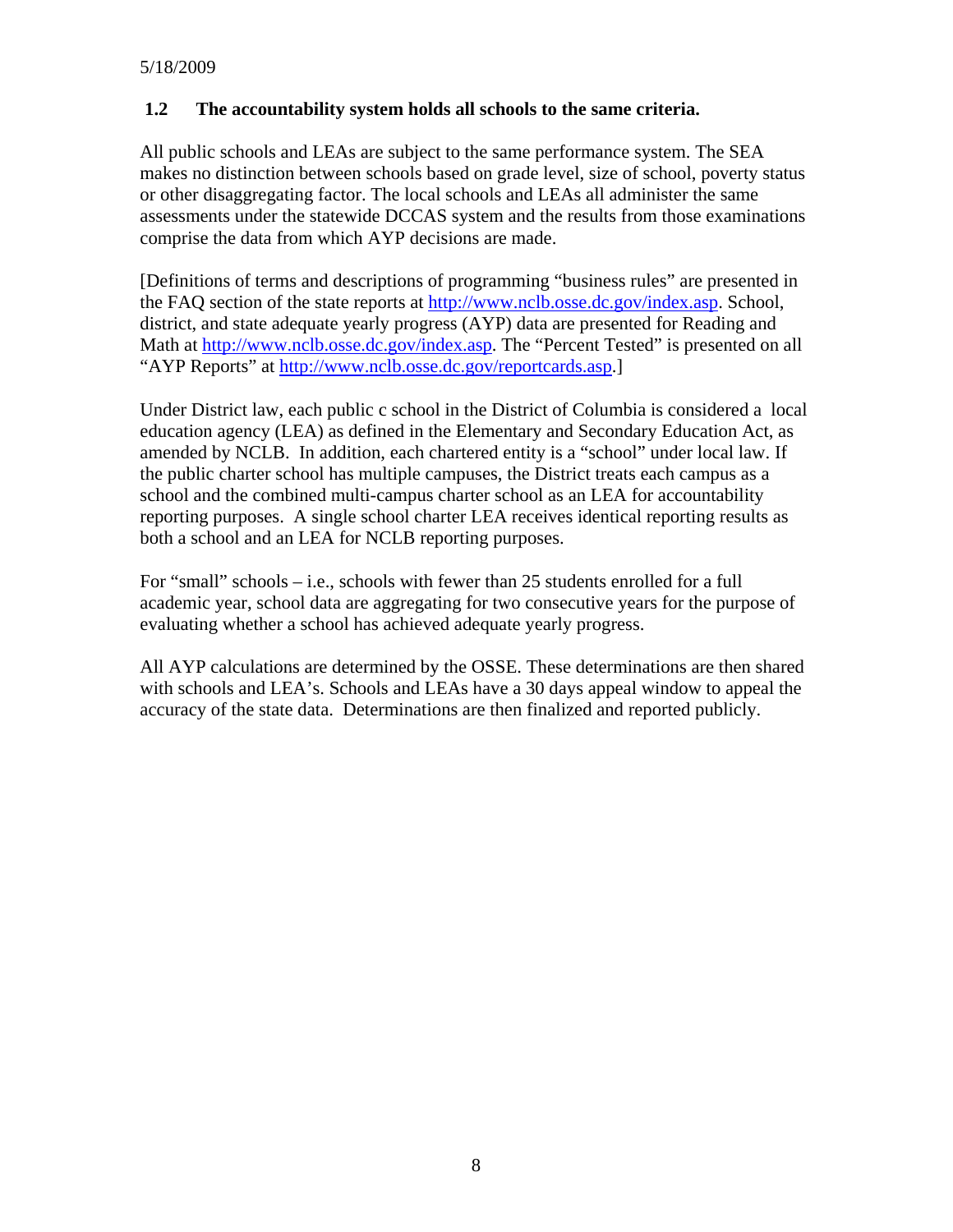# **1.2 The accountability system holds all schools to the same criteria.**

All public schools and LEAs are subject to the same performance system. The SEA makes no distinction between schools based on grade level, size of school, poverty status or other disaggregating factor. The local schools and LEAs all administer the same assessments under the statewide DCCAS system and the results from those examinations comprise the data from which AYP decisions are made.

[Definitions of terms and descriptions of programming "business rules" are presented in the FAQ section of the state reports at [http://www.nclb.osse.dc.gov/index.asp.](http://www.nclb.osse.dc.gov/index.asp) School, district, and state adequate yearly progress (AYP) data are presented for Reading and Math at<http://www.nclb.osse.dc.gov/index.asp>. The "Percent Tested" is presented on all "AYP Reports" at <http://www.nclb.osse.dc.gov/reportcards.asp>.]

Under District law, each public c school in the District of Columbia is considered a local education agency (LEA) as defined in the Elementary and Secondary Education Act, as amended by NCLB. In addition, each chartered entity is a "school" under local law. If the public charter school has multiple campuses, the District treats each campus as a school and the combined multi-campus charter school as an LEA for accountability reporting purposes. A single school charter LEA receives identical reporting results as both a school and an LEA for NCLB reporting purposes.

For "small" schools – i.e., schools with fewer than 25 students enrolled for a full academic year, school data are aggregating for two consecutive years for the purpose of evaluating whether a school has achieved adequate yearly progress.

All AYP calculations are determined by the OSSE. These determinations are then shared with schools and LEA's. Schools and LEAs have a 30 days appeal window to appeal the accuracy of the state data. Determinations are then finalized and reported publicly.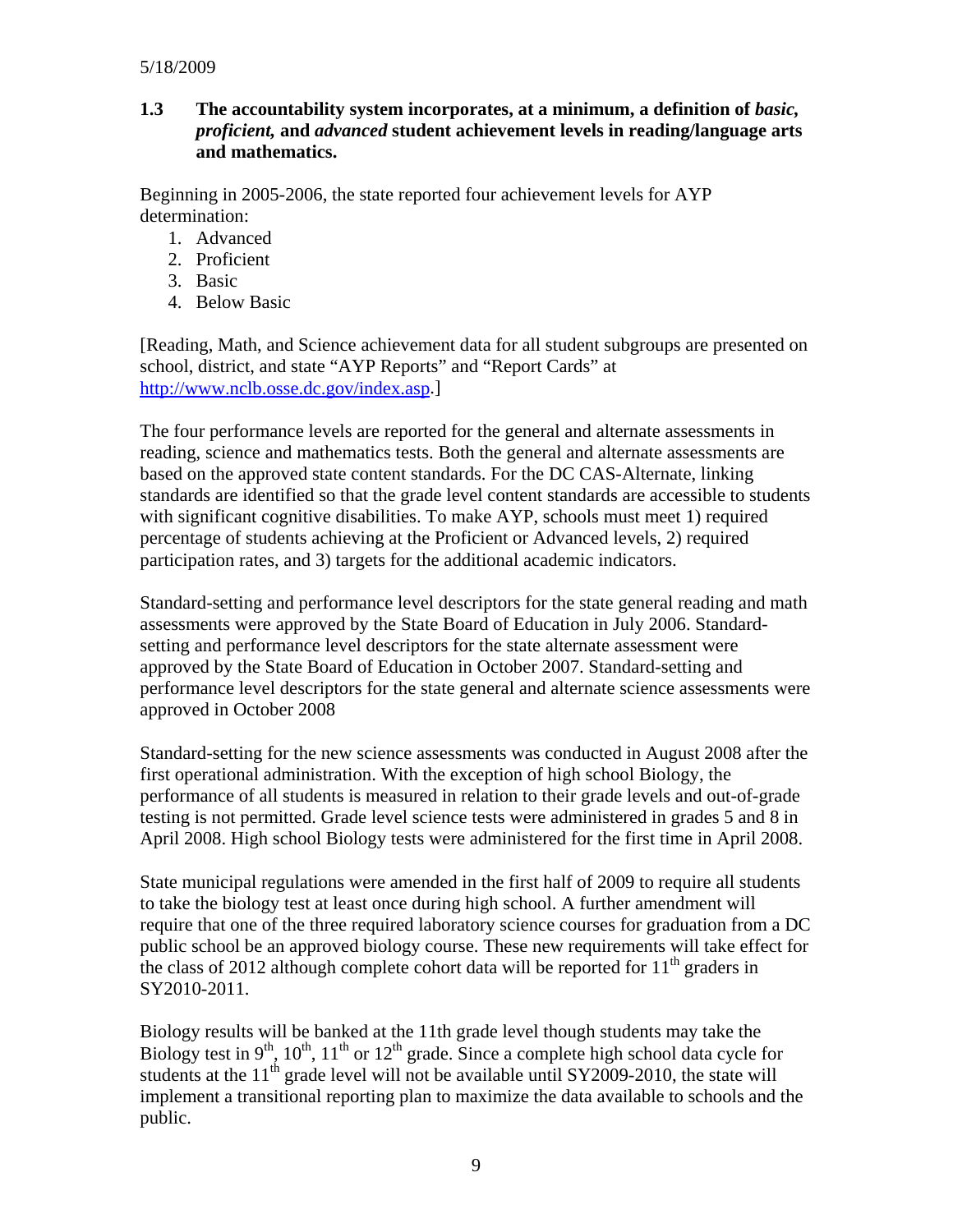#### 5/18/2009

#### **1.3** The accountability system incorporates, at a minimum, a definition of *basic*, *proficient,* **and** *advanced* **student achievement levels in reading/language arts and mathematics.**

Beginning in 2005-2006, the state reported four achievement levels for AYP determination:

- 1. Advanced
- 2. Proficient
- 3. Basic
- 4. Below Basic

[Reading, Math, and Science achievement data for all student subgroups are presented on school, district, and state "AYP Reports" and "Report Cards" at <http://www.nclb.osse.dc.gov/index.asp>.]

The four performance levels are reported for the general and alternate assessments in reading, science and mathematics tests. Both the general and alternate assessments are based on the approved state content standards. For the DC CAS-Alternate, linking standards are identified so that the grade level content standards are accessible to students with significant cognitive disabilities. To make AYP, schools must meet 1) required percentage of students achieving at the Proficient or Advanced levels, 2) required participation rates, and 3) targets for the additional academic indicators.

Standard-setting and performance level descriptors for the state general reading and math assessments were approved by the State Board of Education in July 2006. Standardsetting and performance level descriptors for the state alternate assessment were approved by the State Board of Education in October 2007. Standard-setting and performance level descriptors for the state general and alternate science assessments were approved in October 2008

Standard-setting for the new science assessments was conducted in August 2008 after the first operational administration. With the exception of high school Biology, the performance of all students is measured in relation to their grade levels and out-of-grade testing is not permitted. Grade level science tests were administered in grades 5 and 8 in April 2008. High school Biology tests were administered for the first time in April 2008.

State municipal regulations were amended in the first half of 2009 to require all students to take the biology test at least once during high school. A further amendment will require that one of the three required laboratory science courses for graduation from a DC public school be an approved biology course. These new requirements will take effect for the class of 2012 although complete cohort data will be reported for  $11<sup>th</sup>$  graders in SY2010-2011.

Biology results will be banked at the 11th grade level though students may take the Biology test in 9<sup>th</sup>, 10<sup>th</sup>, 11<sup>th</sup> or 12<sup>th</sup> grade. Since a complete high school data cycle for students at the  $11<sup>th</sup>$  grade level will not be available until SY2009-2010, the state will implement a transitional reporting plan to maximize the data available to schools and the public.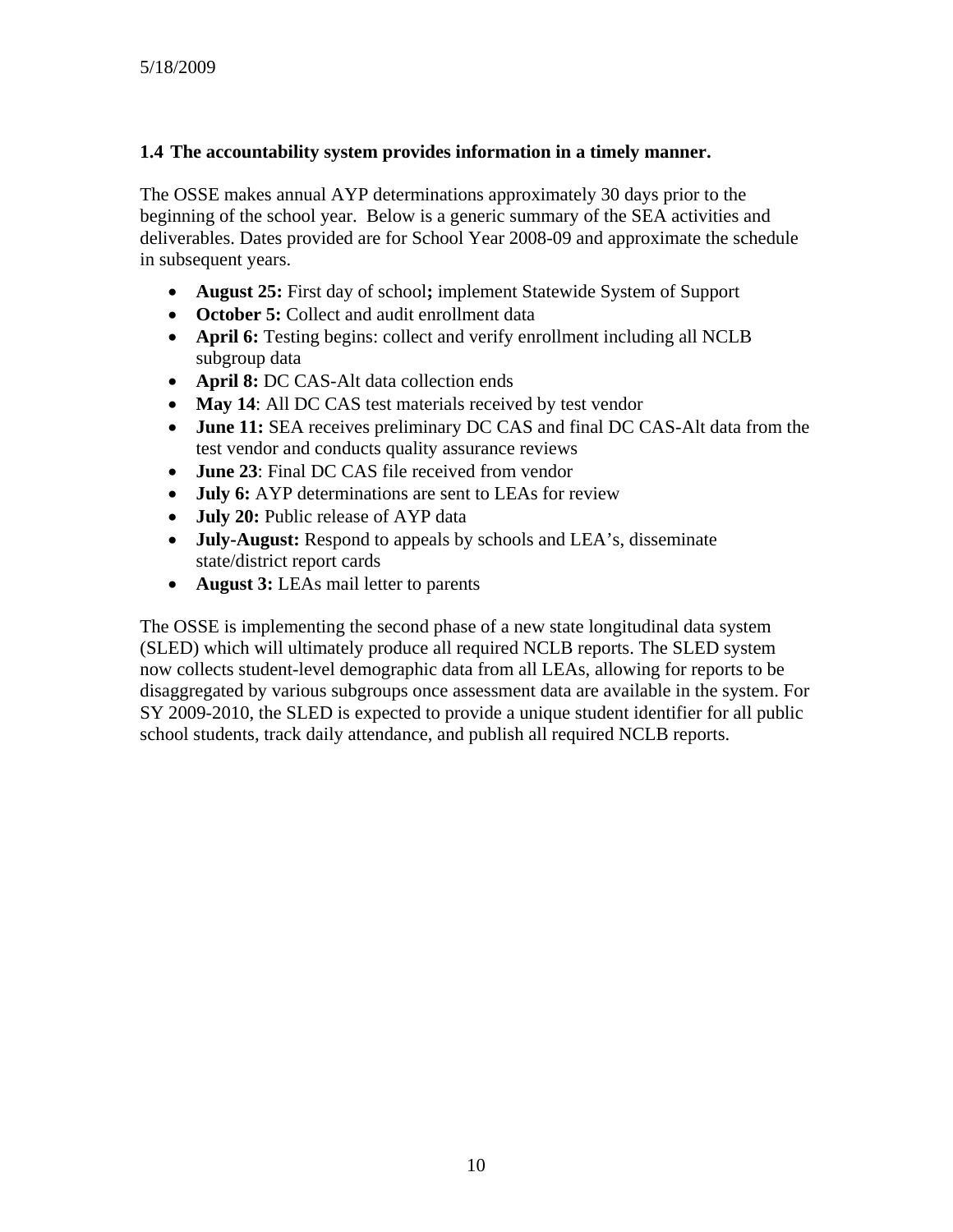#### **1.4 The accountability system provides information in a timely manner.**

The OSSE makes annual AYP determinations approximately 30 days prior to the beginning of the school year. Below is a generic summary of the SEA activities and deliverables. Dates provided are for School Year 2008-09 and approximate the schedule in subsequent years.

- **August 25:** First day of school**;** implement Statewide System of Support
- **October 5:** Collect and audit enrollment data
- **April 6:** Testing begins: collect and verify enrollment including all NCLB subgroup data
- **April 8:** DC CAS-Alt data collection ends
- May 14: All DC CAS test materials received by test vendor
- **June 11:** SEA receives preliminary DC CAS and final DC CAS-Alt data from the test vendor and conducts quality assurance reviews
- **June 23**: Final DC CAS file received from vendor
- **July 6:** AYP determinations are sent to LEAs for review
- **July 20:** Public release of AYP data
- **July-August:** Respond to appeals by schools and LEA's, disseminate state/district report cards
- **August 3:** LEAs mail letter to parents

The OSSE is implementing the second phase of a new state longitudinal data system (SLED) which will ultimately produce all required NCLB reports. The SLED system now collects student-level demographic data from all LEAs, allowing for reports to be disaggregated by various subgroups once assessment data are available in the system. For SY 2009-2010, the SLED is expected to provide a unique student identifier for all public school students, track daily attendance, and publish all required NCLB reports.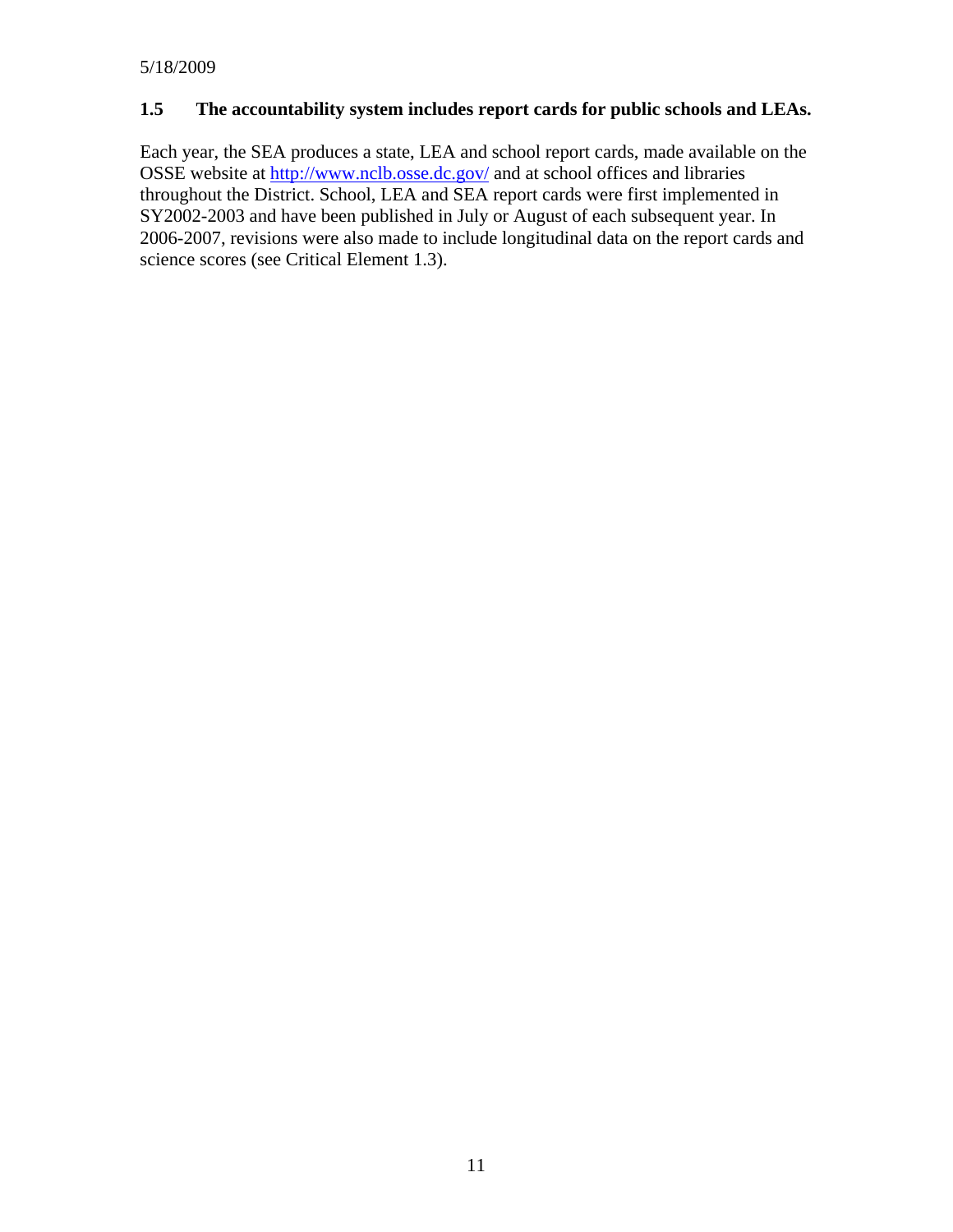#### **1.5 The accountability system includes report cards for public schools and LEAs.**

Each year, the SEA produces a state, LEA and school report cards, made available on the OSSE website at <http://www.nclb.osse.dc.gov/> and at school offices and libraries throughout the District. School, LEA and SEA report cards were first implemented in SY2002-2003 and have been published in July or August of each subsequent year. In 2006-2007, revisions were also made to include longitudinal data on the report cards and science scores (see Critical Element 1.3).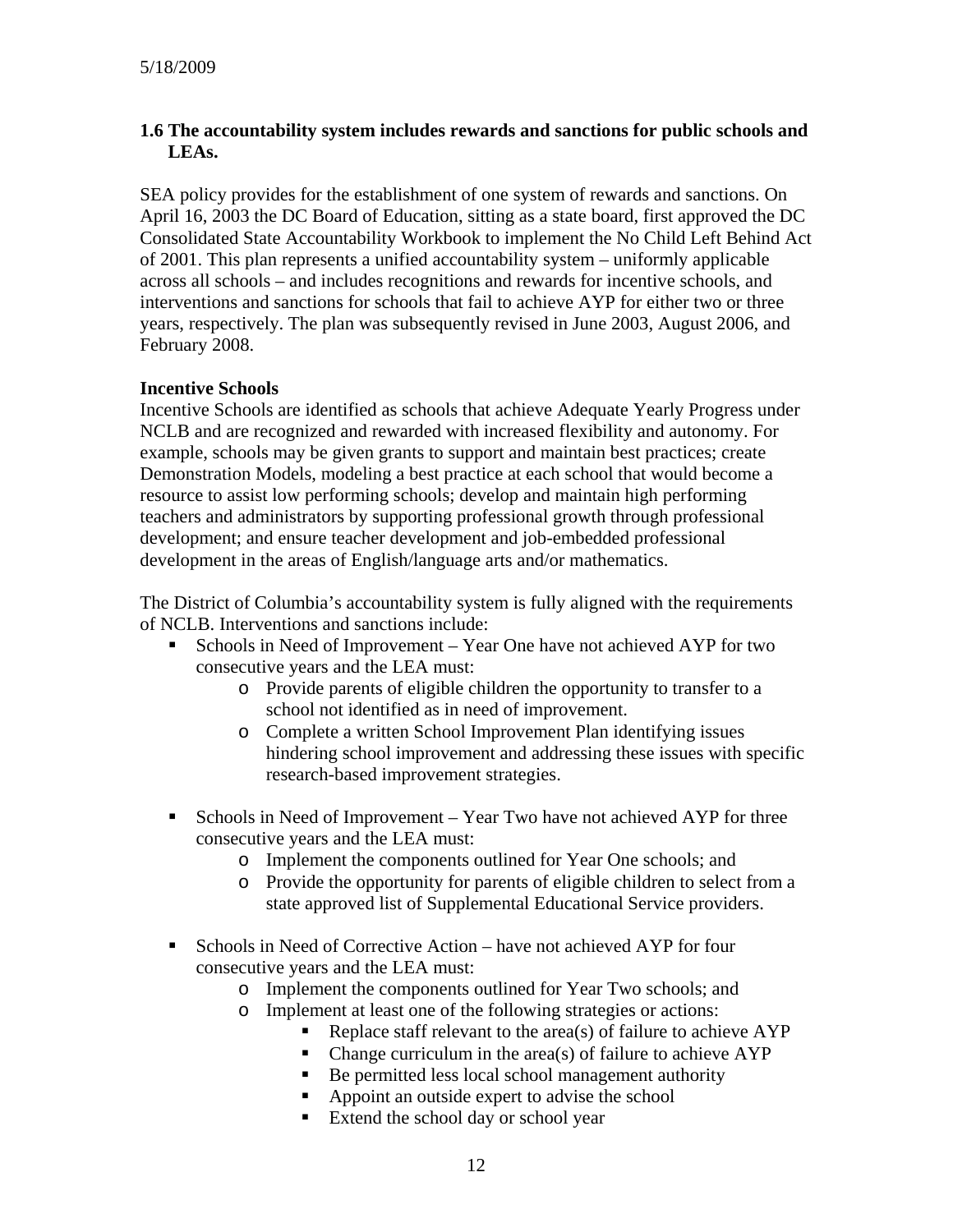#### **1.6 The accountability system includes rewards and sanctions for public schools and LEAs.**

SEA policy provides for the establishment of one system of rewards and sanctions. On April 16, 2003 the DC Board of Education, sitting as a state board, first approved the DC Consolidated State Accountability Workbook to implement the No Child Left Behind Act of 2001. This plan represents a unified accountability system – uniformly applicable across all schools – and includes recognitions and rewards for incentive schools, and interventions and sanctions for schools that fail to achieve AYP for either two or three years, respectively. The plan was subsequently revised in June 2003, August 2006, and February 2008.

#### **Incentive Schools**

Incentive Schools are identified as schools that achieve Adequate Yearly Progress under NCLB and are recognized and rewarded with increased flexibility and autonomy. For example, schools may be given grants to support and maintain best practices; create Demonstration Models, modeling a best practice at each school that would become a resource to assist low performing schools; develop and maintain high performing teachers and administrators by supporting professional growth through professional development; and ensure teacher development and job-embedded professional development in the areas of English/language arts and/or mathematics.

The District of Columbia's accountability system is fully aligned with the requirements of NCLB. Interventions and sanctions include:

- Schools in Need of Improvement Year One have not achieved AYP for two consecutive years and the LEA must:
	- o Provide parents of eligible children the opportunity to transfer to a school not identified as in need of improvement.
	- o Complete a written School Improvement Plan identifying issues hindering school improvement and addressing these issues with specific research-based improvement strategies.
- Schools in Need of Improvement Year Two have not achieved AYP for three consecutive years and the LEA must:
	- o Implement the components outlined for Year One schools; and
	- o Provide the opportunity for parents of eligible children to select from a state approved list of Supplemental Educational Service providers.
- Schools in Need of Corrective Action have not achieved AYP for four consecutive years and the LEA must:
	- o Implement the components outlined for Year Two schools; and
	- o Implement at least one of the following strategies or actions:
		- Replace staff relevant to the area(s) of failure to achieve AYP
		- Change curriculum in the area(s) of failure to achieve  $APP$
		- Be permitted less local school management authority
		- Appoint an outside expert to advise the school
		- Extend the school day or school year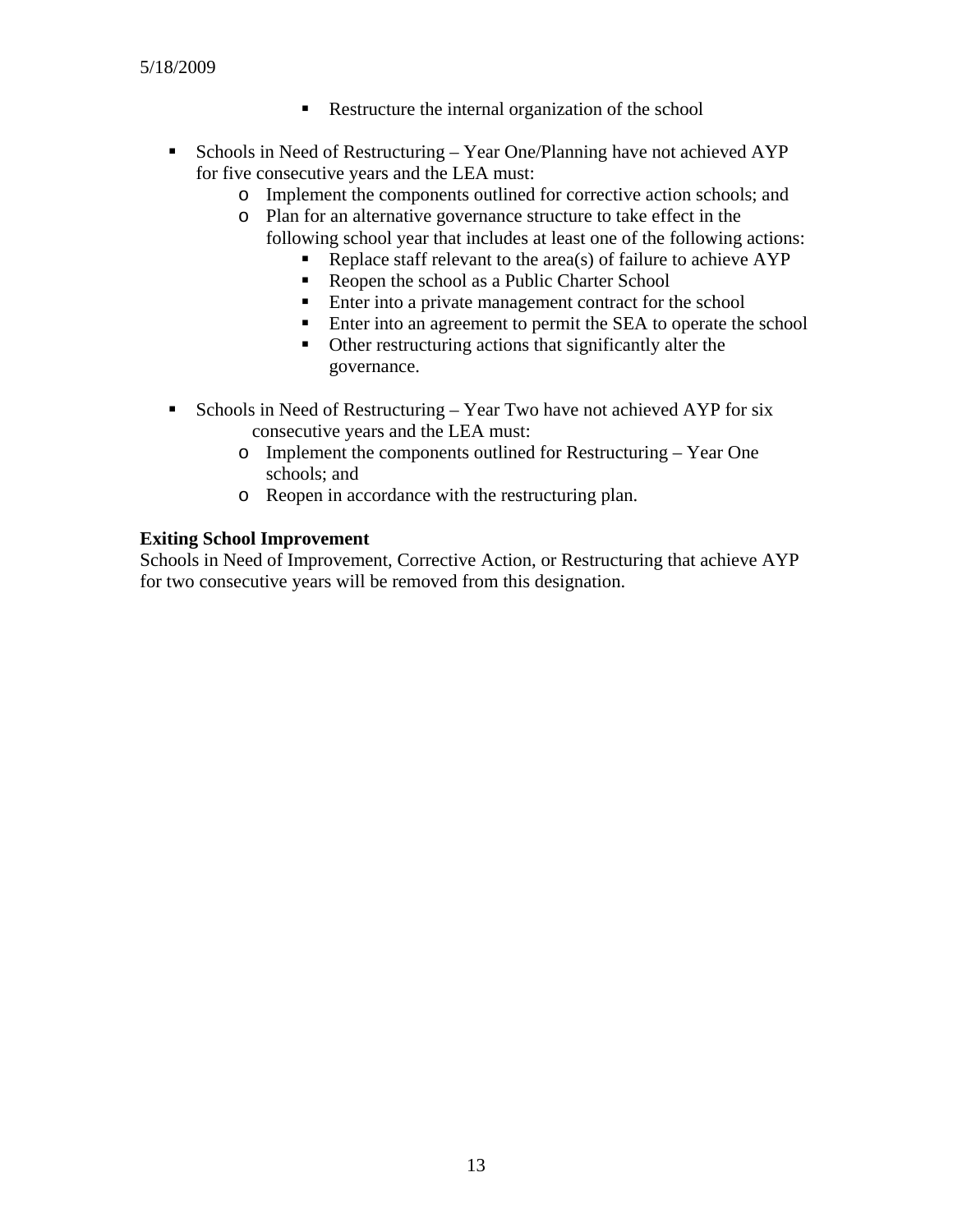- Restructure the internal organization of the school
- Schools in Need of Restructuring Year One/Planning have not achieved AYP for five consecutive years and the LEA must:
	- o Implement the components outlined for corrective action schools; and
	- o Plan for an alternative governance structure to take effect in the following school year that includes at least one of the following actions:
		- Replace staff relevant to the area(s) of failure to achieve AYP
		- Reopen the school as a Public Charter School
		- **Enter into a private management contract for the school**
		- **Enter into an agreement to permit the SEA to operate the school**
		- Other restructuring actions that significantly alter the governance.
- Schools in Need of Restructuring Year Two have not achieved AYP for six consecutive years and the LEA must:
	- o Implement the components outlined for Restructuring Year One schools; and
	- o Reopen in accordance with the restructuring plan.

#### **Exiting School Improvement**

Schools in Need of Improvement, Corrective Action, or Restructuring that achieve AYP for two consecutive years will be removed from this designation.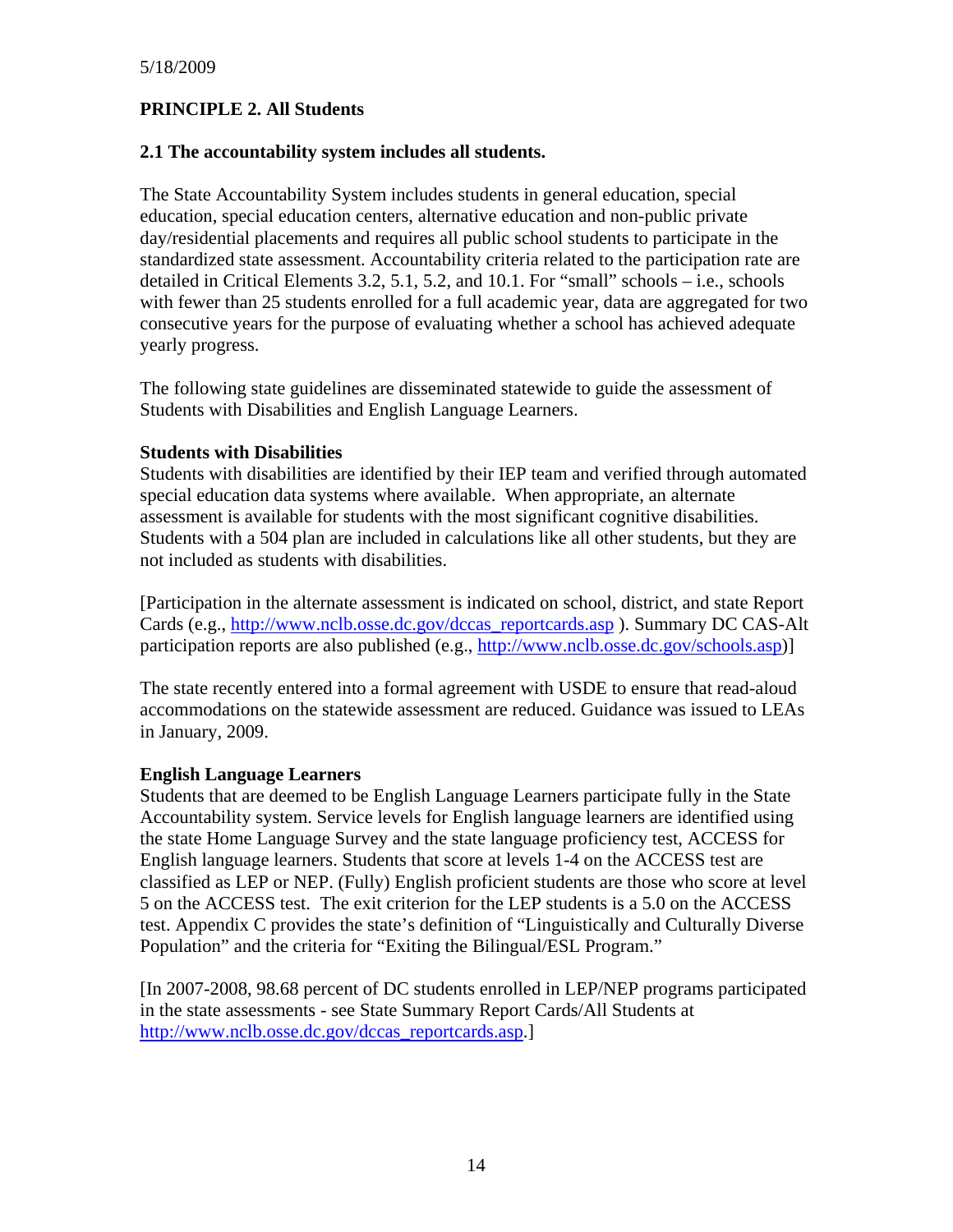# **PRINCIPLE 2. All Students**

#### **2.1 The accountability system includes all students.**

The State Accountability System includes students in general education, special education, special education centers, alternative education and non-public private day/residential placements and requires all public school students to participate in the standardized state assessment. Accountability criteria related to the participation rate are detailed in Critical Elements 3.2, 5.1, 5.2, and 10.1. For "small" schools – i.e., schools with fewer than 25 students enrolled for a full academic year, data are aggregated for two consecutive years for the purpose of evaluating whether a school has achieved adequate yearly progress.

The following state guidelines are disseminated statewide to guide the assessment of Students with Disabilities and English Language Learners.

#### **Students with Disabilities**

Students with disabilities are identified by their IEP team and verified through automated special education data systems where available. When appropriate, an alternate assessment is available for students with the most significant cognitive disabilities. Students with a 504 plan are included in calculations like all other students, but they are not included as students with disabilities.

[Participation in the alternate assessment is indicated on school, district, and state Report Cards (e.g., [http://www.nclb.osse.dc.gov/dccas\\_reportcards.asp](http://www.nclb.osse.dc.gov/dccas_reportcards.asp) ). Summary DC CAS-Alt participation reports are also published (e.g., [http://www.nclb.osse.dc.gov/schools.asp\)](http://www.nclb.osse.dc.gov/schools.asp)]

The state recently entered into a formal agreement with USDE to ensure that read-aloud accommodations on the statewide assessment are reduced. Guidance was issued to LEAs in January, 2009.

#### **English Language Learners**

Students that are deemed to be English Language Learners participate fully in the State Accountability system. Service levels for English language learners are identified using the state Home Language Survey and the state language proficiency test, ACCESS for English language learners. Students that score at levels 1-4 on the ACCESS test are classified as LEP or NEP. (Fully) English proficient students are those who score at level 5 on the ACCESS test. The exit criterion for the LEP students is a 5.0 on the ACCESS test. Appendix C provides the state's definition of "Linguistically and Culturally Diverse Population" and the criteria for "Exiting the Bilingual/ESL Program."

[In 2007-2008, 98.68 percent of DC students enrolled in LEP/NEP programs participated in the state assessments - see State Summary Report Cards/All Students at [http://www.nclb.osse.dc.gov/dccas\\_reportcards.asp](http://www.nclb.osse.dc.gov/dccas_reportcards.asp).]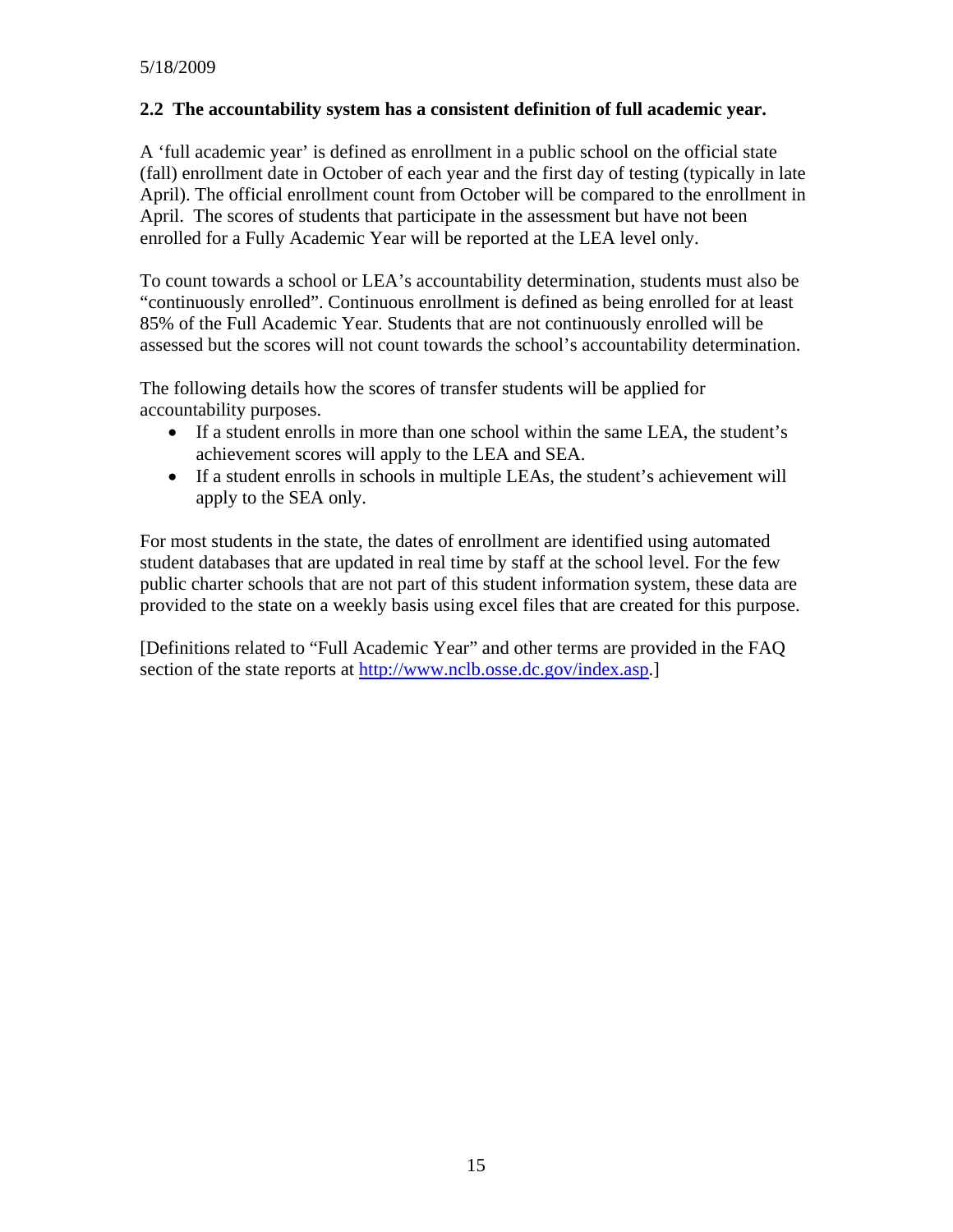## **2.2 The accountability system has a consistent definition of full academic year.**

A 'full academic year' is defined as enrollment in a public school on the official state (fall) enrollment date in October of each year and the first day of testing (typically in late April). The official enrollment count from October will be compared to the enrollment in April. The scores of students that participate in the assessment but have not been enrolled for a Fully Academic Year will be reported at the LEA level only.

To count towards a school or LEA's accountability determination, students must also be "continuously enrolled". Continuous enrollment is defined as being enrolled for at least 85% of the Full Academic Year. Students that are not continuously enrolled will be assessed but the scores will not count towards the school's accountability determination.

The following details how the scores of transfer students will be applied for accountability purposes.

- If a student enrolls in more than one school within the same LEA, the student's achievement scores will apply to the LEA and SEA.
- If a student enrolls in schools in multiple LEAs, the student's achievement will apply to the SEA only.

For most students in the state, the dates of enrollment are identified using automated student databases that are updated in real time by staff at the school level. For the few public charter schools that are not part of this student information system, these data are provided to the state on a weekly basis using excel files that are created for this purpose.

[Definitions related to "Full Academic Year" and other terms are provided in the FAQ section of the state reports at [http://www.nclb.osse.dc.gov/index.asp.](http://www.nclb.osse.dc.gov/index.asp)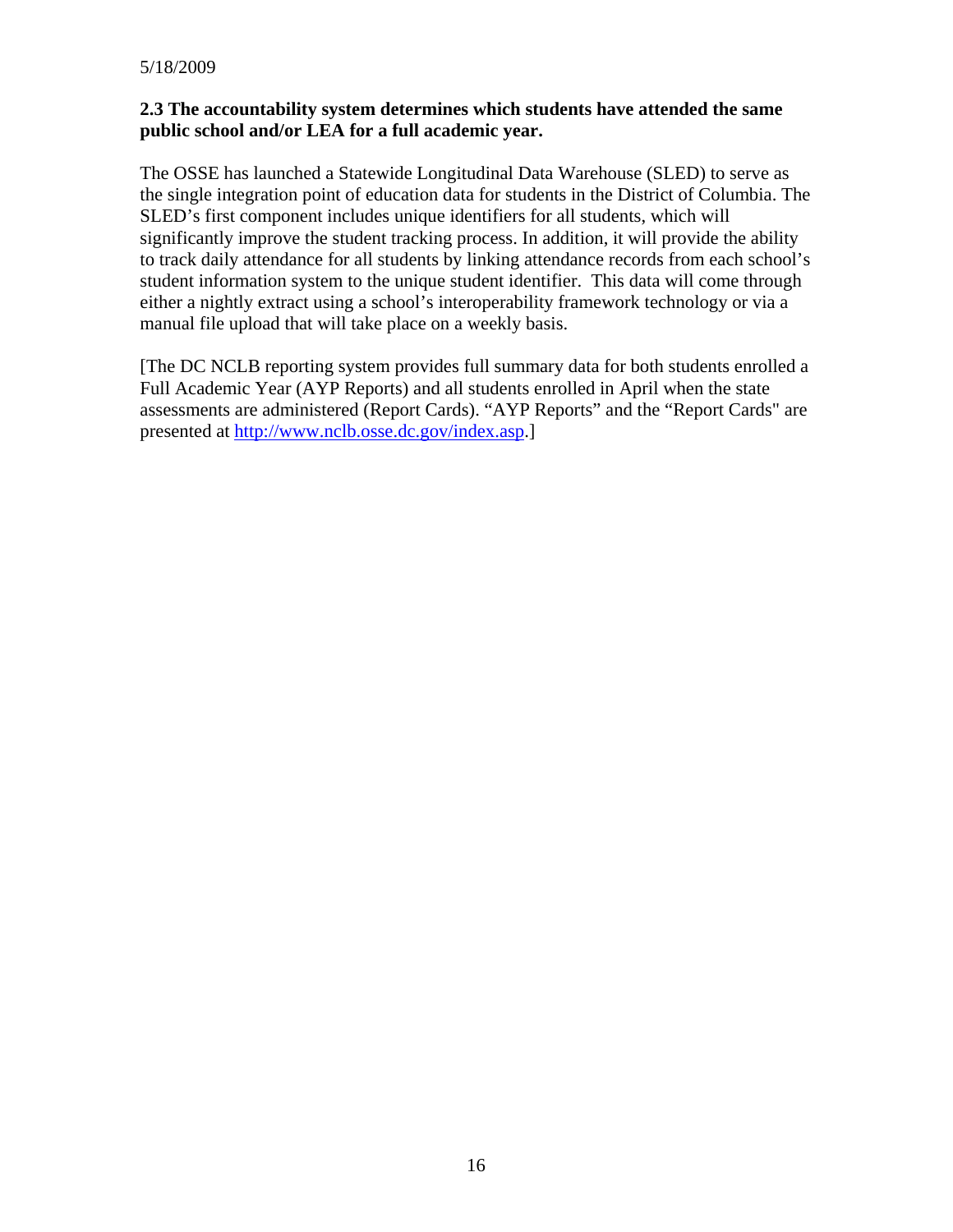#### **2.3 The accountability system determines which students have attended the same public school and/or LEA for a full academic year.**

The OSSE has launched a Statewide Longitudinal Data Warehouse (SLED) to serve as the single integration point of education data for students in the District of Columbia. The SLED's first component includes unique identifiers for all students, which will significantly improve the student tracking process. In addition, it will provide the ability to track daily attendance for all students by linking attendance records from each school's student information system to the unique student identifier. This data will come through either a nightly extract using a school's interoperability framework technology or via a manual file upload that will take place on a weekly basis.

[The DC NCLB reporting system provides full summary data for both students enrolled a Full Academic Year (AYP Reports) and all students enrolled in April when the state assessments are administered (Report Cards). "AYP Reports" and the "Report Cards" are presented at <http://www.nclb.osse.dc.gov/index.asp>.]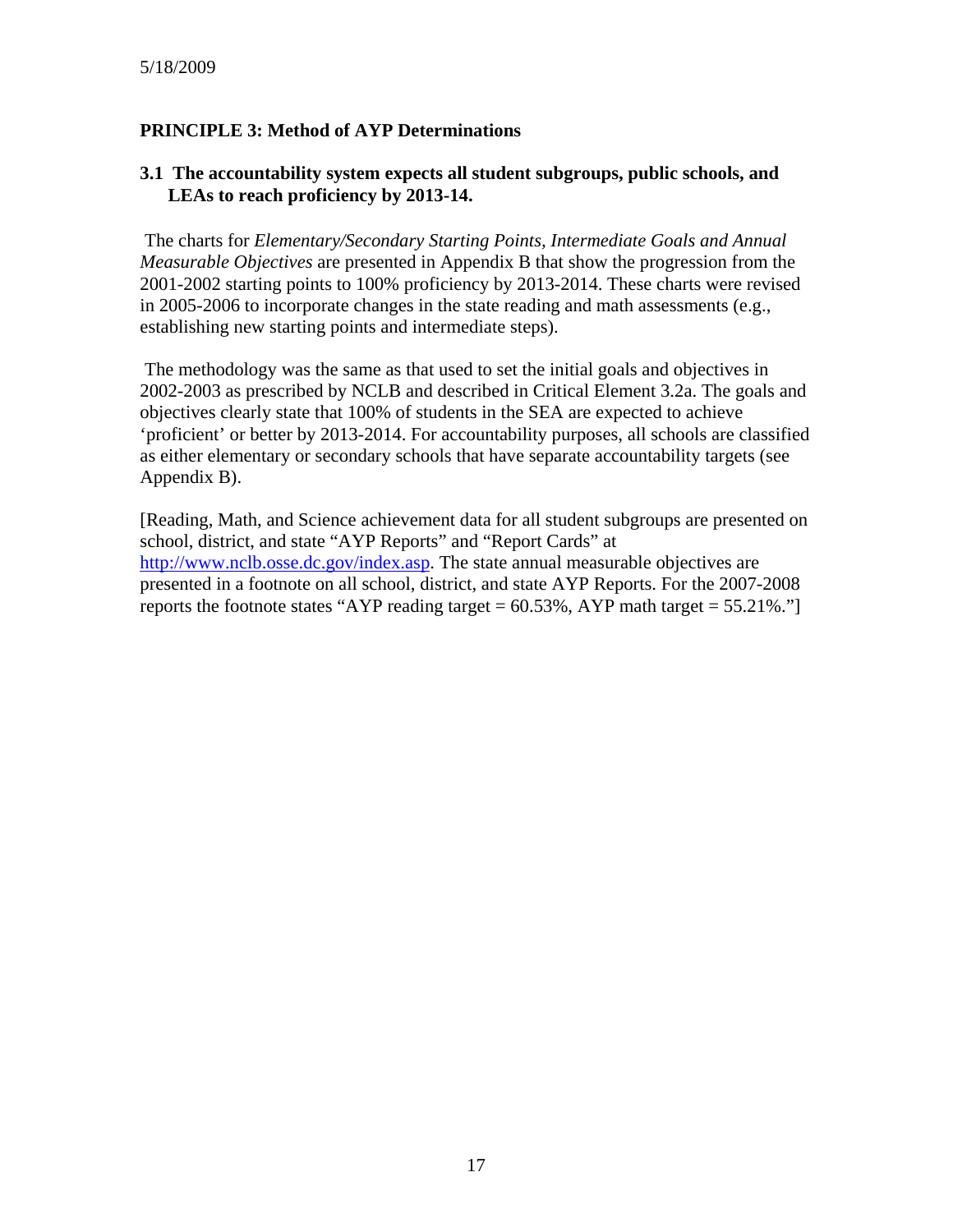# **PRINCIPLE 3: Method of AYP Determinations**

#### **3.1 The accountability system expects all student subgroups, public schools, and LEAs to reach proficiency by 2013-14.**

 The charts for *Elementary/Secondary Starting Points, Intermediate Goals and Annual Measurable Objectives* are presented in Appendix B that show the progression from the 2001-2002 starting points to 100% proficiency by 2013-2014. These charts were revised in 2005-2006 to incorporate changes in the state reading and math assessments (e.g., establishing new starting points and intermediate steps).

 The methodology was the same as that used to set the initial goals and objectives in 2002-2003 as prescribed by NCLB and described in Critical Element 3.2a. The goals and objectives clearly state that 100% of students in the SEA are expected to achieve 'proficient' or better by 2013-2014. For accountability purposes, all schools are classified as either elementary or secondary schools that have separate accountability targets (see Appendix B).

[Reading, Math, and Science achievement data for all student subgroups are presented on school, district, and state "AYP Reports" and "Report Cards" at <http://www.nclb.osse.dc.gov/index.asp>. The state annual measurable objectives are presented in a footnote on all school, district, and state AYP Reports. For the 2007-2008 reports the footnote states "AYP reading target  $= 60.53\%$ , AYP math target  $= 55.21\%$ ."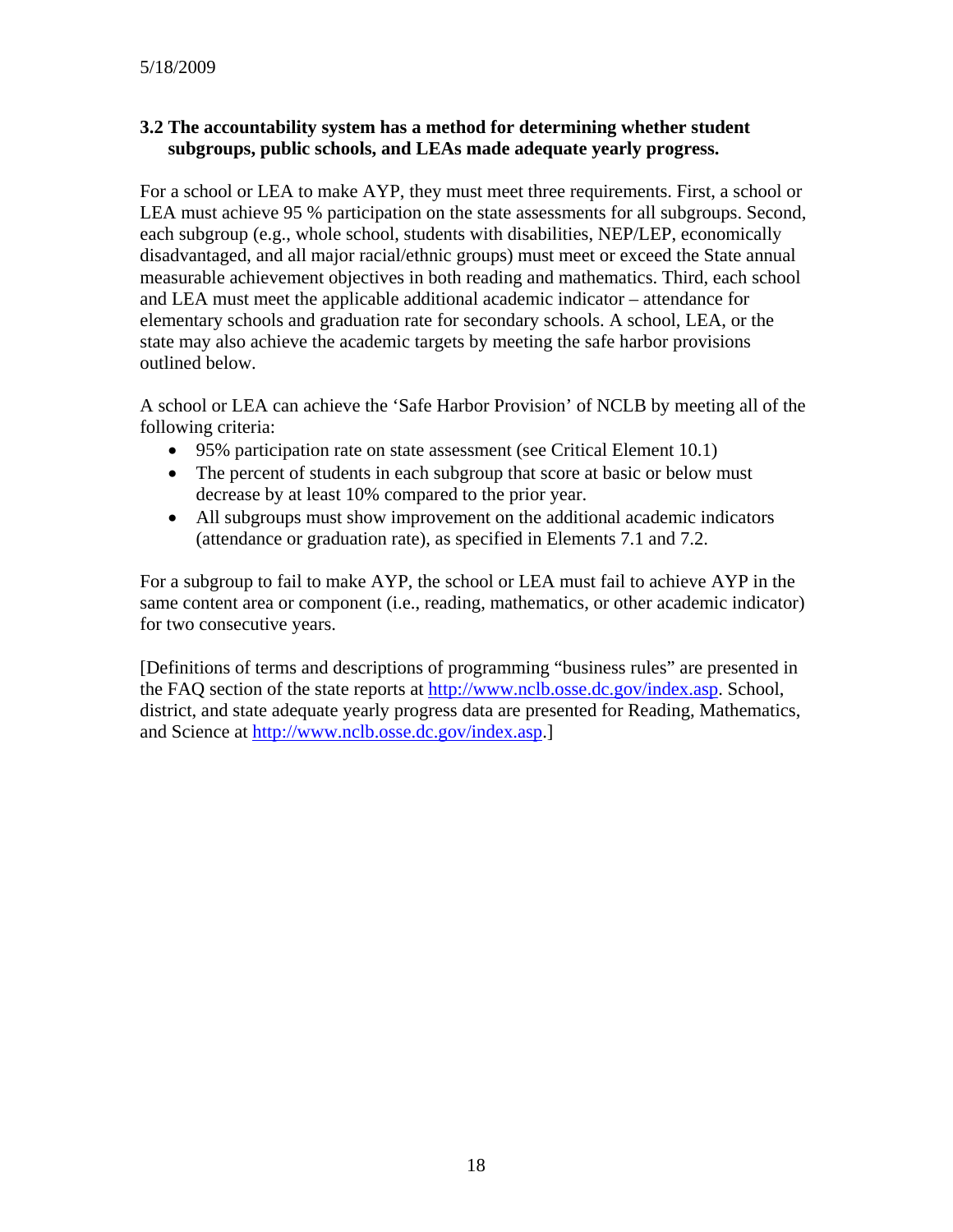#### **3.2 The accountability system has a method for determining whether student subgroups, public schools, and LEAs made adequate yearly progress.**

For a school or LEA to make AYP, they must meet three requirements. First, a school or LEA must achieve 95 % participation on the state assessments for all subgroups. Second, each subgroup (e.g., whole school, students with disabilities, NEP/LEP, economically disadvantaged, and all major racial/ethnic groups) must meet or exceed the State annual measurable achievement objectives in both reading and mathematics. Third, each school and LEA must meet the applicable additional academic indicator – attendance for elementary schools and graduation rate for secondary schools. A school, LEA, or the state may also achieve the academic targets by meeting the safe harbor provisions outlined below.

A school or LEA can achieve the 'Safe Harbor Provision' of NCLB by meeting all of the following criteria:

- 95% participation rate on state assessment (see Critical Element 10.1)
- The percent of students in each subgroup that score at basic or below must decrease by at least 10% compared to the prior year.
- All subgroups must show improvement on the additional academic indicators (attendance or graduation rate), as specified in Elements 7.1 and 7.2.

For a subgroup to fail to make AYP, the school or LEA must fail to achieve AYP in the same content area or component (i.e., reading, mathematics, or other academic indicator) for two consecutive years.

[Definitions of terms and descriptions of programming "business rules" are presented in the FAQ section of the state reports at [http://www.nclb.osse.dc.gov/index.asp.](http://www.nclb.osse.dc.gov/index.asp) School, district, and state adequate yearly progress data are presented for Reading, Mathematics, and Science at [http://www.nclb.osse.dc.gov/index.asp.](http://www.nclb.osse.dc.gov/index.asp)]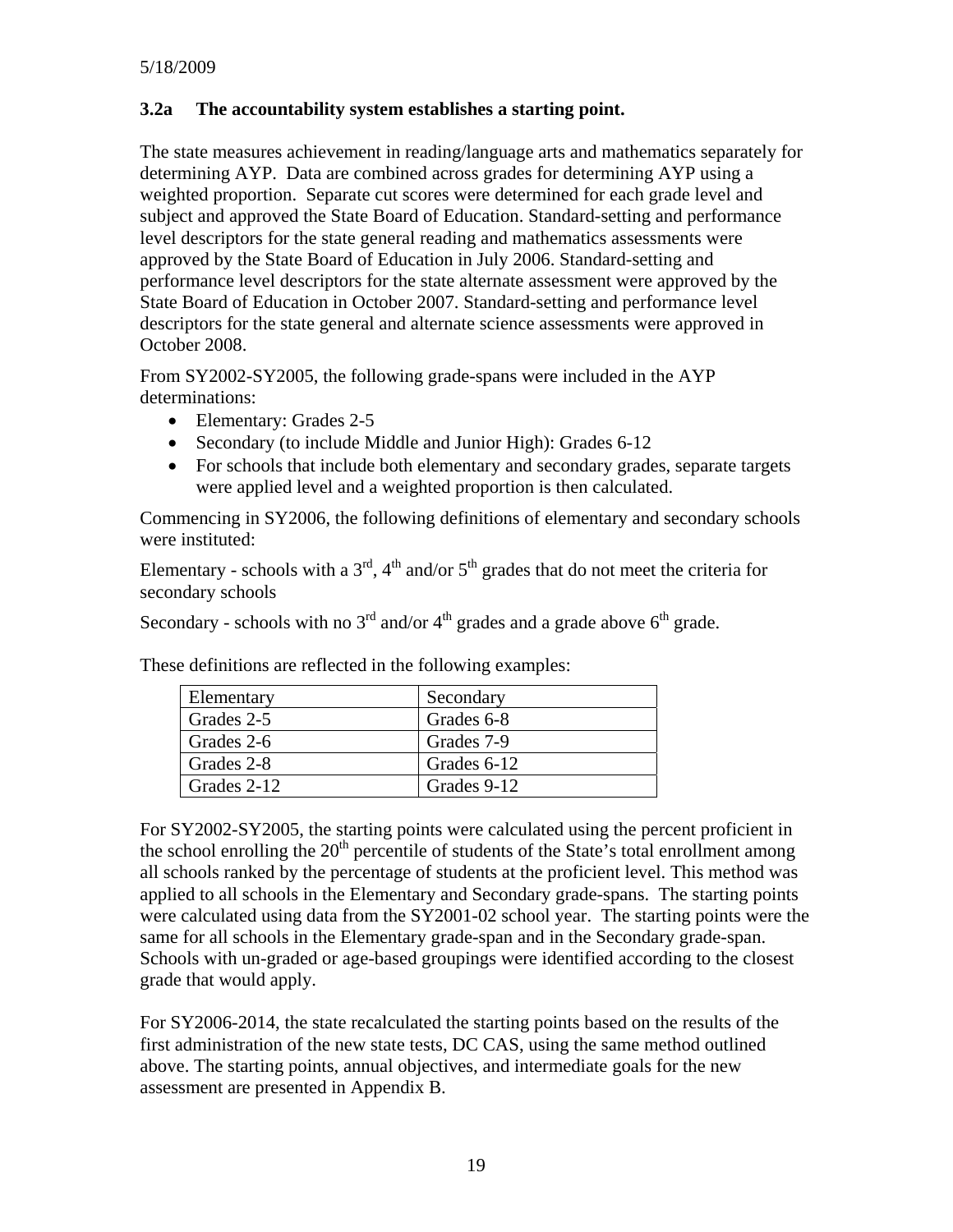#### **3.2a The accountability system establishes a starting point.**

The state measures achievement in reading/language arts and mathematics separately for determining AYP. Data are combined across grades for determining AYP using a weighted proportion. Separate cut scores were determined for each grade level and subject and approved the State Board of Education. Standard-setting and performance level descriptors for the state general reading and mathematics assessments were approved by the State Board of Education in July 2006. Standard-setting and performance level descriptors for the state alternate assessment were approved by the State Board of Education in October 2007. Standard-setting and performance level descriptors for the state general and alternate science assessments were approved in October 2008.

From SY2002-SY2005, the following grade-spans were included in the AYP determinations:

- Elementary: Grades 2-5
- Secondary (to include Middle and Junior High): Grades 6-12
- For schools that include both elementary and secondary grades, separate targets were applied level and a weighted proportion is then calculated.

Commencing in SY2006, the following definitions of elementary and secondary schools were instituted:

Elementary - schools with a  $3<sup>rd</sup>$ ,  $4<sup>th</sup>$  and/or  $5<sup>th</sup>$  grades that do not meet the criteria for secondary schools

Secondary - schools with no  $3<sup>rd</sup>$  and/or  $4<sup>th</sup>$  grades and a grade above  $6<sup>th</sup>$  grade.

| Elementary  | Secondary   |
|-------------|-------------|
| Grades 2-5  | Grades 6-8  |
| Grades 2-6  | Grades 7-9  |
| Grades 2-8  | Grades 6-12 |
| Grades 2-12 | Grades 9-12 |

These definitions are reflected in the following examples:

For SY2002-SY2005, the starting points were calculated using the percent proficient in the school enrolling the  $20<sup>th</sup>$  percentile of students of the State's total enrollment among all schools ranked by the percentage of students at the proficient level. This method was applied to all schools in the Elementary and Secondary grade-spans. The starting points were calculated using data from the SY2001-02 school year. The starting points were the same for all schools in the Elementary grade-span and in the Secondary grade-span. Schools with un-graded or age-based groupings were identified according to the closest grade that would apply.

For SY2006-2014, the state recalculated the starting points based on the results of the first administration of the new state tests, DC CAS, using the same method outlined above. The starting points, annual objectives, and intermediate goals for the new assessment are presented in Appendix B.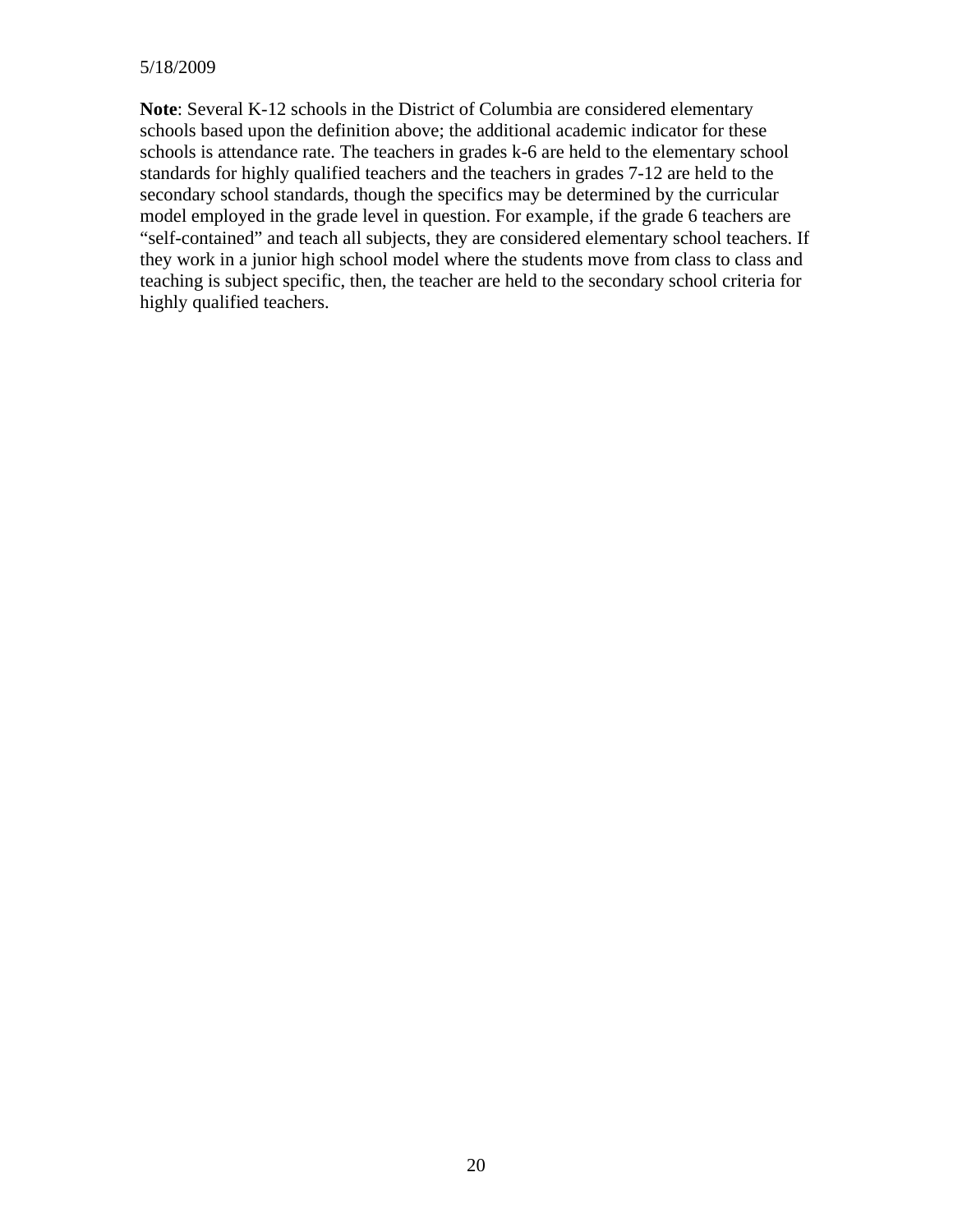#### 5/18/2009

**Note**: Several K-12 schools in the District of Columbia are considered elementary schools based upon the definition above; the additional academic indicator for these schools is attendance rate. The teachers in grades k-6 are held to the elementary school standards for highly qualified teachers and the teachers in grades 7-12 are held to the secondary school standards, though the specifics may be determined by the curricular model employed in the grade level in question. For example, if the grade 6 teachers are "self-contained" and teach all subjects, they are considered elementary school teachers. If they work in a junior high school model where the students move from class to class and teaching is subject specific, then, the teacher are held to the secondary school criteria for highly qualified teachers.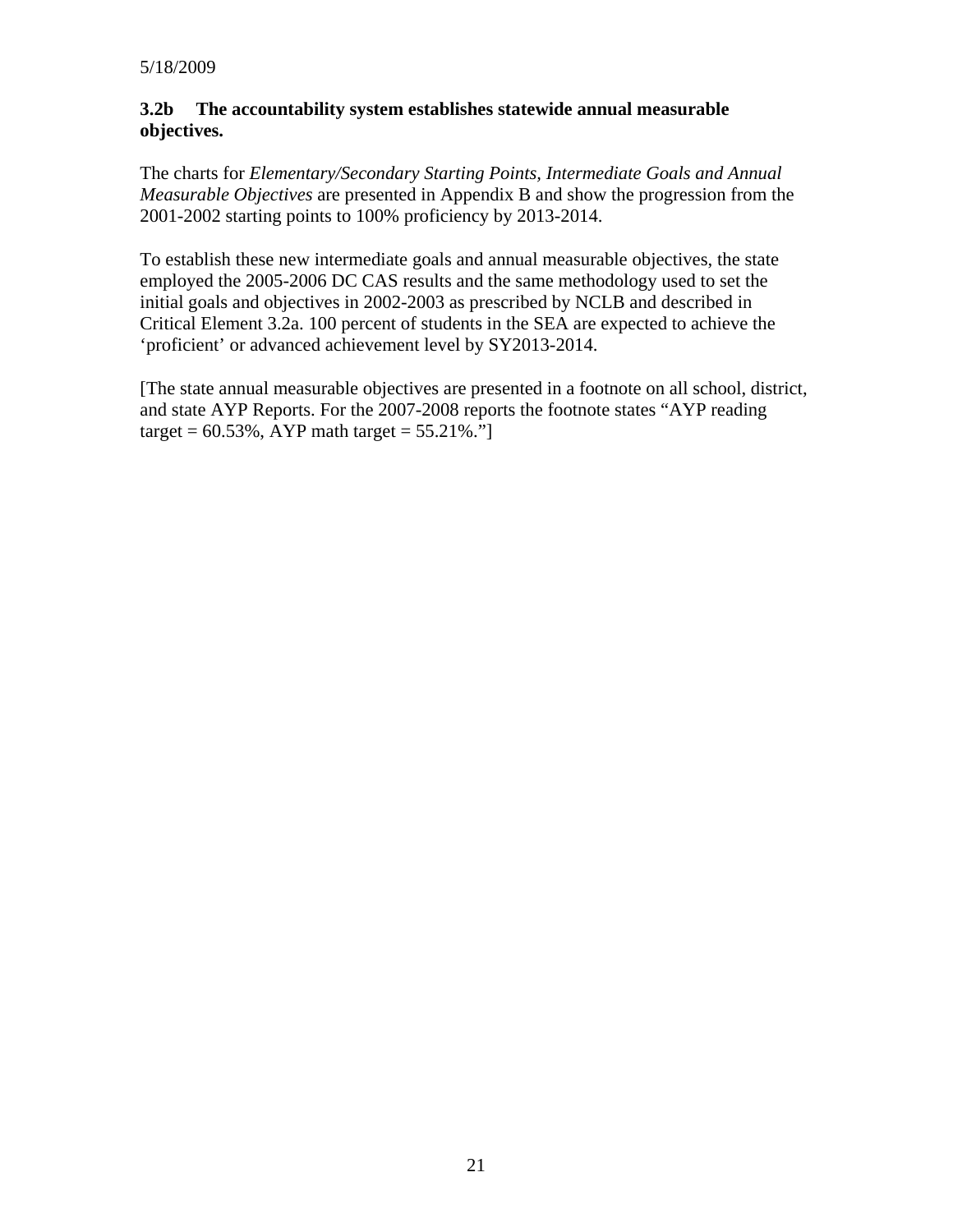#### **3.2b The accountability system establishes statewide annual measurable objectives.**

The charts for *Elementary/Secondary Starting Points, Intermediate Goals and Annual Measurable Objectives* are presented in Appendix B and show the progression from the 2001-2002 starting points to 100% proficiency by 2013-2014.

To establish these new intermediate goals and annual measurable objectives, the state employed the 2005-2006 DC CAS results and the same methodology used to set the initial goals and objectives in 2002-2003 as prescribed by NCLB and described in Critical Element 3.2a. 100 percent of students in the SEA are expected to achieve the 'proficient' or advanced achievement level by SY2013-2014.

[The state annual measurable objectives are presented in a footnote on all school, district, and state AYP Reports. For the 2007-2008 reports the footnote states "AYP reading target =  $60.53\%$ , AYP math target =  $55.21\%$ ."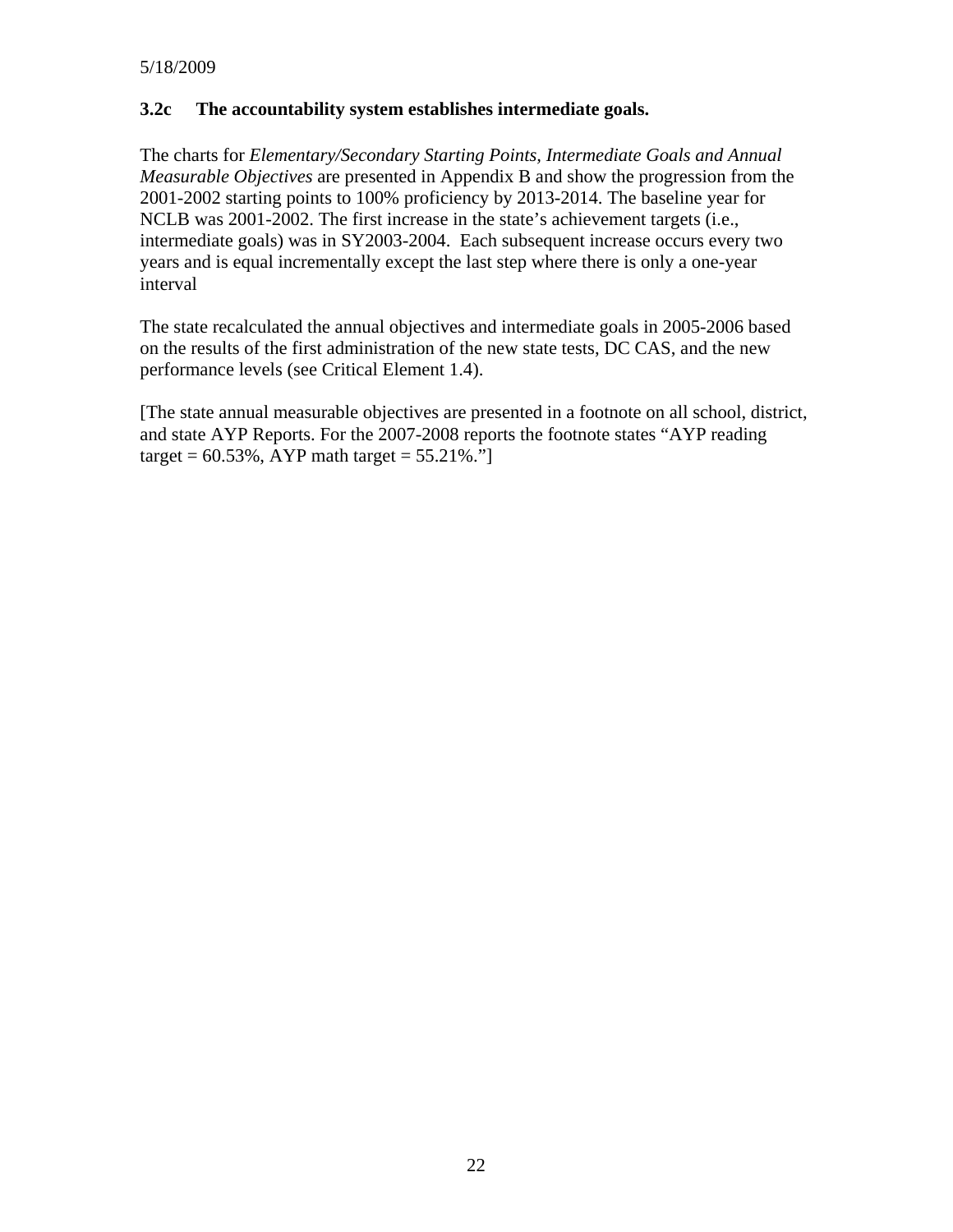#### **3.2c The accountability system establishes intermediate goals.**

The charts for *Elementary/Secondary Starting Points, Intermediate Goals and Annual Measurable Objectives* are presented in Appendix B and show the progression from the 2001-2002 starting points to 100% proficiency by 2013-2014. The baseline year for NCLB was 2001-2002. The first increase in the state's achievement targets (i.e., intermediate goals) was in SY2003-2004. Each subsequent increase occurs every two years and is equal incrementally except the last step where there is only a one-year interval

The state recalculated the annual objectives and intermediate goals in 2005-2006 based on the results of the first administration of the new state tests, DC CAS, and the new performance levels (see Critical Element 1.4).

[The state annual measurable objectives are presented in a footnote on all school, district, and state AYP Reports. For the 2007-2008 reports the footnote states "AYP reading target =  $60.53\%$ , AYP math target =  $55.21\%$ ."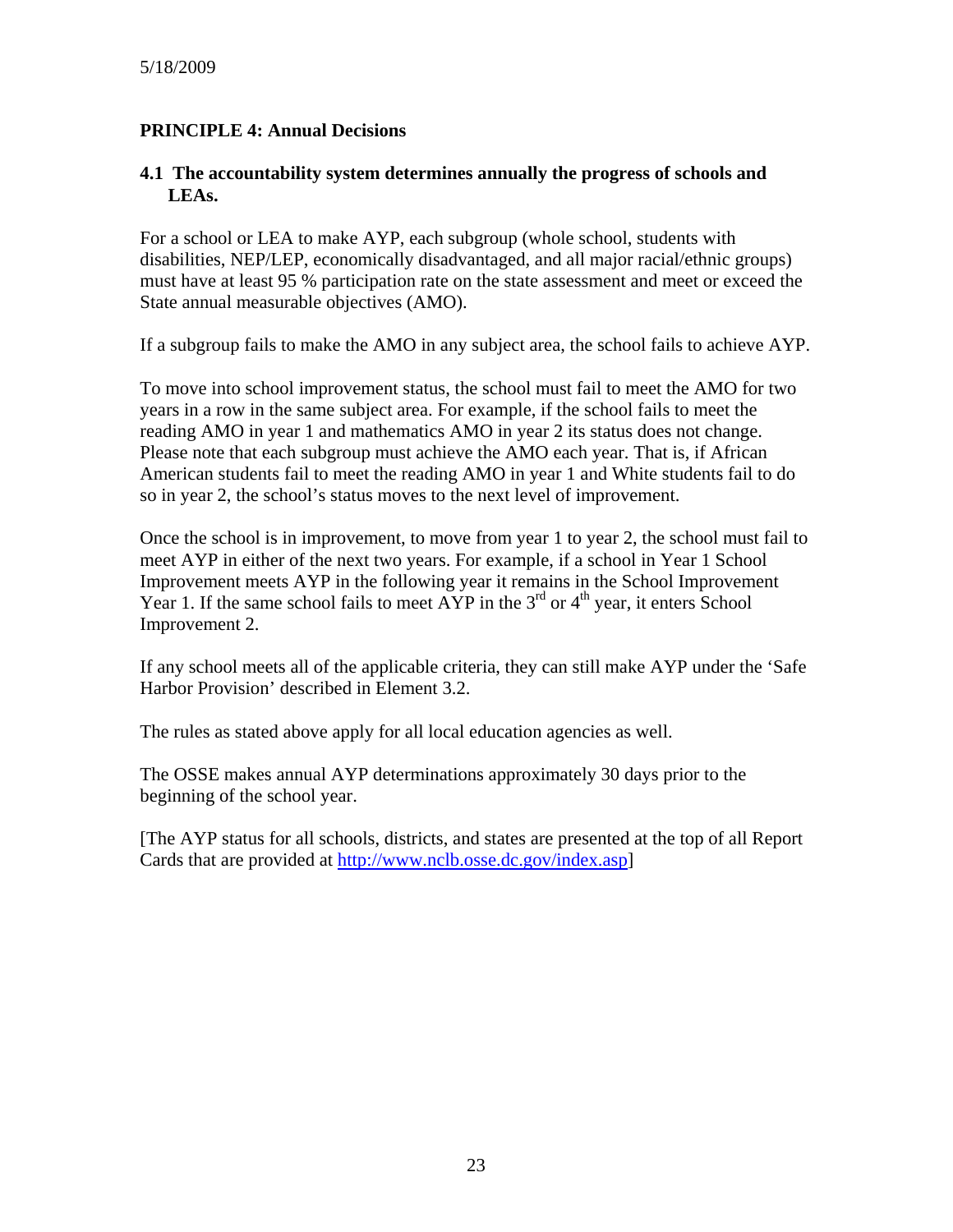## **PRINCIPLE 4: Annual Decisions**

#### **4.1 The accountability system determines annually the progress of schools and LEAs.**

For a school or LEA to make AYP, each subgroup (whole school, students with disabilities, NEP/LEP, economically disadvantaged, and all major racial/ethnic groups) must have at least 95 % participation rate on the state assessment and meet or exceed the State annual measurable objectives (AMO).

If a subgroup fails to make the AMO in any subject area, the school fails to achieve AYP.

To move into school improvement status, the school must fail to meet the AMO for two years in a row in the same subject area. For example, if the school fails to meet the reading AMO in year 1 and mathematics AMO in year 2 its status does not change. Please note that each subgroup must achieve the AMO each year. That is, if African American students fail to meet the reading AMO in year 1 and White students fail to do so in year 2, the school's status moves to the next level of improvement.

Once the school is in improvement, to move from year 1 to year 2, the school must fail to meet AYP in either of the next two years. For example, if a school in Year 1 School Improvement meets AYP in the following year it remains in the School Improvement Year 1. If the same school fails to meet  $\widetilde{AYP}$  in the 3<sup>rd</sup> or 4<sup>th</sup> year, it enters School Improvement 2.

If any school meets all of the applicable criteria, they can still make AYP under the 'Safe Harbor Provision' described in Element 3.2.

The rules as stated above apply for all local education agencies as well.

The OSSE makes annual AYP determinations approximately 30 days prior to the beginning of the school year.

[The AYP status for all schools, districts, and states are presented at the top of all Report Cards that are provided at <http://www.nclb.osse.dc.gov/index.asp>]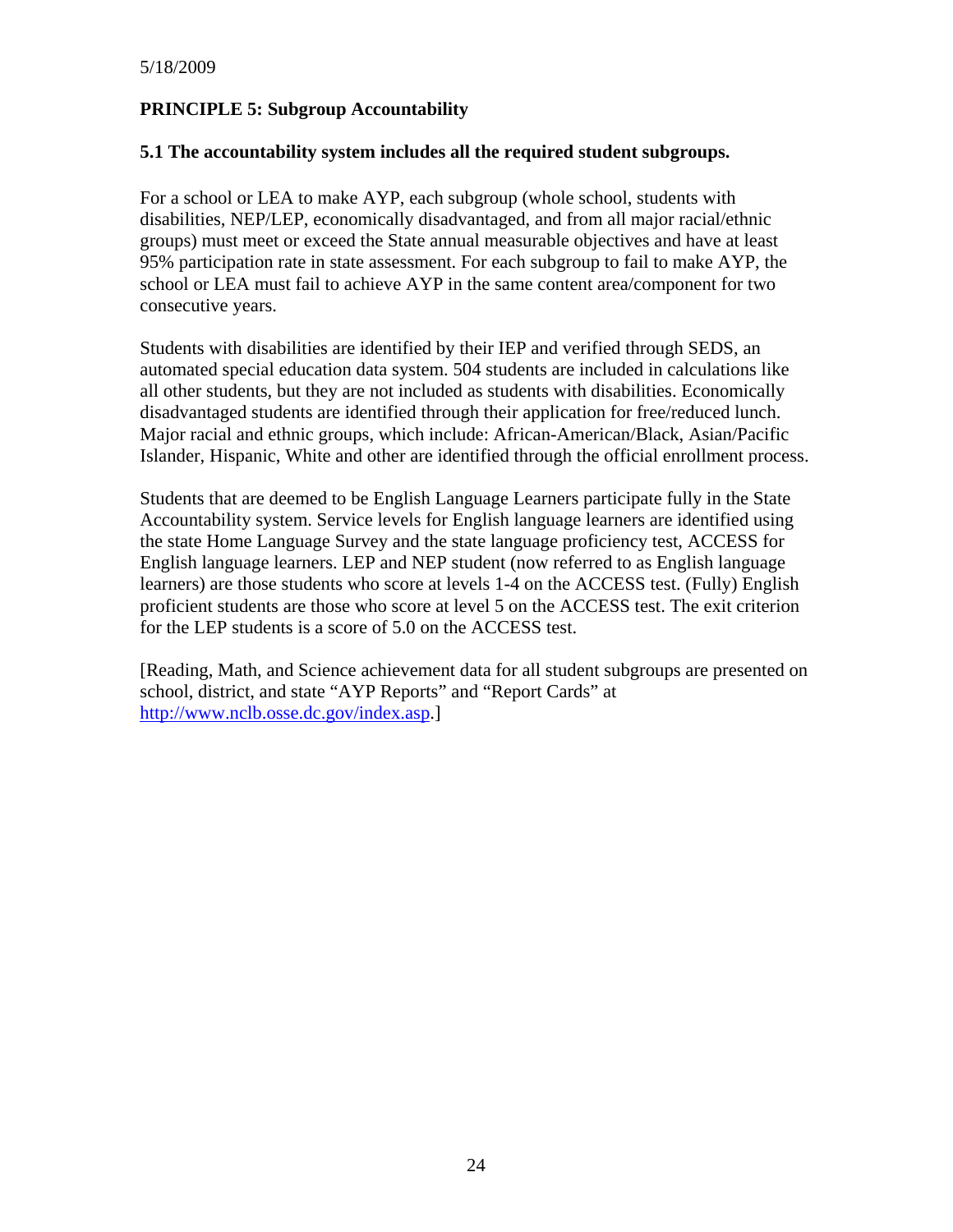# **PRINCIPLE 5: Subgroup Accountability**

#### **5.1 The accountability system includes all the required student subgroups.**

For a school or LEA to make AYP, each subgroup (whole school, students with disabilities, NEP/LEP, economically disadvantaged, and from all major racial/ethnic groups) must meet or exceed the State annual measurable objectives and have at least 95% participation rate in state assessment. For each subgroup to fail to make AYP, the school or LEA must fail to achieve AYP in the same content area/component for two consecutive years.

Students with disabilities are identified by their IEP and verified through SEDS, an automated special education data system. 504 students are included in calculations like all other students, but they are not included as students with disabilities. Economically disadvantaged students are identified through their application for free/reduced lunch. Major racial and ethnic groups, which include: African-American/Black, Asian/Pacific Islander, Hispanic, White and other are identified through the official enrollment process.

Students that are deemed to be English Language Learners participate fully in the State Accountability system. Service levels for English language learners are identified using the state Home Language Survey and the state language proficiency test, ACCESS for English language learners. LEP and NEP student (now referred to as English language learners) are those students who score at levels 1-4 on the ACCESS test. (Fully) English proficient students are those who score at level 5 on the ACCESS test. The exit criterion for the LEP students is a score of 5.0 on the ACCESS test.

[Reading, Math, and Science achievement data for all student subgroups are presented on school, district, and state "AYP Reports" and "Report Cards" at <http://www.nclb.osse.dc.gov/index.asp>.]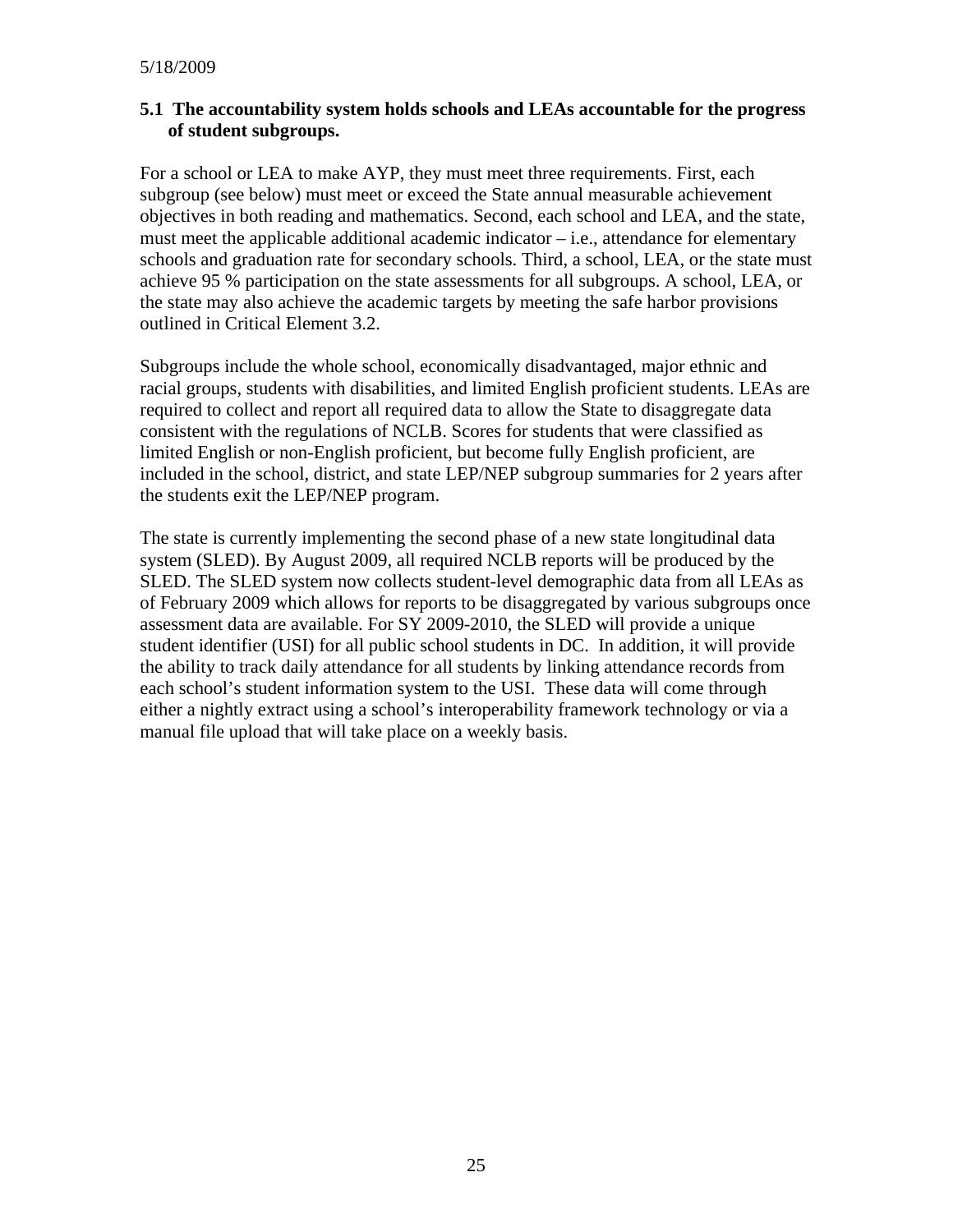#### **5.1 The accountability system holds schools and LEAs accountable for the progress of student subgroups.**

For a school or LEA to make AYP, they must meet three requirements. First, each subgroup (see below) must meet or exceed the State annual measurable achievement objectives in both reading and mathematics. Second, each school and LEA, and the state, must meet the applicable additional academic indicator  $-$  i.e., attendance for elementary schools and graduation rate for secondary schools. Third, a school, LEA, or the state must achieve 95 % participation on the state assessments for all subgroups. A school, LEA, or the state may also achieve the academic targets by meeting the safe harbor provisions outlined in Critical Element 3.2.

Subgroups include the whole school, economically disadvantaged, major ethnic and racial groups, students with disabilities, and limited English proficient students. LEAs are required to collect and report all required data to allow the State to disaggregate data consistent with the regulations of NCLB. Scores for students that were classified as limited English or non-English proficient, but become fully English proficient, are included in the school, district, and state LEP/NEP subgroup summaries for 2 years after the students exit the LEP/NEP program.

The state is currently implementing the second phase of a new state longitudinal data system (SLED). By August 2009, all required NCLB reports will be produced by the SLED. The SLED system now collects student-level demographic data from all LEAs as of February 2009 which allows for reports to be disaggregated by various subgroups once assessment data are available. For SY 2009-2010, the SLED will provide a unique student identifier (USI) for all public school students in DC. In addition, it will provide the ability to track daily attendance for all students by linking attendance records from each school's student information system to the USI. These data will come through either a nightly extract using a school's interoperability framework technology or via a manual file upload that will take place on a weekly basis.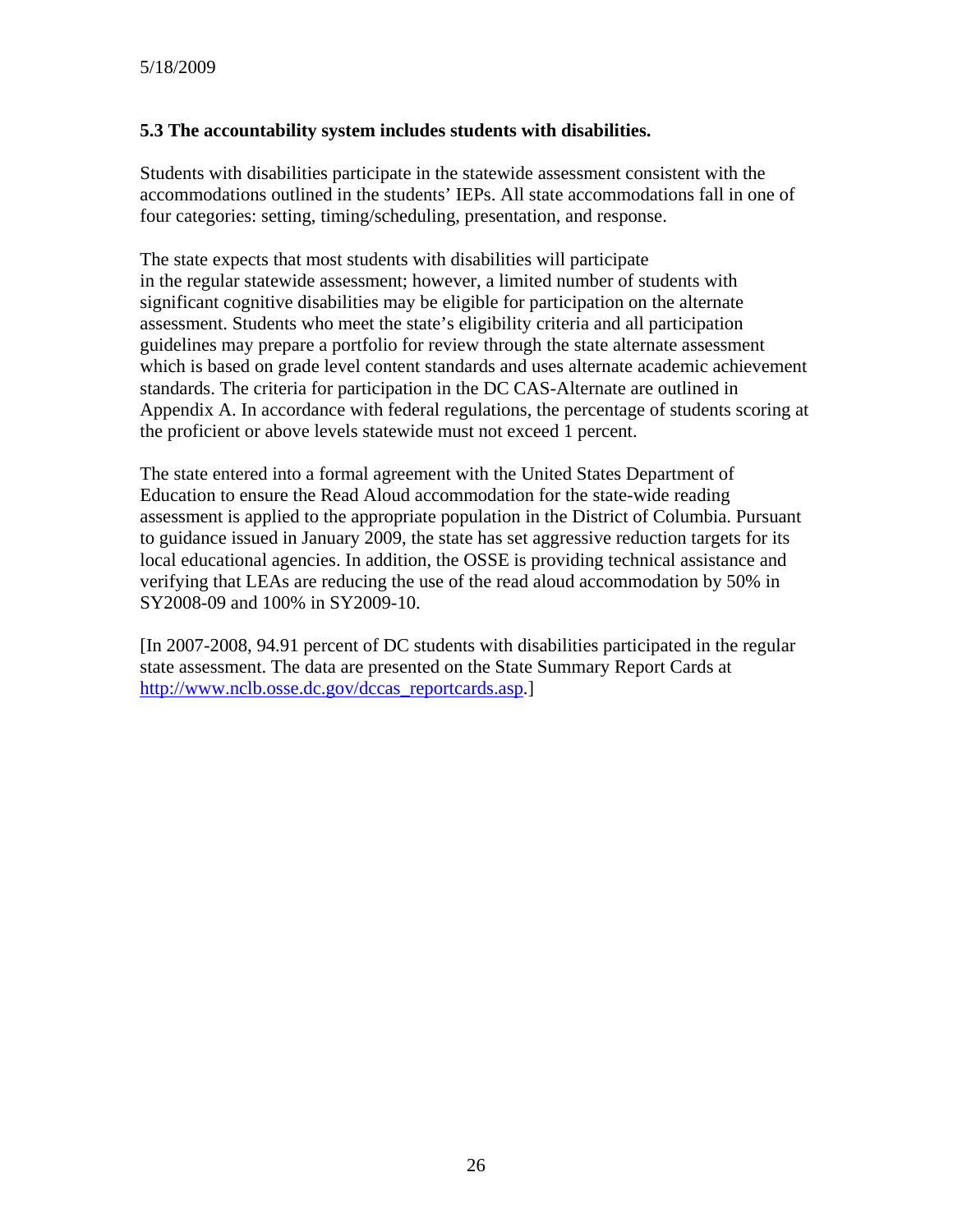## **5.3 The accountability system includes students with disabilities.**

Students with disabilities participate in the statewide assessment consistent with the accommodations outlined in the students' IEPs. All state accommodations fall in one of four categories: setting, timing/scheduling, presentation, and response.

The state expects that most students with disabilities will participate in the regular statewide assessment; however, a limited number of students with significant cognitive disabilities may be eligible for participation on the alternate assessment. Students who meet the state's eligibility criteria and all participation guidelines may prepare a portfolio for review through the state alternate assessment which is based on grade level content standards and uses alternate academic achievement standards. The criteria for participation in the DC CAS-Alternate are outlined in Appendix A. In accordance with federal regulations, the percentage of students scoring at the proficient or above levels statewide must not exceed 1 percent.

The state entered into a formal agreement with the United States Department of Education to ensure the Read Aloud accommodation for the state-wide reading assessment is applied to the appropriate population in the District of Columbia. Pursuant to guidance issued in January 2009, the state has set aggressive reduction targets for its local educational agencies. In addition, the OSSE is providing technical assistance and verifying that LEAs are reducing the use of the read aloud accommodation by 50% in SY2008-09 and 100% in SY2009-10.

[In 2007-2008, 94.91 percent of DC students with disabilities participated in the regular state assessment. The data are presented on the State Summary Report Cards at [http://www.nclb.osse.dc.gov/dccas\\_reportcards.asp](http://www.nclb.osse.dc.gov/dccas_reportcards.asp).]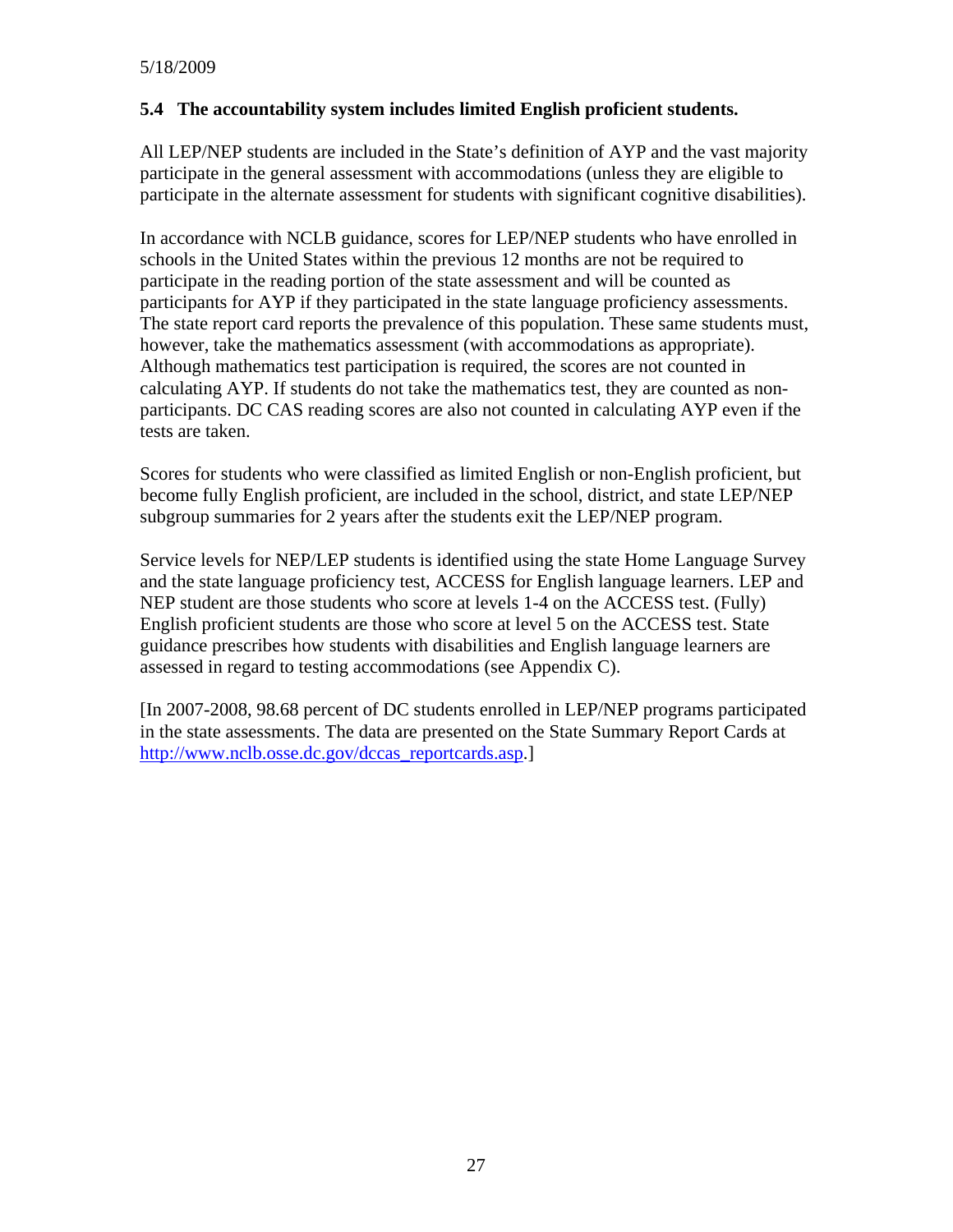#### **5.4 The accountability system includes limited English proficient students.**

All LEP/NEP students are included in the State's definition of AYP and the vast majority participate in the general assessment with accommodations (unless they are eligible to participate in the alternate assessment for students with significant cognitive disabilities).

In accordance with NCLB guidance, scores for LEP/NEP students who have enrolled in schools in the United States within the previous 12 months are not be required to participate in the reading portion of the state assessment and will be counted as participants for AYP if they participated in the state language proficiency assessments. The state report card reports the prevalence of this population. These same students must, however, take the mathematics assessment (with accommodations as appropriate). Although mathematics test participation is required, the scores are not counted in calculating AYP. If students do not take the mathematics test, they are counted as nonparticipants. DC CAS reading scores are also not counted in calculating AYP even if the tests are taken.

Scores for students who were classified as limited English or non-English proficient, but become fully English proficient, are included in the school, district, and state LEP/NEP subgroup summaries for 2 years after the students exit the LEP/NEP program.

Service levels for NEP/LEP students is identified using the state Home Language Survey and the state language proficiency test, ACCESS for English language learners. LEP and NEP student are those students who score at levels 1-4 on the ACCESS test. (Fully) English proficient students are those who score at level 5 on the ACCESS test. State guidance prescribes how students with disabilities and English language learners are assessed in regard to testing accommodations (see Appendix C).

[In 2007-2008, 98.68 percent of DC students enrolled in LEP/NEP programs participated in the state assessments. The data are presented on the State Summary Report Cards at [http://www.nclb.osse.dc.gov/dccas\\_reportcards.asp](http://www.nclb.osse.dc.gov/dccas_reportcards.asp).]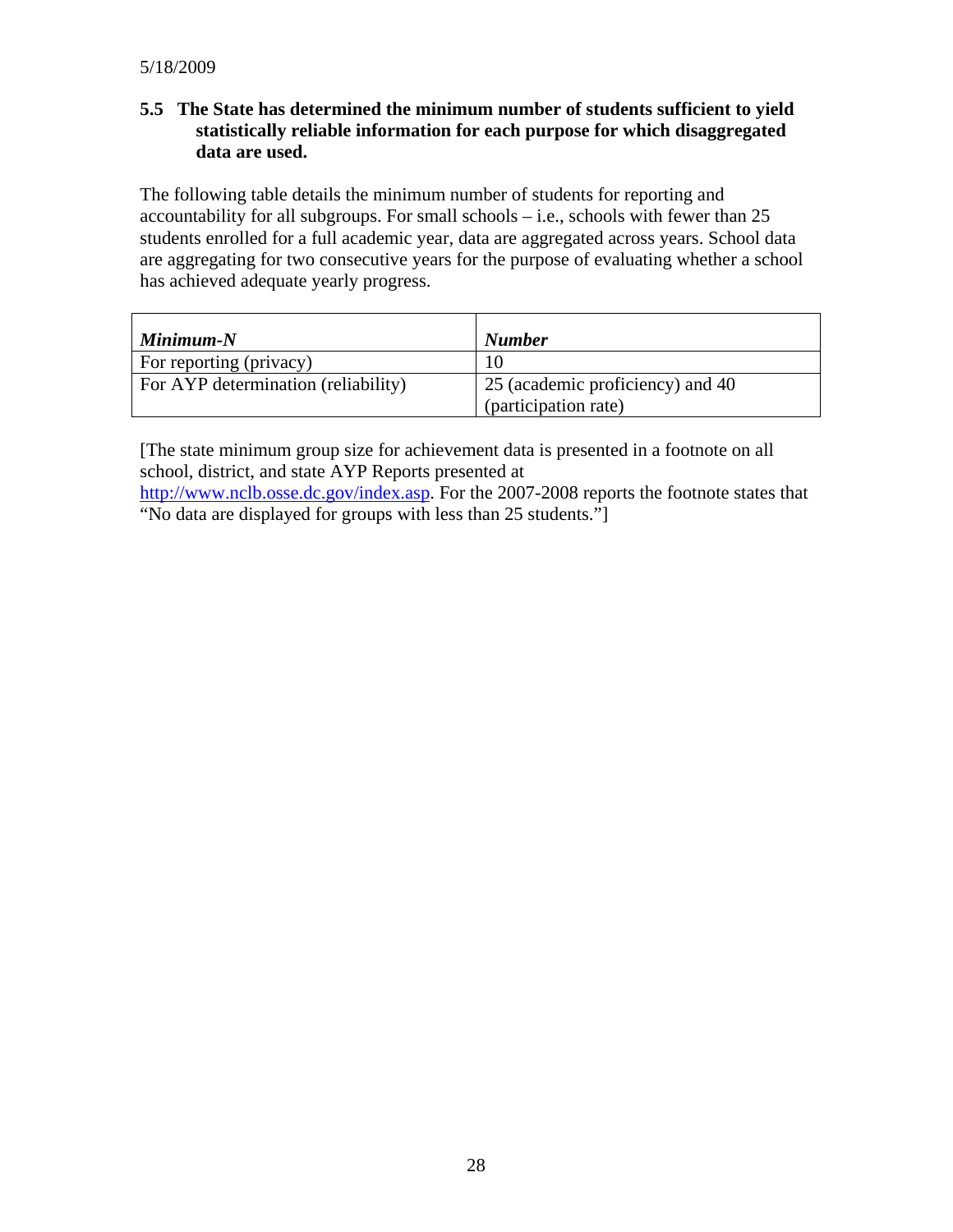# **5.5 The State has determined the minimum number of students sufficient to yield statistically reliable information for each purpose for which disaggregated data are used.**

The following table details the minimum number of students for reporting and accountability for all subgroups. For small schools  $-$  i.e., schools with fewer than 25 students enrolled for a full academic year, data are aggregated across years. School data are aggregating for two consecutive years for the purpose of evaluating whether a school has achieved adequate yearly progress.

| $Minimum-N$                         | <b>Number</b>                    |
|-------------------------------------|----------------------------------|
| For reporting (privacy)             |                                  |
| For AYP determination (reliability) | 25 (academic proficiency) and 40 |
|                                     | (participation rate)             |

[The state minimum group size for achievement data is presented in a footnote on all school, district, and state AYP Reports presented at <http://www.nclb.osse.dc.gov/index.asp>. For the 2007-2008 reports the footnote states that "No data are displayed for groups with less than 25 students."]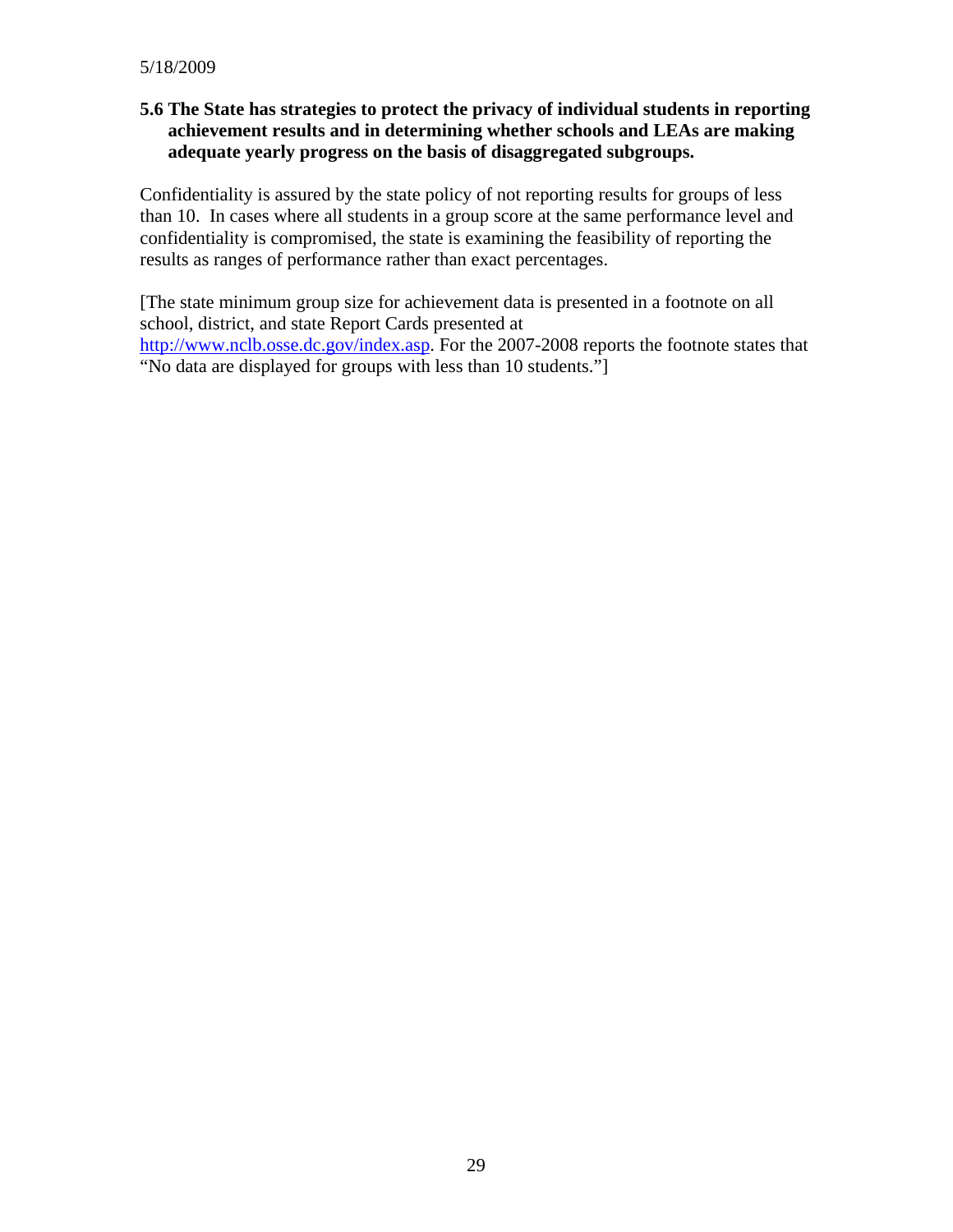#### **5.6 The State has strategies to protect the privacy of individual students in reporting achievement results and in determining whether schools and LEAs are making adequate yearly progress on the basis of disaggregated subgroups.**

Confidentiality is assured by the state policy of not reporting results for groups of less than 10. In cases where all students in a group score at the same performance level and confidentiality is compromised, the state is examining the feasibility of reporting the results as ranges of performance rather than exact percentages.

[The state minimum group size for achievement data is presented in a footnote on all school, district, and state Report Cards presented at <http://www.nclb.osse.dc.gov/index.asp>. For the 2007-2008 reports the footnote states that "No data are displayed for groups with less than 10 students."]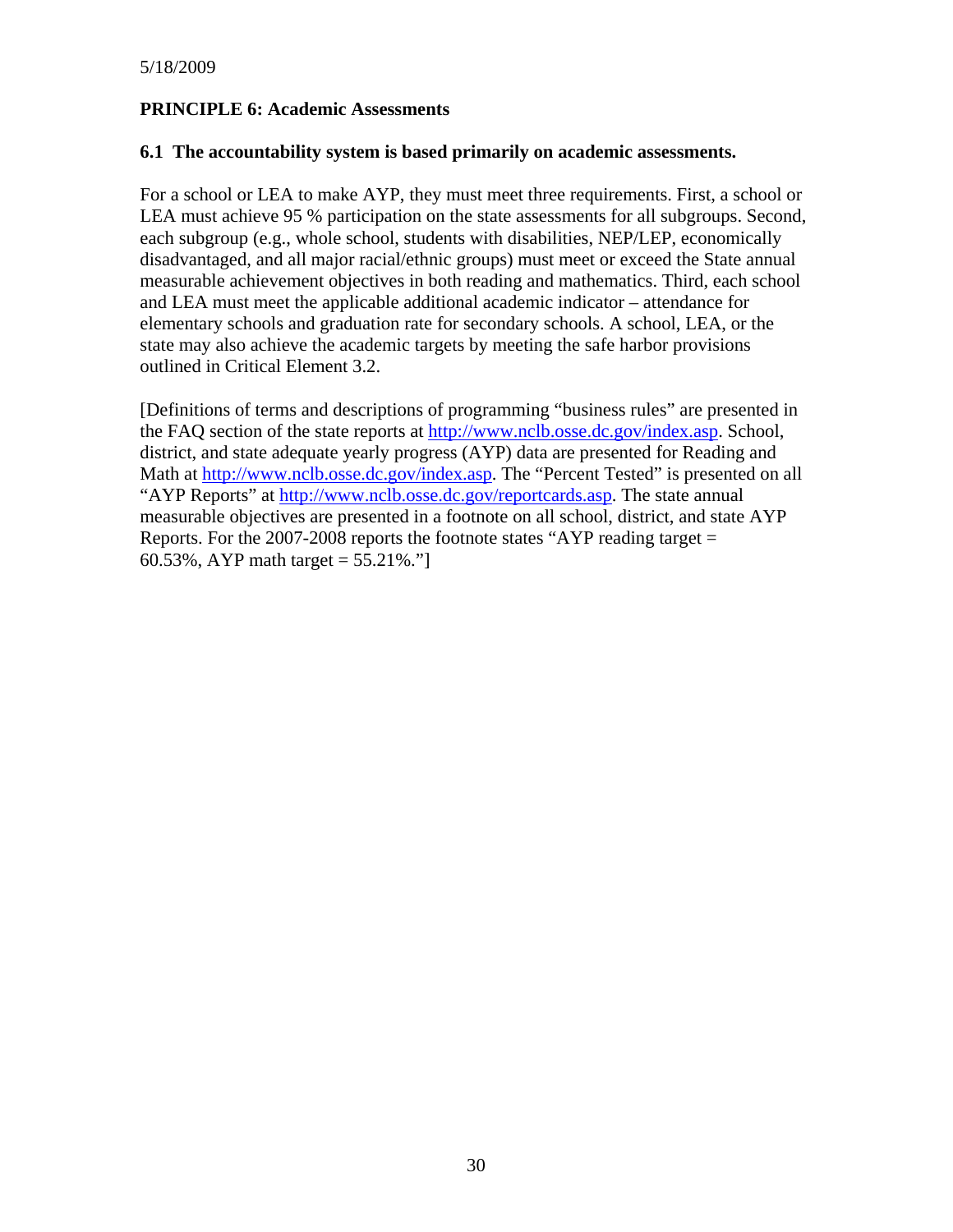#### **PRINCIPLE 6: Academic Assessments**

#### **6.1 The accountability system is based primarily on academic assessments.**

For a school or LEA to make AYP, they must meet three requirements. First, a school or LEA must achieve 95 % participation on the state assessments for all subgroups. Second, each subgroup (e.g., whole school, students with disabilities, NEP/LEP, economically disadvantaged, and all major racial/ethnic groups) must meet or exceed the State annual measurable achievement objectives in both reading and mathematics. Third, each school and LEA must meet the applicable additional academic indicator – attendance for elementary schools and graduation rate for secondary schools. A school, LEA, or the state may also achieve the academic targets by meeting the safe harbor provisions outlined in Critical Element 3.2.

[Definitions of terms and descriptions of programming "business rules" are presented in the FAQ section of the state reports at [http://www.nclb.osse.dc.gov/index.asp.](http://www.nclb.osse.dc.gov/index.asp) School, district, and state adequate yearly progress (AYP) data are presented for Reading and Math at<http://www.nclb.osse.dc.gov/index.asp>. The "Percent Tested" is presented on all "AYP Reports" at <http://www.nclb.osse.dc.gov/reportcards.asp>. The state annual measurable objectives are presented in a footnote on all school, district, and state AYP Reports. For the 2007-2008 reports the footnote states "AYP reading target = 60.53%, AYP math target =  $55.21\%$ ."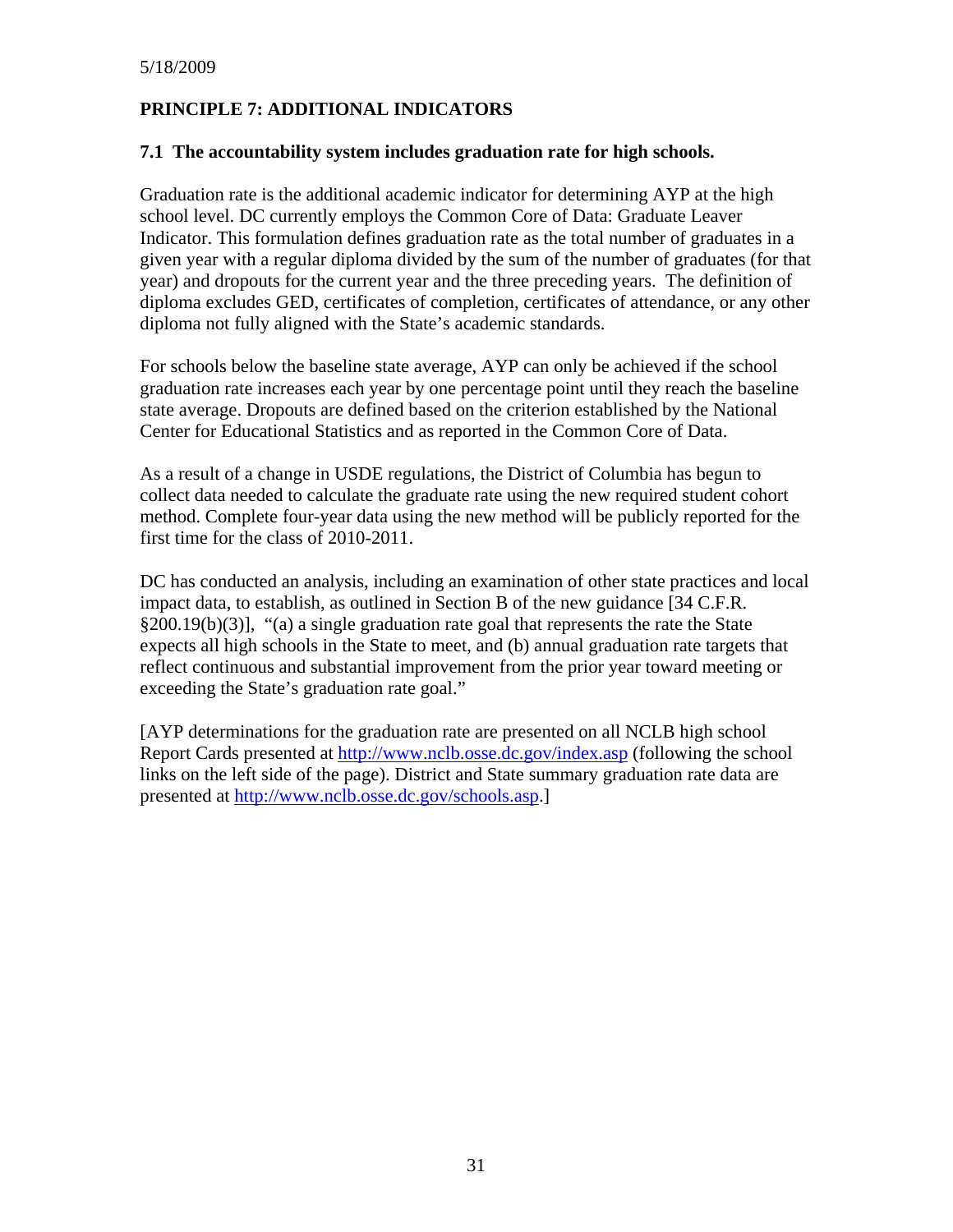# **PRINCIPLE 7: ADDITIONAL INDICATORS**

#### **7.1 The accountability system includes graduation rate for high schools.**

Graduation rate is the additional academic indicator for determining AYP at the high school level. DC currently employs the Common Core of Data: Graduate Leaver Indicator. This formulation defines graduation rate as the total number of graduates in a given year with a regular diploma divided by the sum of the number of graduates (for that year) and dropouts for the current year and the three preceding years. The definition of diploma excludes GED, certificates of completion, certificates of attendance, or any other diploma not fully aligned with the State's academic standards.

For schools below the baseline state average, AYP can only be achieved if the school graduation rate increases each year by one percentage point until they reach the baseline state average. Dropouts are defined based on the criterion established by the National Center for Educational Statistics and as reported in the Common Core of Data.

As a result of a change in USDE regulations, the District of Columbia has begun to collect data needed to calculate the graduate rate using the new required student cohort method. Complete four-year data using the new method will be publicly reported for the first time for the class of 2010-2011.

DC has conducted an analysis, including an examination of other state practices and local impact data, to establish, as outlined in Section B of the new guidance [34 C.F.R. §200.19(b)(3)], "(a) a single graduation rate goal that represents the rate the State expects all high schools in the State to meet, and (b) annual graduation rate targets that reflect continuous and substantial improvement from the prior year toward meeting or exceeding the State's graduation rate goal."

[AYP determinations for the graduation rate are presented on all NCLB high school Report Cards presented at<http://www.nclb.osse.dc.gov/index.asp>(following the school links on the left side of the page). District and State summary graduation rate data are presented at <http://www.nclb.osse.dc.gov/schools.asp>.]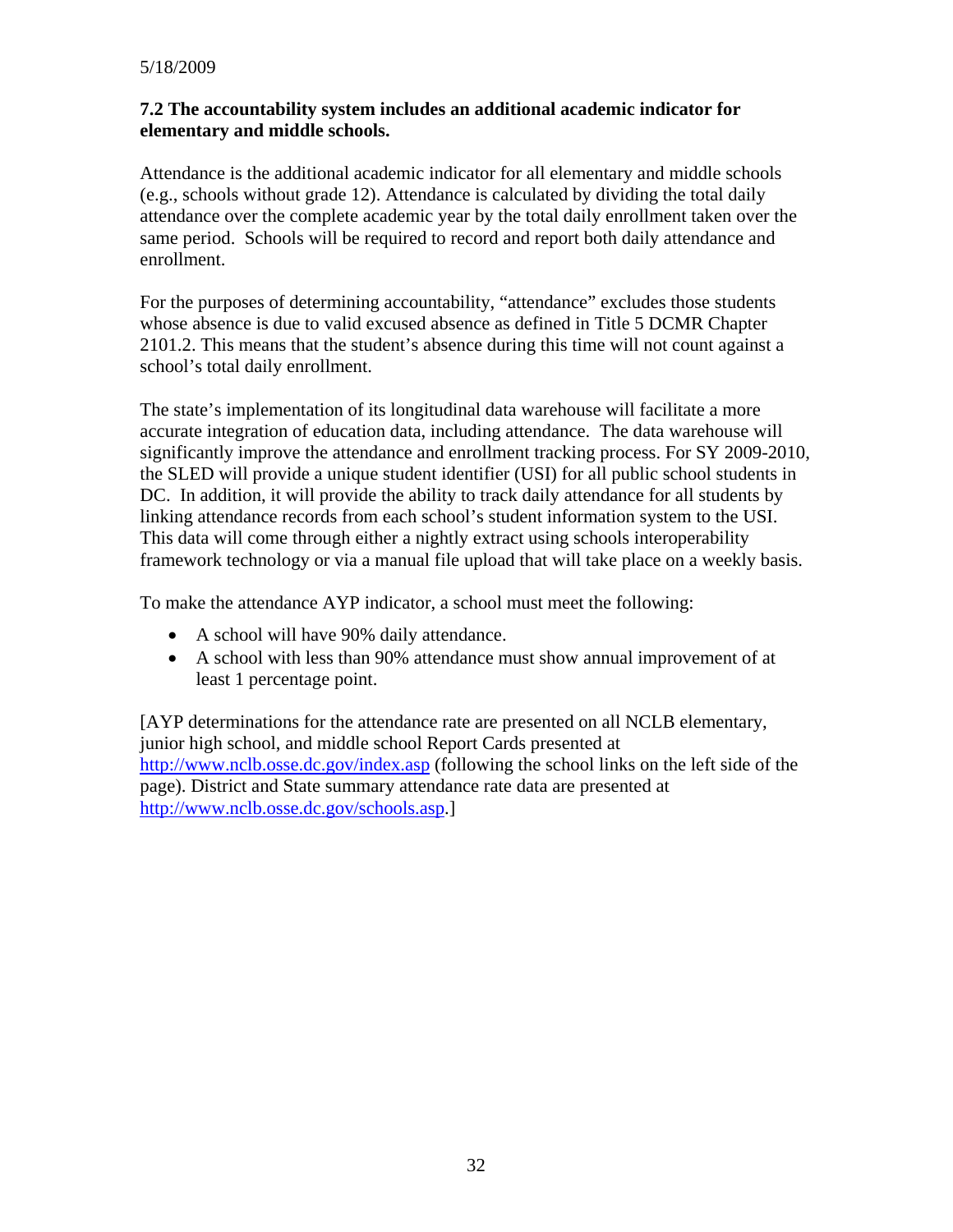#### **7.2 The accountability system includes an additional academic indicator for elementary and middle schools.**

Attendance is the additional academic indicator for all elementary and middle schools (e.g., schools without grade 12). Attendance is calculated by dividing the total daily attendance over the complete academic year by the total daily enrollment taken over the same period. Schools will be required to record and report both daily attendance and enrollment.

For the purposes of determining accountability, "attendance" excludes those students whose absence is due to valid excused absence as defined in Title 5 DCMR Chapter 2101.2. This means that the student's absence during this time will not count against a school's total daily enrollment.

The state's implementation of its longitudinal data warehouse will facilitate a more accurate integration of education data, including attendance. The data warehouse will significantly improve the attendance and enrollment tracking process. For SY 2009-2010, the SLED will provide a unique student identifier (USI) for all public school students in DC. In addition, it will provide the ability to track daily attendance for all students by linking attendance records from each school's student information system to the USI. This data will come through either a nightly extract using schools interoperability framework technology or via a manual file upload that will take place on a weekly basis.

To make the attendance AYP indicator, a school must meet the following:

- A school will have 90% daily attendance.
- A school with less than 90% attendance must show annual improvement of at least 1 percentage point.

[AYP determinations for the attendance rate are presented on all NCLB elementary, junior high school, and middle school Report Cards presented at <http://www.nclb.osse.dc.gov/index.asp> (following the school links on the left side of the page). District and State summary attendance rate data are presented at [http://www.nclb.osse.dc.gov/schools.asp.](http://www.nclb.osse.dc.gov/schools.asp)]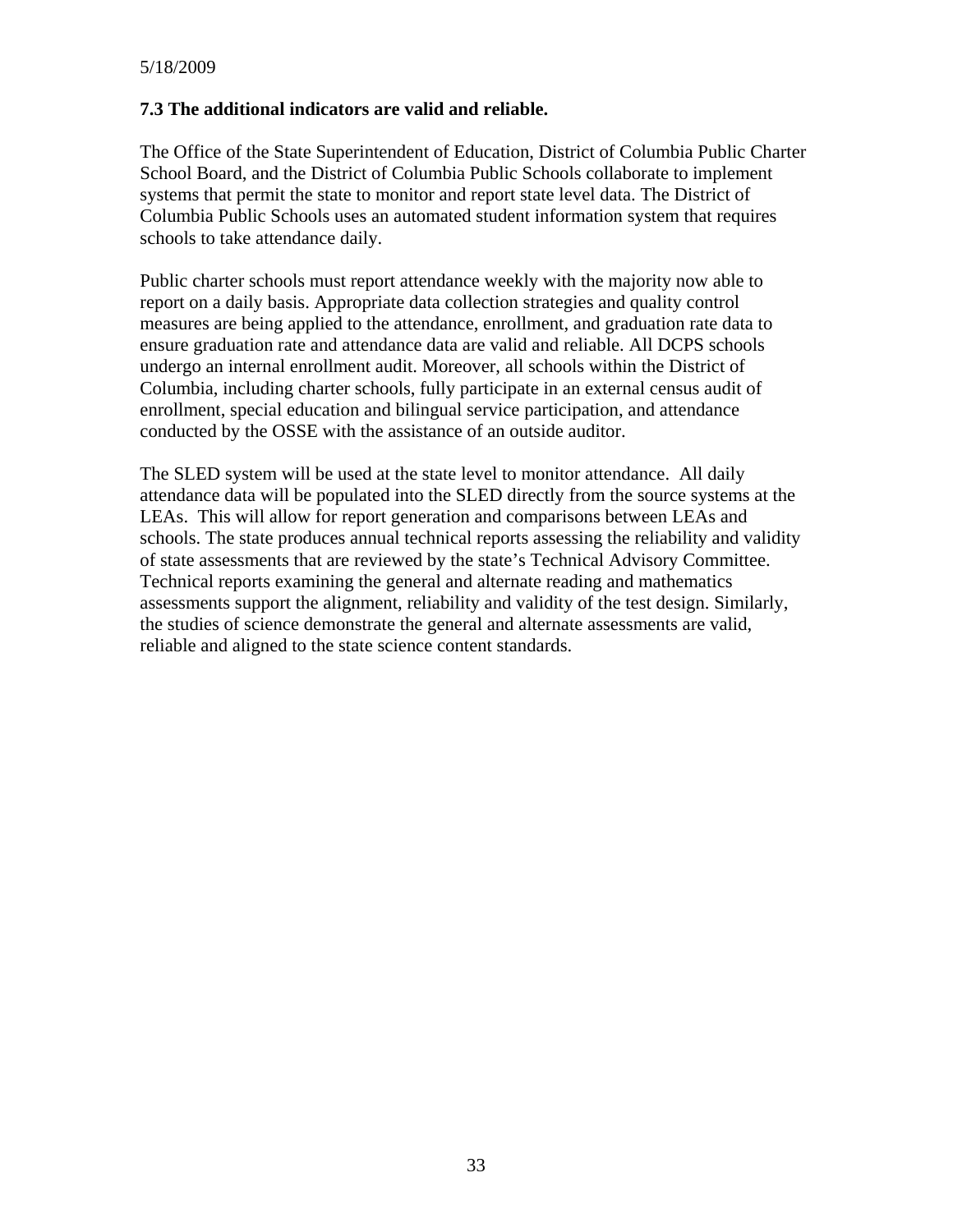#### **7.3 The additional indicators are valid and reliable.**

The Office of the State Superintendent of Education, District of Columbia Public Charter School Board, and the District of Columbia Public Schools collaborate to implement systems that permit the state to monitor and report state level data. The District of Columbia Public Schools uses an automated student information system that requires schools to take attendance daily.

Public charter schools must report attendance weekly with the majority now able to report on a daily basis. Appropriate data collection strategies and quality control measures are being applied to the attendance, enrollment, and graduation rate data to ensure graduation rate and attendance data are valid and reliable. All DCPS schools undergo an internal enrollment audit. Moreover, all schools within the District of Columbia, including charter schools, fully participate in an external census audit of enrollment, special education and bilingual service participation, and attendance conducted by the OSSE with the assistance of an outside auditor.

The SLED system will be used at the state level to monitor attendance. All daily attendance data will be populated into the SLED directly from the source systems at the LEAs. This will allow for report generation and comparisons between LEAs and schools. The state produces annual technical reports assessing the reliability and validity of state assessments that are reviewed by the state's Technical Advisory Committee. Technical reports examining the general and alternate reading and mathematics assessments support the alignment, reliability and validity of the test design. Similarly, the studies of science demonstrate the general and alternate assessments are valid, reliable and aligned to the state science content standards.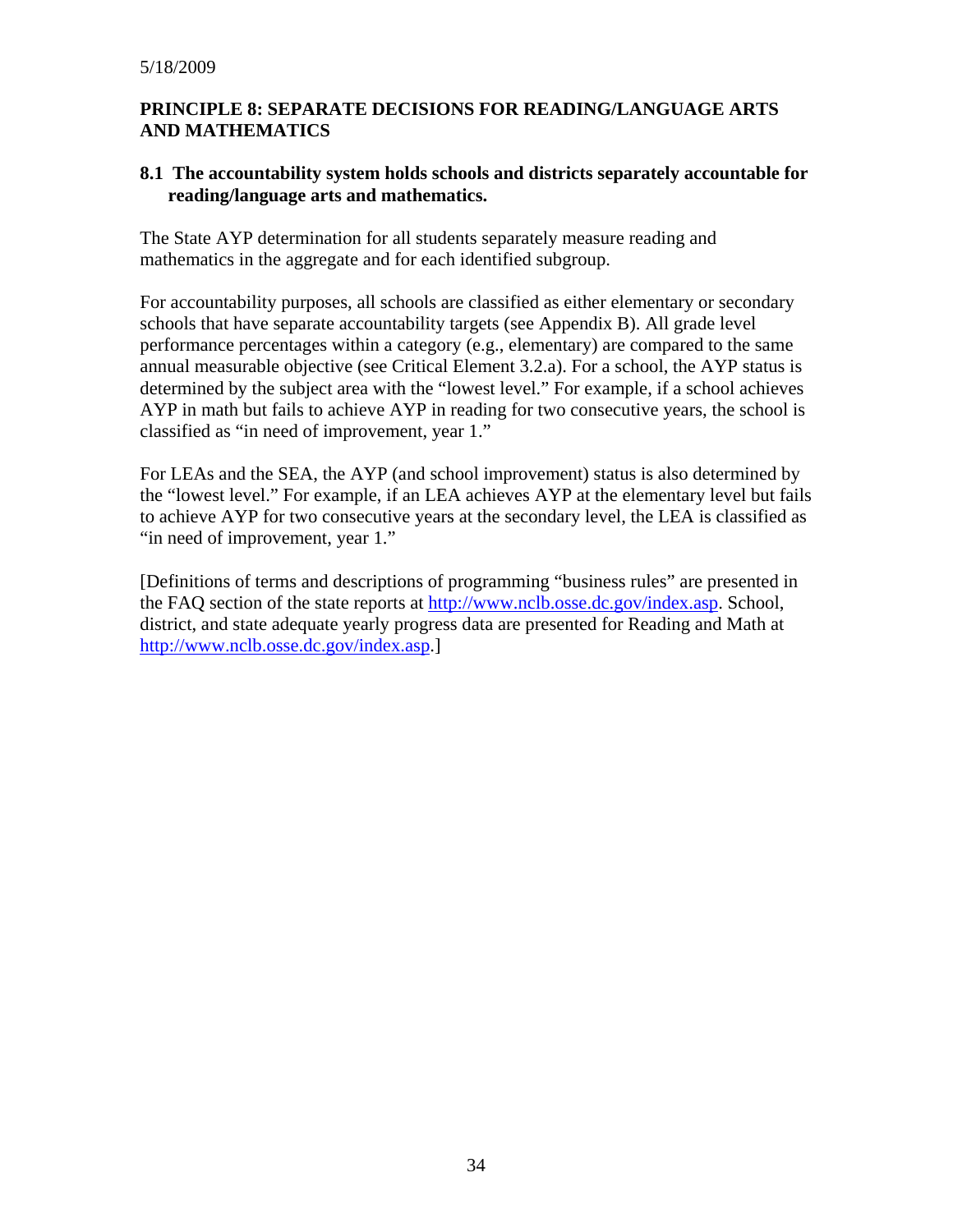#### **PRINCIPLE 8: SEPARATE DECISIONS FOR READING/LANGUAGE ARTS AND MATHEMATICS**

#### **8.1 The accountability system holds schools and districts separately accountable for reading/language arts and mathematics.**

The State AYP determination for all students separately measure reading and mathematics in the aggregate and for each identified subgroup.

For accountability purposes, all schools are classified as either elementary or secondary schools that have separate accountability targets (see Appendix B). All grade level performance percentages within a category (e.g., elementary) are compared to the same annual measurable objective (see Critical Element 3.2.a). For a school, the AYP status is determined by the subject area with the "lowest level." For example, if a school achieves AYP in math but fails to achieve AYP in reading for two consecutive years, the school is classified as "in need of improvement, year 1."

For LEAs and the SEA, the AYP (and school improvement) status is also determined by the "lowest level." For example, if an LEA achieves AYP at the elementary level but fails to achieve AYP for two consecutive years at the secondary level, the LEA is classified as "in need of improvement, year 1."

[Definitions of terms and descriptions of programming "business rules" are presented in the FAQ section of the state reports at [http://www.nclb.osse.dc.gov/index.asp.](http://www.nclb.osse.dc.gov/index.asp) School, district, and state adequate yearly progress data are presented for Reading and Math at <http://www.nclb.osse.dc.gov/index.asp>.]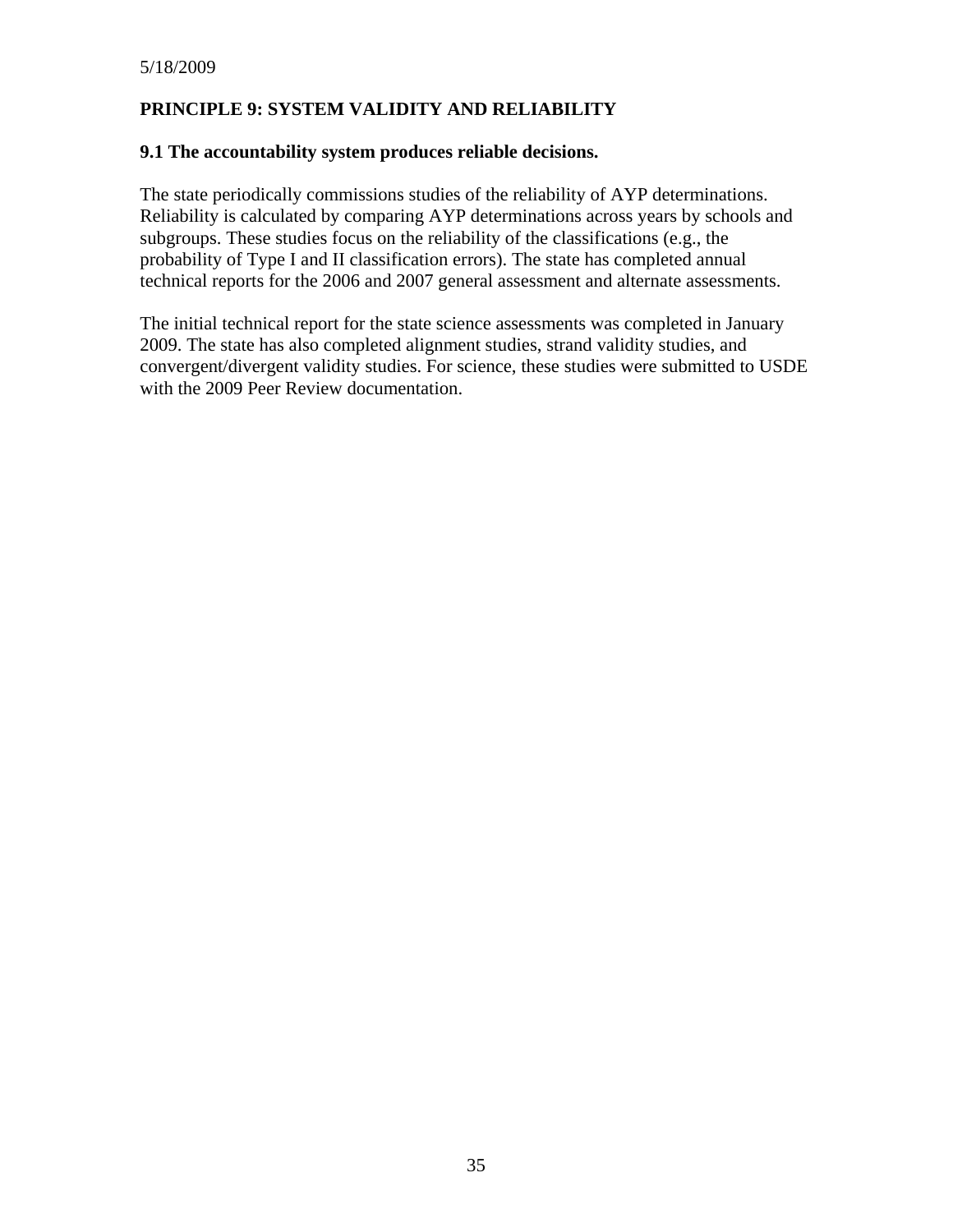# **PRINCIPLE 9: SYSTEM VALIDITY AND RELIABILITY**

#### **9.1 The accountability system produces reliable decisions.**

The state periodically commissions studies of the reliability of AYP determinations. Reliability is calculated by comparing AYP determinations across years by schools and subgroups. These studies focus on the reliability of the classifications (e.g., the probability of Type I and II classification errors). The state has completed annual technical reports for the 2006 and 2007 general assessment and alternate assessments.

The initial technical report for the state science assessments was completed in January 2009. The state has also completed alignment studies, strand validity studies, and convergent/divergent validity studies. For science, these studies were submitted to USDE with the 2009 Peer Review documentation.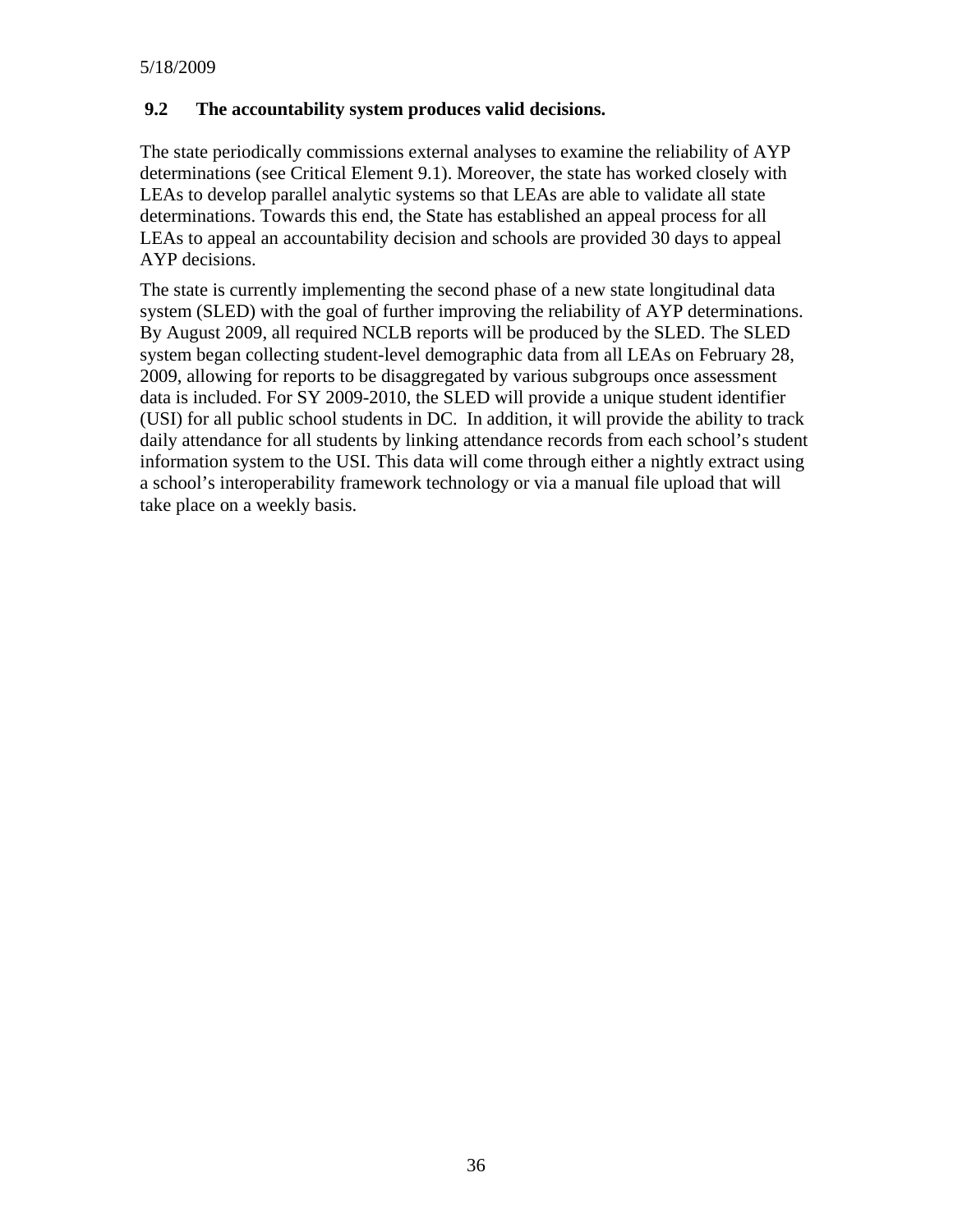#### **9.2 The accountability system produces valid decisions.**

The state periodically commissions external analyses to examine the reliability of AYP determinations (see Critical Element 9.1). Moreover, the state has worked closely with LEAs to develop parallel analytic systems so that LEAs are able to validate all state determinations. Towards this end, the State has established an appeal process for all LEAs to appeal an accountability decision and schools are provided 30 days to appeal AYP decisions.

The state is currently implementing the second phase of a new state longitudinal data system (SLED) with the goal of further improving the reliability of AYP determinations. By August 2009, all required NCLB reports will be produced by the SLED. The SLED system began collecting student-level demographic data from all LEAs on February 28, 2009, allowing for reports to be disaggregated by various subgroups once assessment data is included. For SY 2009-2010, the SLED will provide a unique student identifier (USI) for all public school students in DC. In addition, it will provide the ability to track daily attendance for all students by linking attendance records from each school's student information system to the USI. This data will come through either a nightly extract using a school's interoperability framework technology or via a manual file upload that will take place on a weekly basis.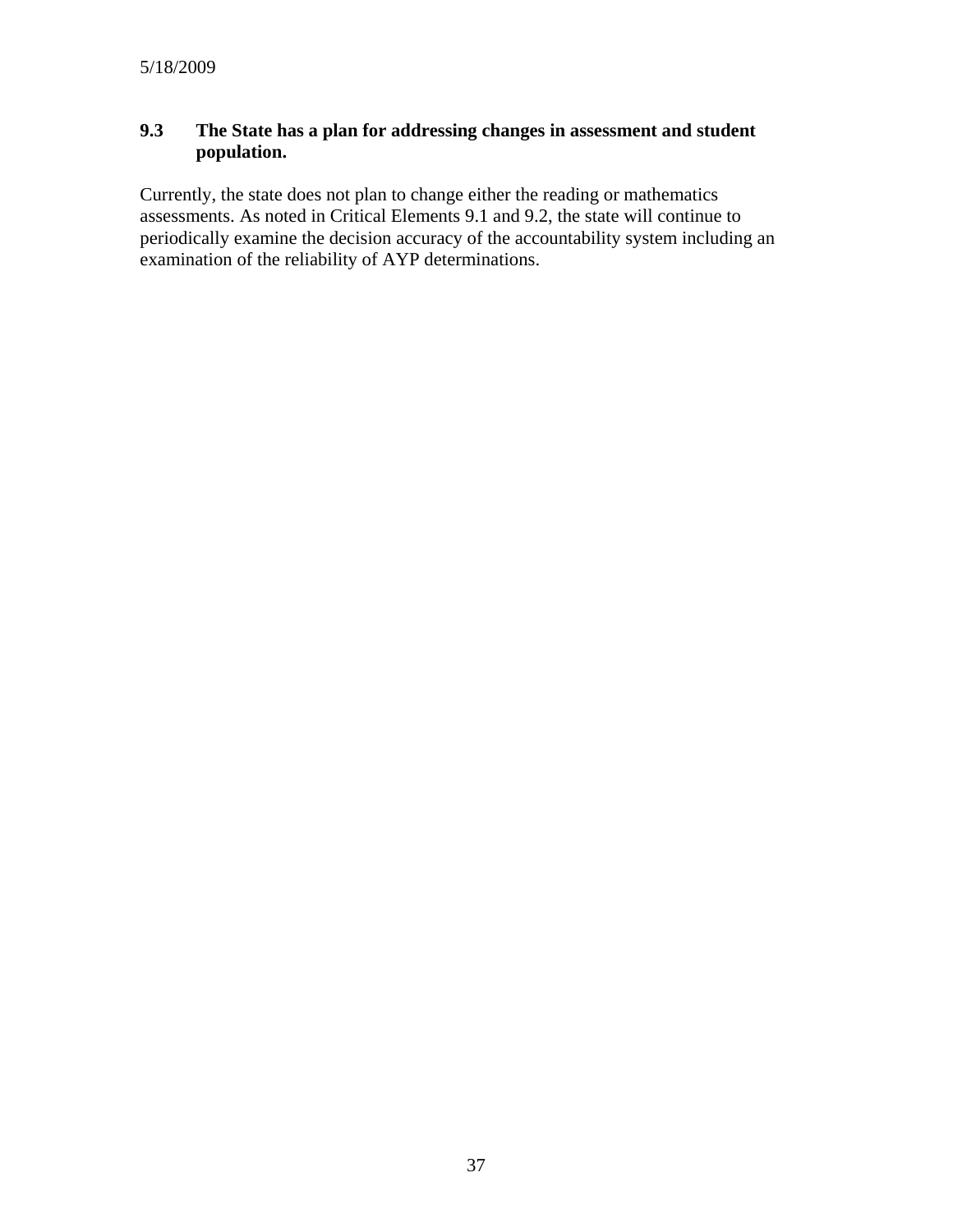# **9.3 The State has a plan for addressing changes in assessment and student population.**

Currently, the state does not plan to change either the reading or mathematics assessments. As noted in Critical Elements 9.1 and 9.2, the state will continue to periodically examine the decision accuracy of the accountability system including an examination of the reliability of AYP determinations.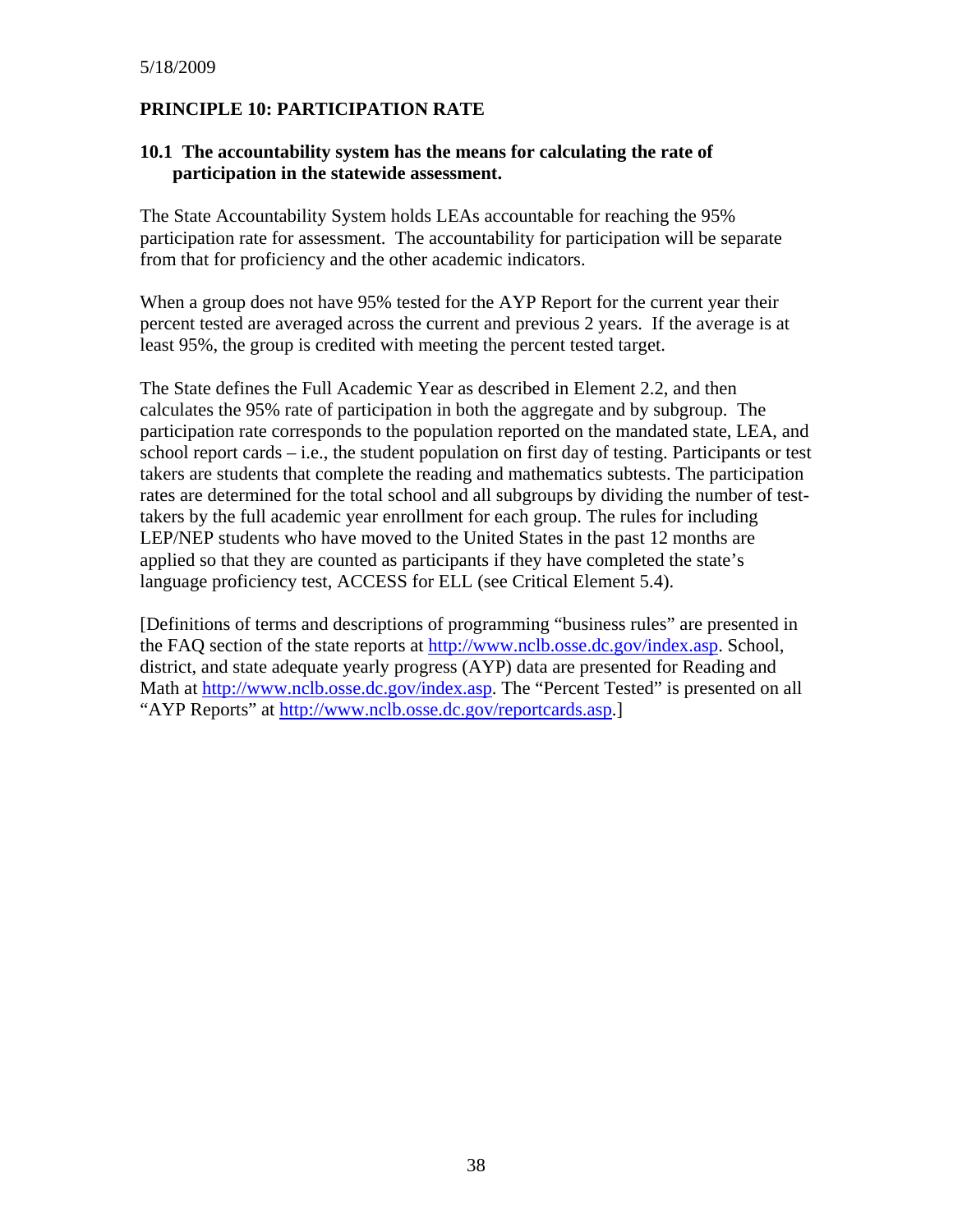# **PRINCIPLE 10: PARTICIPATION RATE**

#### **10.1 The accountability system has the means for calculating the rate of participation in the statewide assessment.**

The State Accountability System holds LEAs accountable for reaching the 95% participation rate for assessment. The accountability for participation will be separate from that for proficiency and the other academic indicators.

When a group does not have 95% tested for the AYP Report for the current year their percent tested are averaged across the current and previous 2 years. If the average is at least 95%, the group is credited with meeting the percent tested target.

The State defines the Full Academic Year as described in Element 2.2, and then calculates the 95% rate of participation in both the aggregate and by subgroup. The participation rate corresponds to the population reported on the mandated state, LEA, and school report cards – i.e., the student population on first day of testing. Participants or test takers are students that complete the reading and mathematics subtests. The participation rates are determined for the total school and all subgroups by dividing the number of testtakers by the full academic year enrollment for each group. The rules for including LEP/NEP students who have moved to the United States in the past 12 months are applied so that they are counted as participants if they have completed the state's language proficiency test, ACCESS for ELL (see Critical Element 5.4).

[Definitions of terms and descriptions of programming "business rules" are presented in the FAQ section of the state reports at [http://www.nclb.osse.dc.gov/index.asp.](http://www.nclb.osse.dc.gov/index.asp) School, district, and state adequate yearly progress (AYP) data are presented for Reading and Math at<http://www.nclb.osse.dc.gov/index.asp>. The "Percent Tested" is presented on all "AYP Reports" at <http://www.nclb.osse.dc.gov/reportcards.asp>.]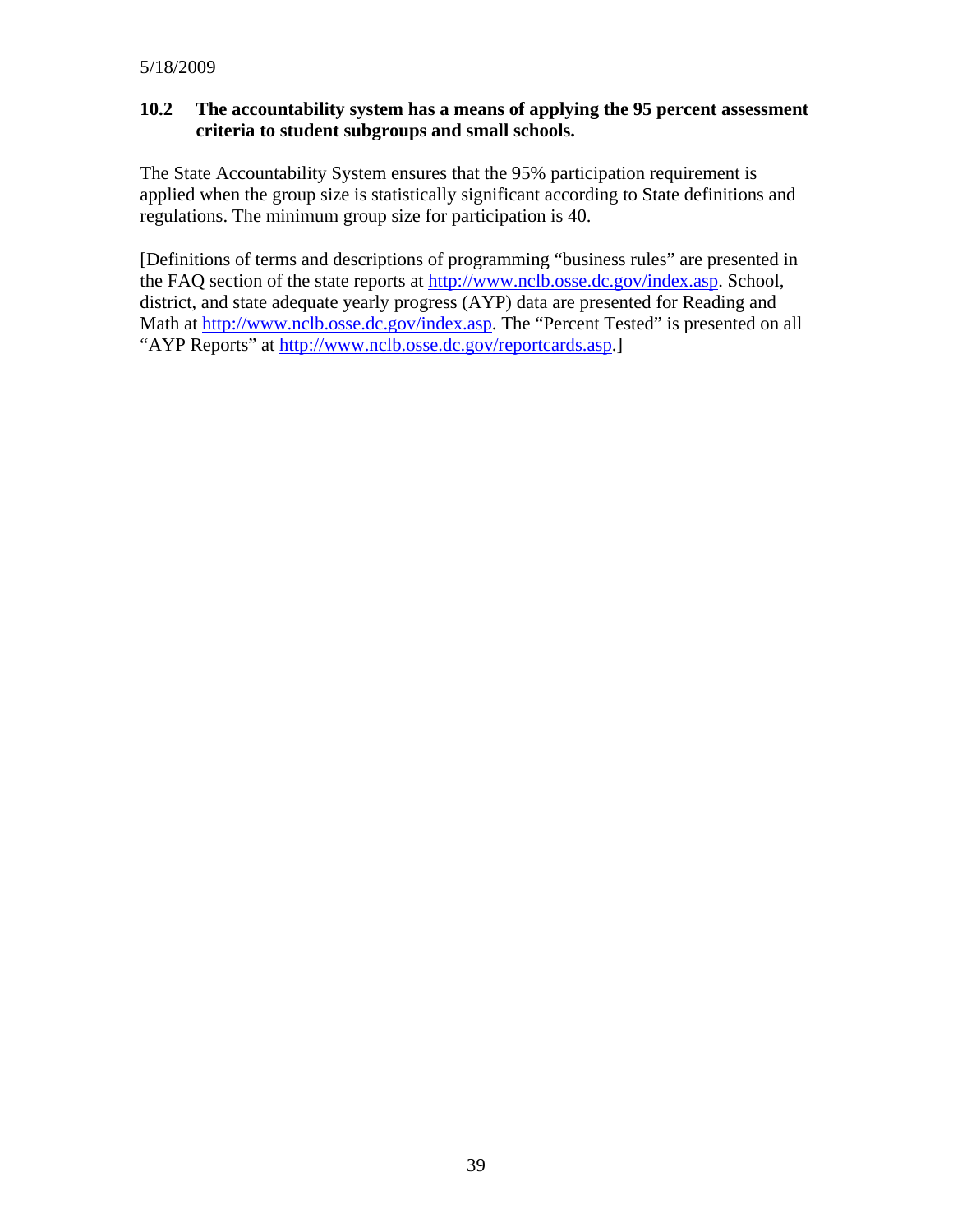#### **10.2 The accountability system has a means of applying the 95 percent assessment criteria to student subgroups and small schools.**

The State Accountability System ensures that the 95% participation requirement is applied when the group size is statistically significant according to State definitions and regulations. The minimum group size for participation is 40.

[Definitions of terms and descriptions of programming "business rules" are presented in the FAQ section of the state reports at [http://www.nclb.osse.dc.gov/index.asp.](http://www.nclb.osse.dc.gov/index.asp) School, district, and state adequate yearly progress (AYP) data are presented for Reading and Math at<http://www.nclb.osse.dc.gov/index.asp>. The "Percent Tested" is presented on all "AYP Reports" at <http://www.nclb.osse.dc.gov/reportcards.asp>.]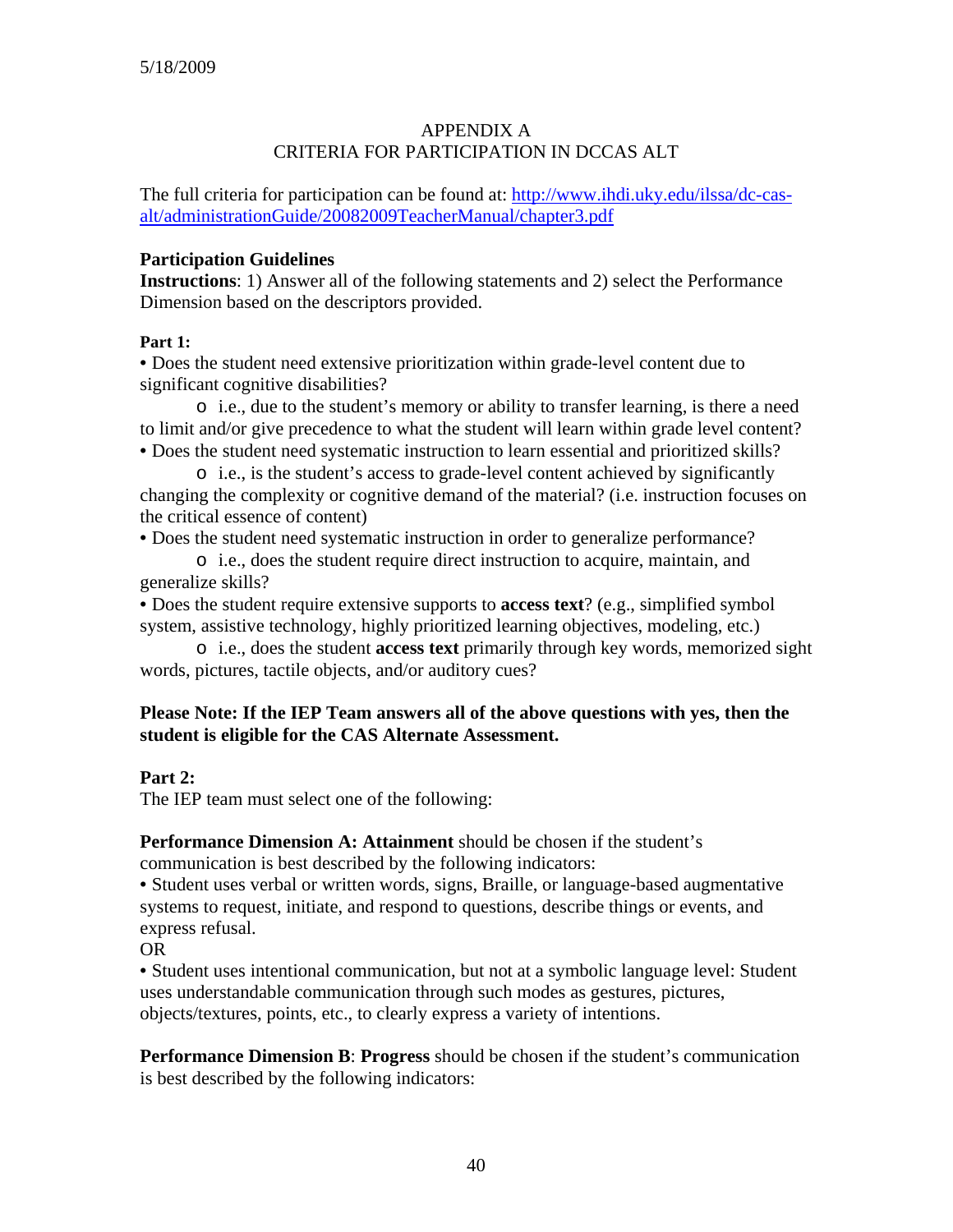# APPENDIX A CRITERIA FOR PARTICIPATION IN DCCAS ALT

The full criteria for participation can be found at: [http://www.ihdi.uky.edu/ilssa/dc-cas](http://www.ihdi.uky.edu/ilssa/dc-cas-alt/administrationGuide/20082009TeacherManual/chapter3.pdf)[alt/administrationGuide/20082009TeacherManual/chapter3.pdf](http://www.ihdi.uky.edu/ilssa/dc-cas-alt/administrationGuide/20082009TeacherManual/chapter3.pdf)

#### **Participation Guidelines**

**Instructions**: 1) Answer all of the following statements and 2) select the Performance Dimension based on the descriptors provided.

#### **Part 1:**

• Does the student need extensive prioritization within grade-level content due to significant cognitive disabilities?

o i.e., due to the student's memory or ability to transfer learning, is there a need to limit and/or give precedence to what the student will learn within grade level content? • Does the student need systematic instruction to learn essential and prioritized skills?

o i.e., is the student's access to grade-level content achieved by significantly changing the complexity or cognitive demand of the material? (i.e. instruction focuses on the critical essence of content)

• Does the student need systematic instruction in order to generalize performance?

o i.e., does the student require direct instruction to acquire, maintain, and generalize skills?

• Does the student require extensive supports to **access text**? (e.g., simplified symbol system, assistive technology, highly prioritized learning objectives, modeling, etc.)

o i.e., does the student **access text** primarily through key words, memorized sight words, pictures, tactile objects, and/or auditory cues?

#### **Please Note: If the IEP Team answers all of the above questions with yes, then the student is eligible for the CAS Alternate Assessment.**

#### **Part 2:**

The IEP team must select one of the following:

**Performance Dimension A: Attainment** should be chosen if the student's communication is best described by the following indicators:

• Student uses verbal or written words, signs, Braille, or language-based augmentative systems to request, initiate, and respond to questions, describe things or events, and express refusal.

OR

• Student uses intentional communication, but not at a symbolic language level: Student uses understandable communication through such modes as gestures, pictures, objects/textures, points, etc., to clearly express a variety of intentions.

**Performance Dimension B**: **Progress** should be chosen if the student's communication is best described by the following indicators: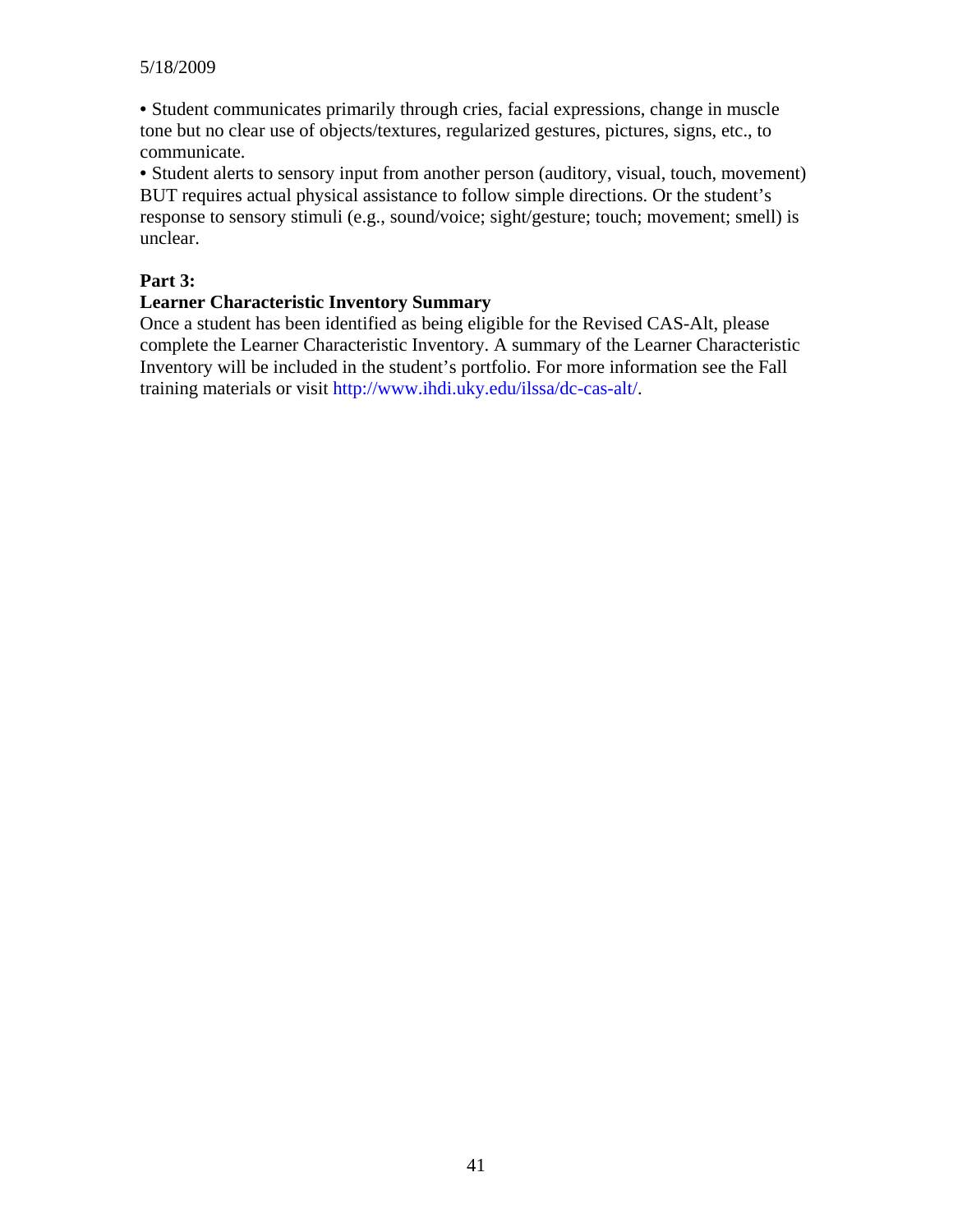• Student communicates primarily through cries, facial expressions, change in muscle tone but no clear use of objects/textures, regularized gestures, pictures, signs, etc., to communicate.

• Student alerts to sensory input from another person (auditory, visual, touch, movement) BUT requires actual physical assistance to follow simple directions. Or the student's response to sensory stimuli (e.g., sound/voice; sight/gesture; touch; movement; smell) is unclear.

# **Part 3:**

#### **Learner Characteristic Inventory Summary**

Once a student has been identified as being eligible for the Revised CAS-Alt, please complete the Learner Characteristic Inventory. A summary of the Learner Characteristic Inventory will be included in the student's portfolio. For more information see the Fall training materials or visit http://www.ihdi.uky.edu/ilssa/dc-cas-alt/.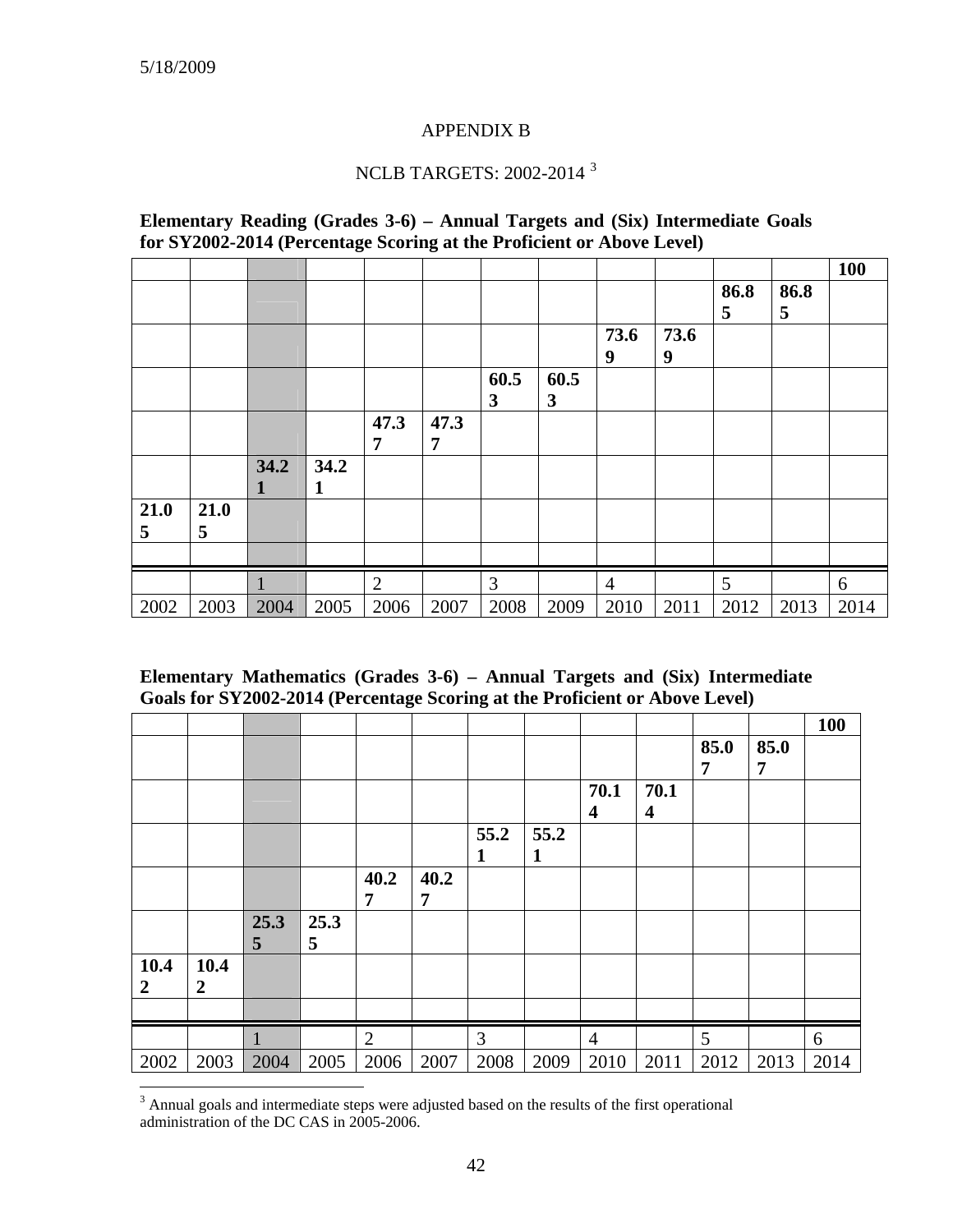#### APPENDIX B

# NCLB TARGETS: 2002-2014 [3](#page-41-0)

#### **Elementary Reading (Grades 3-6) – Annual Targets and (Six) Intermediate Goals for SY2002-2014 (Percentage Scoring at the Proficient or Above Level)**

|      |      |             |             |                |      |      |              |                |      |      |      | 100  |
|------|------|-------------|-------------|----------------|------|------|--------------|----------------|------|------|------|------|
|      |      |             |             |                |      |      |              |                |      | 86.8 | 86.8 |      |
|      |      |             |             |                |      |      |              |                |      | 5    | 5    |      |
|      |      |             |             |                |      |      |              | 73.6           | 73.6 |      |      |      |
|      |      |             |             |                |      |      |              | 9              | 9    |      |      |      |
|      |      |             |             |                |      | 60.5 | 60.5         |                |      |      |      |      |
|      |      |             |             |                |      | 3    | $\mathbf{3}$ |                |      |      |      |      |
|      |      |             |             | 47.3           | 47.3 |      |              |                |      |      |      |      |
|      |      |             |             | 7              | 7    |      |              |                |      |      |      |      |
|      |      | 34.2        | 34.2        |                |      |      |              |                |      |      |      |      |
|      |      | $\mathbf 1$ | $\mathbf 1$ |                |      |      |              |                |      |      |      |      |
| 21.0 | 21.0 |             |             |                |      |      |              |                |      |      |      |      |
| 5    | 5    |             |             |                |      |      |              |                |      |      |      |      |
|      |      |             |             |                |      |      |              |                |      |      |      |      |
|      |      |             |             | $\overline{2}$ |      | 3    |              | $\overline{4}$ |      | 5    |      | 6    |
| 2002 | 2003 | 2004        | 2005        | 2006           | 2007 | 2008 | 2009         | 2010           | 2011 | 2012 | 2013 | 2014 |

#### **Elementary Mathematics (Grades 3-6) – Annual Targets and (Six) Intermediate Goals for SY2002-2014 (Percentage Scoring at the Proficient or Above Level)**

|                          |                          |                        |           |                |           |           |                      |                |           |           |           | 100  |
|--------------------------|--------------------------|------------------------|-----------|----------------|-----------|-----------|----------------------|----------------|-----------|-----------|-----------|------|
|                          |                          |                        |           |                |           |           |                      |                |           | 85.0<br>7 | 85.0<br>7 |      |
|                          |                          |                        |           |                |           |           |                      | 70.1<br>4      | 70.1<br>4 |           |           |      |
|                          |                          |                        |           |                |           | 55.2<br>1 | 55.2<br>$\mathbf{1}$ |                |           |           |           |      |
|                          |                          |                        |           | 40.2<br>7      | 40.2<br>7 |           |                      |                |           |           |           |      |
|                          |                          | 25.3<br>$\overline{5}$ | 25.3<br>5 |                |           |           |                      |                |           |           |           |      |
| 10.4<br>$\boldsymbol{2}$ | 10.4<br>$\boldsymbol{2}$ |                        |           |                |           |           |                      |                |           |           |           |      |
|                          |                          |                        |           |                |           |           |                      |                |           |           |           |      |
|                          |                          |                        |           | $\overline{2}$ |           | 3         |                      | $\overline{4}$ |           | 5         |           | 6    |
| 2002                     | 2003                     | 2004                   | 2005      | 2006           | 2007      | 2008      | 2009                 | 2010           | 2011      | 2012      | 2013      | 2014 |

<span id="page-41-0"></span><sup>&</sup>lt;sup>3</sup> Annual goals and intermediate steps were adjusted based on the results of the first operational administration of the DC CAS in 2005-2006.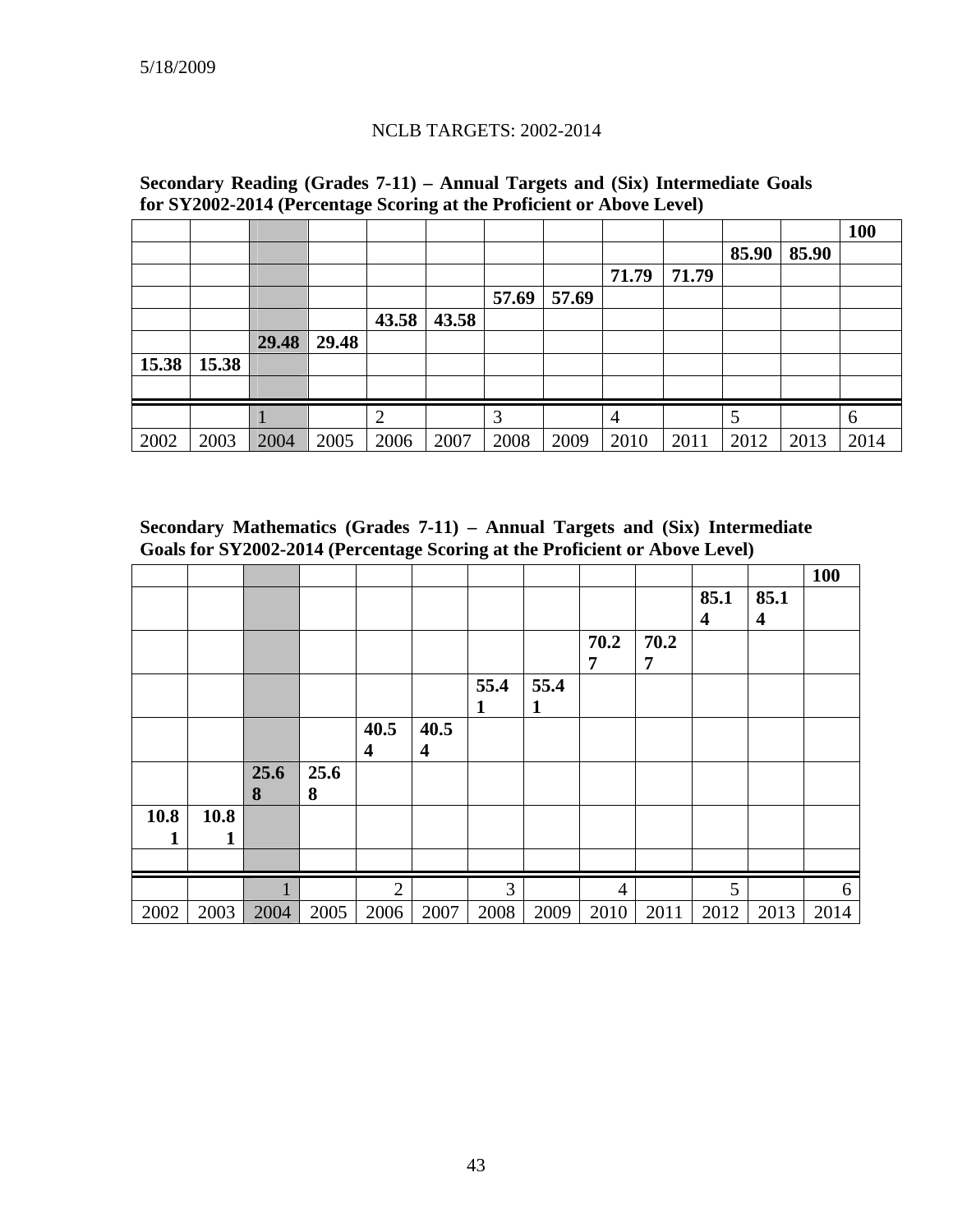#### NCLB TARGETS: 2002-2014

|       |       |       |       |                |       |       |       |                |       |       |       | <b>100</b> |
|-------|-------|-------|-------|----------------|-------|-------|-------|----------------|-------|-------|-------|------------|
|       |       |       |       |                |       |       |       |                |       | 85.90 | 85.90 |            |
|       |       |       |       |                |       |       |       | 71.79          | 71.79 |       |       |            |
|       |       |       |       |                |       | 57.69 | 57.69 |                |       |       |       |            |
|       |       |       |       | 43.58          | 43.58 |       |       |                |       |       |       |            |
|       |       | 29.48 | 29.48 |                |       |       |       |                |       |       |       |            |
| 15.38 | 15.38 |       |       |                |       |       |       |                |       |       |       |            |
|       |       |       |       |                |       |       |       |                |       |       |       |            |
|       |       |       |       | $\overline{2}$ |       | 3     |       | $\overline{4}$ |       | 5     |       | 6          |
| 2002  | 2003  | 2004  | 2005  | 2006           | 2007  | 2008  | 2009  | 2010           | 2011  | 2012  | 2013  | 2014       |

**Secondary Reading (Grades 7-11) – Annual Targets and (Six) Intermediate Goals for SY2002-2014 (Percentage Scoring at the Proficient or Above Level)** 

**Secondary Mathematics (Grades 7-11) – Annual Targets and (Six) Intermediate Goals for SY2002-2014 (Percentage Scoring at the Proficient or Above Level)** 

|      |      |      |      |                |      |      |      |                |      |                  |                         | <b>100</b> |
|------|------|------|------|----------------|------|------|------|----------------|------|------------------|-------------------------|------------|
|      |      |      |      |                |      |      |      |                |      | 85.1             | 85.1                    |            |
|      |      |      |      |                |      |      |      |                |      | $\boldsymbol{4}$ | $\overline{\mathbf{4}}$ |            |
|      |      |      |      |                |      |      |      | 70.2           | 70.2 |                  |                         |            |
|      |      |      |      |                |      |      |      | 7              | 7    |                  |                         |            |
|      |      |      |      |                |      | 55.4 | 55.4 |                |      |                  |                         |            |
|      |      |      |      |                |      | 1    | 1    |                |      |                  |                         |            |
|      |      |      |      | 40.5           | 40.5 |      |      |                |      |                  |                         |            |
|      |      |      |      | 4              | 4    |      |      |                |      |                  |                         |            |
|      |      | 25.6 | 25.6 |                |      |      |      |                |      |                  |                         |            |
|      |      | 8    | 8    |                |      |      |      |                |      |                  |                         |            |
| 10.8 | 10.8 |      |      |                |      |      |      |                |      |                  |                         |            |
| 1    |      |      |      |                |      |      |      |                |      |                  |                         |            |
|      |      |      |      |                |      |      |      |                |      |                  |                         |            |
|      |      |      |      | $\overline{2}$ |      | 3    |      | $\overline{4}$ |      | 5                |                         | 6          |
| 2002 | 2003 | 2004 | 2005 | 2006           | 2007 | 2008 | 2009 | 2010           | 2011 | 2012             | 2013                    | 2014       |